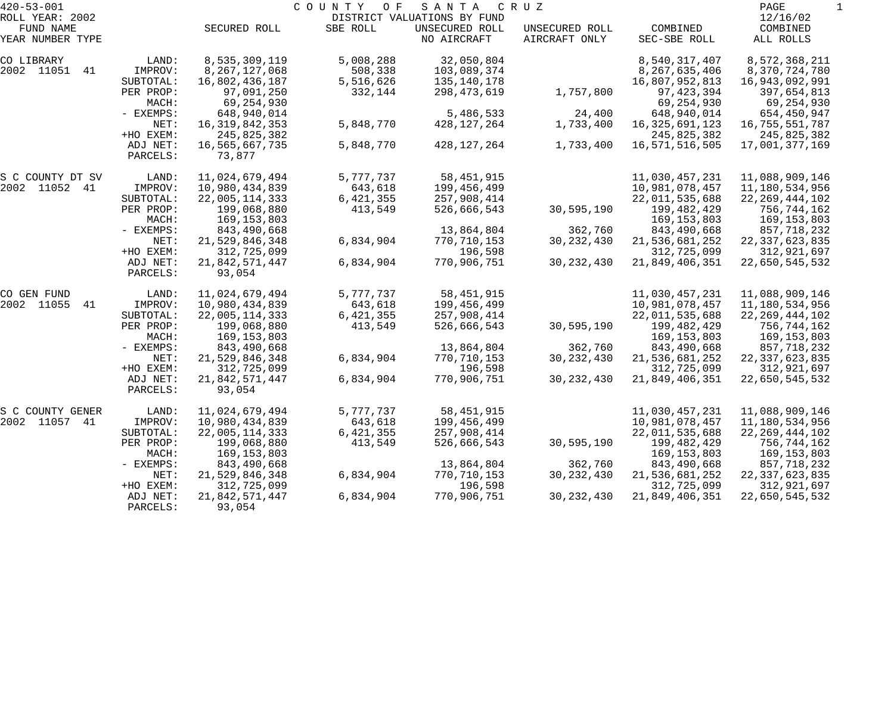| $420 - 53 - 001$                                 |           |                   | COUNTY<br>O F | SANTA                                                        | CRUZ                            |                          | PAGE                              |  |
|--------------------------------------------------|-----------|-------------------|---------------|--------------------------------------------------------------|---------------------------------|--------------------------|-----------------------------------|--|
| ROLL YEAR: 2002<br>FUND NAME<br>YEAR NUMBER TYPE |           | SECURED ROLL      | SBE ROLL      | DISTRICT VALUATIONS BY FUND<br>UNSECURED ROLL<br>NO AIRCRAFT | UNSECURED ROLL<br>AIRCRAFT ONLY | COMBINED<br>SEC-SBE ROLL | 12/16/02<br>COMBINED<br>ALL ROLLS |  |
|                                                  |           |                   |               |                                                              |                                 |                          |                                   |  |
| CO LIBRARY                                       | LAND:     | 8,535,309,119     | 5,008,288     | 32,050,804                                                   |                                 | 8,540,317,407            | 8,572,368,211                     |  |
| 2002 11051 41                                    | IMPROV:   | 8, 267, 127, 068  | 508,338       | 103,089,374                                                  |                                 | 8,267,635,406            | 8,370,724,780                     |  |
|                                                  | SUBTOTAL: | 16,802,436,187    | 5,516,626     | 135,140,178                                                  |                                 | 16,807,952,813           | 16,943,092,991                    |  |
|                                                  | PER PROP: | 97,091,250        | 332,144       | 298,473,619                                                  | 1,757,800                       | 97, 423, 394             | 397,654,813                       |  |
|                                                  | MACH:     | 69,254,930        |               |                                                              |                                 | 69,254,930               | 69,254,930                        |  |
|                                                  | - EXEMPS: | 648,940,014       |               | 5,486,533                                                    | 24,400                          | 648,940,014              | 654,450,947                       |  |
|                                                  | NET:      | 16, 319, 842, 353 | 5,848,770     | 428,127,264                                                  | 1,733,400                       | 16, 325, 691, 123        | 16,755,551,787                    |  |
|                                                  | +HO EXEM: | 245,825,382       |               |                                                              |                                 | 245,825,382              | 245,825,382                       |  |
|                                                  | ADJ NET:  | 16,565,667,735    | 5,848,770     | 428,127,264                                                  | 1,733,400                       | 16,571,516,505           | 17,001,377,169                    |  |
|                                                  | PARCELS:  | 73,877            |               |                                                              |                                 |                          |                                   |  |
| S C COUNTY DT SV                                 | LAND:     | 11,024,679,494    | 5,777,737     | 58, 451, 915                                                 |                                 | 11,030,457,231           | 11,088,909,146                    |  |
| 2002 11052 41                                    | IMPROV:   | 10,980,434,839    | 643,618       | 199,456,499                                                  |                                 | 10,981,078,457           | 11,180,534,956                    |  |
|                                                  | SUBTOTAL: | 22,005,114,333    | 6, 421, 355   | 257,908,414                                                  |                                 | 22,011,535,688           | 22, 269, 444, 102                 |  |
|                                                  | PER PROP: | 199,068,880       | 413,549       | 526,666,543                                                  | 30,595,190                      | 199,482,429              | 756,744,162                       |  |
|                                                  | MACH:     | 169,153,803       |               |                                                              |                                 | 169,153,803              | 169,153,803                       |  |
|                                                  | - EXEMPS: | 843,490,668       |               | 13,864,804                                                   | 362,760                         | 843,490,668              | 857,718,232                       |  |
|                                                  | NET:      | 21,529,846,348    | 6,834,904     | 770,710,153                                                  | 30, 232, 430                    | 21,536,681,252           | 22, 337, 623, 835                 |  |
|                                                  | +HO EXEM: | 312,725,099       |               | 196,598                                                      |                                 | 312,725,099              | 312,921,697                       |  |
|                                                  | ADJ NET:  | 21,842,571,447    | 6,834,904     | 770,906,751                                                  | 30, 232, 430                    | 21,849,406,351           | 22,650,545,532                    |  |
|                                                  | PARCELS:  | 93,054            |               |                                                              |                                 |                          |                                   |  |
| CO GEN FUND                                      | LAND:     | 11,024,679,494    | 5,777,737     | 58, 451, 915                                                 |                                 | 11,030,457,231           | 11,088,909,146                    |  |
| 2002 11055<br>41                                 | IMPROV:   | 10,980,434,839    | 643,618       | 199,456,499                                                  |                                 | 10,981,078,457           | 11,180,534,956                    |  |
|                                                  | SUBTOTAL: | 22,005,114,333    | 6, 421, 355   | 257,908,414                                                  |                                 | 22,011,535,688           | 22, 269, 444, 102                 |  |
|                                                  | PER PROP: | 199,068,880       | 413,549       | 526,666,543                                                  | 30,595,190                      | 199,482,429              | 756,744,162                       |  |
|                                                  | MACH:     | 169,153,803       |               |                                                              |                                 | 169,153,803              | 169,153,803                       |  |
|                                                  | - EXEMPS: | 843,490,668       |               | 13,864,804                                                   | 362,760                         | 843,490,668              | 857,718,232                       |  |
|                                                  | NET:      | 21,529,846,348    | 6,834,904     | 770,710,153                                                  | 30, 232, 430                    | 21,536,681,252           | 22, 337, 623, 835                 |  |
|                                                  | +HO EXEM: | 312,725,099       |               | 196,598                                                      |                                 | 312,725,099              | 312,921,697                       |  |
|                                                  | ADJ NET:  | 21,842,571,447    | 6,834,904     | 770,906,751                                                  | 30, 232, 430                    | 21,849,406,351           | 22,650,545,532                    |  |
|                                                  | PARCELS:  | 93,054            |               |                                                              |                                 |                          |                                   |  |
| S C COUNTY GENER                                 | LAND:     | 11,024,679,494    | 5,777,737     | 58, 451, 915                                                 |                                 | 11,030,457,231           | 11,088,909,146                    |  |
| 2002 11057 41                                    | IMPROV:   | 10,980,434,839    | 643,618       | 199,456,499                                                  |                                 | 10,981,078,457           | 11,180,534,956                    |  |
|                                                  | SUBTOTAL: | 22,005,114,333    | 6,421,355     | 257,908,414                                                  |                                 | 22,011,535,688           | 22, 269, 444, 102                 |  |
|                                                  | PER PROP: | 199,068,880       | 413,549       | 526,666,543                                                  | 30,595,190                      | 199,482,429              | 756,744,162                       |  |
|                                                  | MACH:     | 169,153,803       |               |                                                              |                                 | 169,153,803              | 169,153,803                       |  |
|                                                  | - EXEMPS: | 843,490,668       |               | 13,864,804                                                   | 362,760                         | 843,490,668              | 857,718,232                       |  |
|                                                  | NET:      | 21,529,846,348    | 6,834,904     | 770,710,153                                                  | 30, 232, 430                    | 21,536,681,252           | 22, 337, 623, 835                 |  |
|                                                  | +HO EXEM: | 312,725,099       |               | 196,598                                                      |                                 | 312,725,099              | 312,921,697                       |  |
|                                                  | ADJ NET:  | 21,842,571,447    | 6,834,904     | 770,906,751                                                  | 30, 232, 430                    | 21,849,406,351           | 22,650,545,532                    |  |
|                                                  | PARCELS:  | 93,054            |               |                                                              |                                 |                          |                                   |  |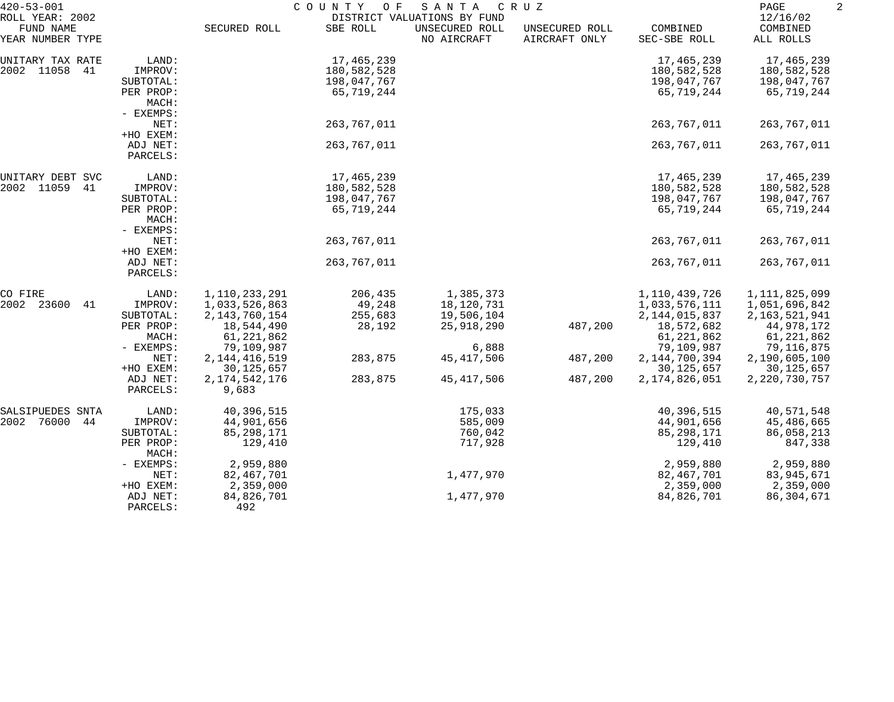| $420 - 53 - 001$                                 |                      | COUNTY<br>O F<br>SANTA<br>C R U Z<br>DISTRICT VALUATIONS BY FUND |             |                               |                                 |                          |                                   |  |
|--------------------------------------------------|----------------------|------------------------------------------------------------------|-------------|-------------------------------|---------------------------------|--------------------------|-----------------------------------|--|
| ROLL YEAR: 2002<br>FUND NAME<br>YEAR NUMBER TYPE |                      | SECURED ROLL                                                     | SBE ROLL    | UNSECURED ROLL<br>NO AIRCRAFT | UNSECURED ROLL<br>AIRCRAFT ONLY | COMBINED<br>SEC-SBE ROLL | 12/16/02<br>COMBINED<br>ALL ROLLS |  |
| UNITARY TAX RATE                                 | LAND:                |                                                                  | 17,465,239  |                               |                                 | 17,465,239               | 17,465,239                        |  |
| 2002 11058<br>41                                 | IMPROV:              |                                                                  | 180,582,528 |                               |                                 | 180,582,528              | 180,582,528                       |  |
|                                                  | SUBTOTAL:            |                                                                  | 198,047,767 |                               |                                 | 198,047,767              | 198,047,767                       |  |
|                                                  | PER PROP:            |                                                                  | 65,719,244  |                               |                                 | 65,719,244               | 65,719,244                        |  |
|                                                  | MACH:                |                                                                  |             |                               |                                 |                          |                                   |  |
|                                                  | - EXEMPS:            |                                                                  |             |                               |                                 |                          |                                   |  |
|                                                  | NET:                 |                                                                  | 263,767,011 |                               |                                 | 263,767,011              | 263,767,011                       |  |
|                                                  | +HO EXEM:            |                                                                  |             |                               |                                 |                          |                                   |  |
|                                                  | ADJ NET:             |                                                                  | 263,767,011 |                               |                                 | 263,767,011              | 263,767,011                       |  |
|                                                  | PARCELS:             |                                                                  |             |                               |                                 |                          |                                   |  |
| UNITARY DEBT SVC                                 | LAND:                |                                                                  | 17,465,239  |                               |                                 | 17,465,239               | 17,465,239                        |  |
| 2002 11059<br>41                                 | IMPROV:              |                                                                  | 180,582,528 |                               |                                 | 180,582,528              | 180,582,528                       |  |
|                                                  | SUBTOTAL:            |                                                                  | 198,047,767 |                               |                                 | 198,047,767              | 198,047,767                       |  |
|                                                  | PER PROP:            |                                                                  | 65,719,244  |                               |                                 | 65,719,244               | 65,719,244                        |  |
|                                                  | MACH:                |                                                                  |             |                               |                                 |                          |                                   |  |
|                                                  | - EXEMPS:            |                                                                  |             |                               |                                 |                          |                                   |  |
|                                                  | NET:                 |                                                                  | 263,767,011 |                               |                                 | 263,767,011              | 263,767,011                       |  |
|                                                  | +HO EXEM:            |                                                                  |             |                               |                                 |                          |                                   |  |
|                                                  | ADJ NET:<br>PARCELS: |                                                                  | 263,767,011 |                               |                                 | 263,767,011              | 263,767,011                       |  |
|                                                  |                      |                                                                  |             |                               |                                 |                          |                                   |  |
| CO FIRE                                          | LAND:                | 1,110,233,291                                                    | 206,435     | 1,385,373                     |                                 | 1,110,439,726            | 1,111,825,099                     |  |
| 2002 23600<br>41                                 | IMPROV:              | 1,033,526,863                                                    | 49,248      | 18,120,731                    |                                 | 1,033,576,111            | 1,051,696,842                     |  |
|                                                  | SUBTOTAL:            | 2, 143, 760, 154                                                 | 255,683     | 19,506,104                    |                                 | 2, 144, 015, 837         | 2,163,521,941                     |  |
|                                                  | PER PROP:            | 18,544,490                                                       | 28,192      | 25,918,290                    | 487,200                         | 18,572,682               | 44,978,172                        |  |
|                                                  | MACH:                | 61, 221, 862                                                     |             |                               |                                 | 61,221,862               | 61,221,862                        |  |
|                                                  | - EXEMPS:            | 79,109,987                                                       |             | 6,888                         |                                 | 79,109,987               | 79,116,875                        |  |
|                                                  | NET:                 | 2, 144, 416, 519                                                 | 283,875     | 45, 417, 506                  | 487,200                         | 2, 144, 700, 394         | 2,190,605,100                     |  |
|                                                  | +HO EXEM:            | 30, 125, 657                                                     |             |                               |                                 | 30, 125, 657             | 30,125,657                        |  |
|                                                  | ADJ NET:             | 2, 174, 542, 176                                                 | 283,875     | 45, 417, 506                  | 487,200                         | 2, 174, 826, 051         | 2, 220, 730, 757                  |  |
|                                                  | PARCELS:             | 9,683                                                            |             |                               |                                 |                          |                                   |  |
| SALSIPUEDES SNTA                                 | LAND:                | 40,396,515                                                       |             | 175,033                       |                                 | 40,396,515               | 40,571,548                        |  |
| 76000<br>2002<br>44                              | IMPROV:              | 44,901,656                                                       |             | 585,009                       |                                 | 44,901,656               | 45,486,665                        |  |
|                                                  | SUBTOTAL:            | 85, 298, 171                                                     |             | 760,042                       |                                 | 85,298,171               | 86,058,213                        |  |
|                                                  | PER PROP:<br>MACH:   | 129,410                                                          |             | 717,928                       |                                 | 129,410                  | 847,338                           |  |
|                                                  | - EXEMPS:            | 2,959,880                                                        |             |                               |                                 | 2,959,880                | 2,959,880                         |  |
|                                                  | NET:                 | 82,467,701                                                       |             | 1,477,970                     |                                 | 82,467,701               | 83,945,671                        |  |
|                                                  | +HO EXEM:            | 2,359,000                                                        |             |                               |                                 | 2,359,000                | 2,359,000                         |  |
|                                                  | ADJ NET:             | 84,826,701                                                       |             | 1,477,970                     |                                 | 84,826,701               | 86,304,671                        |  |
|                                                  | PARCELS:             | 492                                                              |             |                               |                                 |                          |                                   |  |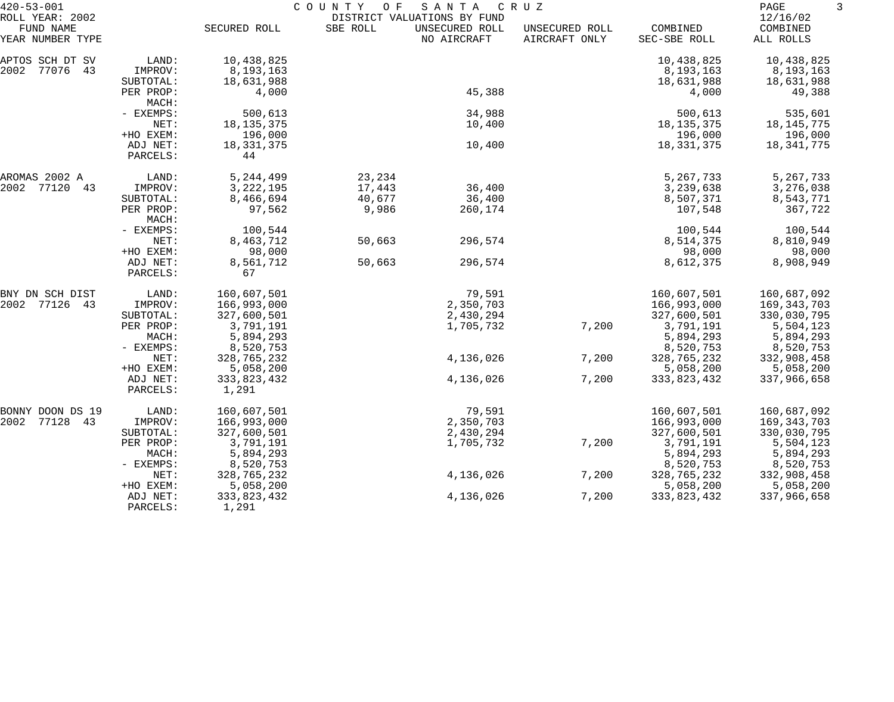| $420 - 53 - 001$                                 |                      |                      | COUNTY<br>O F | SANTA                                                        | C R U Z                         |                          |                                   |
|--------------------------------------------------|----------------------|----------------------|---------------|--------------------------------------------------------------|---------------------------------|--------------------------|-----------------------------------|
| ROLL YEAR: 2002<br>FUND NAME<br>YEAR NUMBER TYPE |                      | SECURED ROLL         | SBE ROLL      | DISTRICT VALUATIONS BY FUND<br>UNSECURED ROLL<br>NO AIRCRAFT | UNSECURED ROLL<br>AIRCRAFT ONLY | COMBINED<br>SEC-SBE ROLL | 12/16/02<br>COMBINED<br>ALL ROLLS |
| APTOS SCH DT SV                                  | LAND:                | 10,438,825           |               |                                                              |                                 | 10,438,825               | 10,438,825                        |
| 2002 77076<br>43                                 | IMPROV:              | 8,193,163            |               |                                                              |                                 | 8,193,163                | 8,193,163                         |
|                                                  | SUBTOTAL:            | 18,631,988           |               |                                                              |                                 | 18,631,988               | 18,631,988                        |
|                                                  | PER PROP:<br>MACH:   | 4,000                |               | 45,388                                                       |                                 | 4,000                    | 49,388                            |
|                                                  | - EXEMPS:            | 500,613              |               | 34,988                                                       |                                 | 500,613                  | 535,601                           |
|                                                  | NET:                 | 18, 135, 375         |               | 10,400                                                       |                                 | 18, 135, 375             | 18, 145, 775                      |
|                                                  | +HO EXEM:            | 196,000              |               |                                                              |                                 | 196,000                  | 196,000                           |
|                                                  | ADJ NET:<br>PARCELS: | 18, 331, 375<br>44   |               | 10,400                                                       |                                 | 18, 331, 375             | 18,341,775                        |
| AROMAS 2002 A                                    | LAND:                | 5,244,499            | 23,234        |                                                              |                                 | 5, 267, 733              | 5, 267, 733                       |
| 2002 77120<br>43                                 | IMPROV:              | 3, 222, 195          | 17,443        | 36,400                                                       |                                 | 3,239,638                | 3,276,038                         |
|                                                  | SUBTOTAL:            | 8,466,694            | 40,677        | 36,400                                                       |                                 | 8,507,371                | 8,543,771                         |
|                                                  | PER PROP:<br>MACH:   | 97,562               | 9,986         | 260,174                                                      |                                 | 107,548                  | 367,722                           |
|                                                  | - EXEMPS:            | 100,544              |               |                                                              |                                 | 100,544                  | 100,544                           |
|                                                  | NET:                 | 8,463,712            | 50,663        | 296,574                                                      |                                 | 8,514,375                | 8,810,949                         |
|                                                  | +HO EXEM:            | 98,000               |               |                                                              |                                 | 98,000                   | 98,000                            |
|                                                  | ADJ NET:<br>PARCELS: | 8,561,712<br>67      | 50,663        | 296,574                                                      |                                 | 8,612,375                | 8,908,949                         |
| BNY DN SCH DIST                                  | LAND:                | 160,607,501          |               | 79,591                                                       |                                 | 160,607,501              | 160,687,092                       |
| 2002 77126 43                                    | IMPROV:              | 166,993,000          |               | 2,350,703                                                    |                                 | 166,993,000              | 169,343,703                       |
|                                                  | SUBTOTAL:            | 327,600,501          |               | 2,430,294                                                    |                                 | 327,600,501              | 330,030,795                       |
|                                                  | PER PROP:            | 3,791,191            |               | 1,705,732                                                    | 7,200                           | 3,791,191                | 5,504,123                         |
|                                                  | MACH:                | 5,894,293            |               |                                                              |                                 | 5,894,293                | 5,894,293                         |
|                                                  | - EXEMPS:            | 8,520,753            |               |                                                              |                                 | 8,520,753                | 8,520,753                         |
|                                                  | NET:                 | 328,765,232          |               | 4,136,026                                                    | 7,200                           | 328,765,232              | 332,908,458                       |
|                                                  | +HO EXEM:            | 5,058,200            |               |                                                              |                                 | 5,058,200                | 5,058,200                         |
|                                                  | ADJ NET:<br>PARCELS: | 333,823,432<br>1,291 |               | 4,136,026                                                    | 7,200                           | 333,823,432              | 337,966,658                       |
| BONNY DOON DS 19                                 | LAND:                | 160,607,501          |               | 79,591                                                       |                                 | 160,607,501              | 160,687,092                       |
| 2002 77128<br>43                                 | IMPROV:              | 166,993,000          |               | 2,350,703                                                    |                                 | 166,993,000              | 169,343,703                       |
|                                                  | SUBTOTAL:            | 327,600,501          |               | 2,430,294                                                    |                                 | 327,600,501              | 330,030,795                       |
|                                                  | PER PROP:            | 3,791,191            |               | 1,705,732                                                    | 7,200                           | 3,791,191                | 5,504,123                         |
|                                                  | MACH:                | 5,894,293            |               |                                                              |                                 | 5,894,293                | 5,894,293                         |
|                                                  | - EXEMPS:            | 8,520,753            |               |                                                              |                                 | 8,520,753                | 8,520,753                         |
|                                                  | NET:                 | 328,765,232          |               | 4,136,026                                                    | 7,200                           | 328,765,232              | 332,908,458                       |
|                                                  | +HO EXEM:            | 5,058,200            |               |                                                              |                                 | 5,058,200                | 5,058,200                         |
|                                                  | ADJ NET:<br>PARCELS: | 333,823,432<br>1,291 |               | 4,136,026                                                    | 7,200                           | 333,823,432              | 337,966,658                       |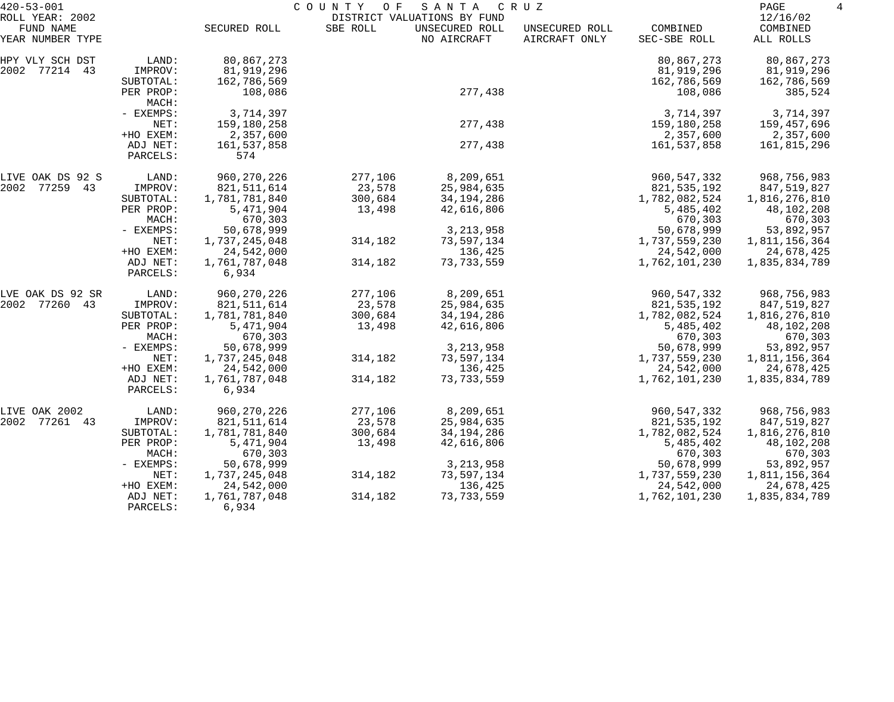| $420 - 53 - 001$                                 |                       | COUNTY<br>SANTA<br>O F<br>C R U Z<br>DISTRICT VALUATIONS BY FUND |          |                               |                                 |                             |                                   |
|--------------------------------------------------|-----------------------|------------------------------------------------------------------|----------|-------------------------------|---------------------------------|-----------------------------|-----------------------------------|
| ROLL YEAR: 2002<br>FUND NAME<br>YEAR NUMBER TYPE |                       | SECURED ROLL                                                     | SBE ROLL | UNSECURED ROLL<br>NO AIRCRAFT | UNSECURED ROLL<br>AIRCRAFT ONLY | COMBINED<br>SEC-SBE ROLL    | 12/16/02<br>COMBINED<br>ALL ROLLS |
| HPY VLY SCH DST<br>2002 77214 43                 | LAND:<br>IMPROV:      | 80,867,273<br>81,919,296                                         |          |                               |                                 | 80,867,273<br>81,919,296    | 80,867,273<br>81,919,296          |
|                                                  | SUBTOTAL:             | 162,786,569                                                      |          |                               |                                 | 162,786,569                 | 162,786,569                       |
|                                                  | PER PROP:<br>MACH:    | 108,086                                                          |          | 277,438                       |                                 | 108,086                     | 385,524                           |
|                                                  | - EXEMPS:             | 3,714,397                                                        |          |                               |                                 | 3,714,397                   | 3,714,397                         |
|                                                  | NET:                  | 159,180,258                                                      |          | 277,438                       |                                 | 159,180,258                 | 159,457,696                       |
|                                                  | +HO EXEM:             | 2,357,600                                                        |          |                               |                                 | 2,357,600                   | 2,357,600                         |
|                                                  | ADJ NET:<br>PARCELS:  | 161,537,858<br>574                                               |          | 277,438                       |                                 | 161,537,858                 | 161,815,296                       |
| LIVE OAK DS 92 S                                 | LAND:                 | 960, 270, 226                                                    | 277,106  | 8,209,651                     |                                 | 960, 547, 332               | 968,756,983                       |
| 2002 77259 43                                    | IMPROV:               | 821, 511, 614                                                    | 23,578   | 25,984,635                    |                                 | 821, 535, 192               | 847,519,827                       |
|                                                  | SUBTOTAL:             | 1,781,781,840                                                    | 300,684  | 34, 194, 286                  |                                 | 1,782,082,524               | 1,816,276,810                     |
|                                                  | PER PROP:             | 5,471,904                                                        | 13,498   | 42,616,806                    |                                 | 5,485,402                   | 48,102,208                        |
|                                                  | MACH:                 | 670,303                                                          |          |                               |                                 | 670,303                     | 670,303                           |
|                                                  | - EXEMPS:<br>NET:     | 50,678,999                                                       |          | 3, 213, 958                   |                                 | 50,678,999                  | 53,892,957                        |
|                                                  | +HO EXEM:             | 1,737,245,048<br>24,542,000                                      | 314,182  | 73,597,134<br>136,425         |                                 | 1,737,559,230<br>24,542,000 | 1,811,156,364<br>24,678,425       |
|                                                  | ADJ NET:              | 1,761,787,048                                                    | 314,182  | 73, 733, 559                  |                                 | 1,762,101,230               | 1,835,834,789                     |
|                                                  | PARCELS:              | 6,934                                                            |          |                               |                                 |                             |                                   |
| LVE OAK DS 92 SR                                 | LAND:                 | 960, 270, 226                                                    | 277,106  | 8,209,651                     |                                 | 960, 547, 332               | 968,756,983                       |
| 2002 77260 43                                    | IMPROV:               | 821, 511, 614                                                    | 23,578   | 25,984,635                    |                                 | 821, 535, 192               | 847,519,827                       |
|                                                  | SUBTOTAL:             | 1,781,781,840                                                    | 300,684  | 34, 194, 286                  |                                 | 1,782,082,524               | 1,816,276,810                     |
|                                                  | PER PROP:             | 5,471,904                                                        | 13,498   | 42,616,806                    |                                 | 5,485,402                   | 48,102,208                        |
|                                                  | MACH:                 | 670,303                                                          |          |                               |                                 | 670,303                     | 670,303                           |
|                                                  | - EXEMPS:             | 50,678,999                                                       |          | 3, 213, 958                   |                                 | 50,678,999                  | 53,892,957                        |
|                                                  | NET:<br>+HO EXEM:     | 1,737,245,048<br>24,542,000                                      | 314,182  | 73,597,134<br>136,425         |                                 | 1,737,559,230<br>24,542,000 | 1,811,156,364<br>24,678,425       |
|                                                  | ADJ NET:              | 1,761,787,048                                                    | 314,182  | 73, 733, 559                  |                                 | 1,762,101,230               | 1,835,834,789                     |
|                                                  | PARCELS:              | 6,934                                                            |          |                               |                                 |                             |                                   |
| LIVE OAK 2002                                    | LAND:                 | 960,270,226                                                      | 277,106  | 8,209,651                     |                                 | 960, 547, 332               | 968,756,983                       |
| 2002<br>77261 43                                 | IMPROV:               | 821,511,614                                                      | 23,578   | 25,984,635                    |                                 | 821,535,192                 | 847,519,827                       |
|                                                  | SUBTOTAL:             | 1,781,781,840                                                    | 300,684  | 34, 194, 286                  |                                 | 1,782,082,524               | 1,816,276,810                     |
|                                                  | PER PROP:             | 5,471,904                                                        | 13,498   | 42,616,806                    |                                 | 5,485,402                   | 48,102,208                        |
|                                                  | MACH:                 | 670,303                                                          |          |                               |                                 | 670,303                     | 670,303                           |
|                                                  | - EXEMPS:             | 50,678,999                                                       |          | 3, 213, 958                   |                                 | 50,678,999                  | 53,892,957                        |
|                                                  | NET:                  | 1,737,245,048                                                    | 314,182  | 73,597,134                    |                                 | 1,737,559,230               | 1,811,156,364                     |
|                                                  | +HO EXEM:<br>ADJ NET: | 24,542,000<br>1,761,787,048                                      | 314,182  | 136,425<br>73, 733, 559       |                                 | 24,542,000<br>1,762,101,230 | 24,678,425<br>1,835,834,789       |
|                                                  | PARCELS:              | 6,934                                                            |          |                               |                                 |                             |                                   |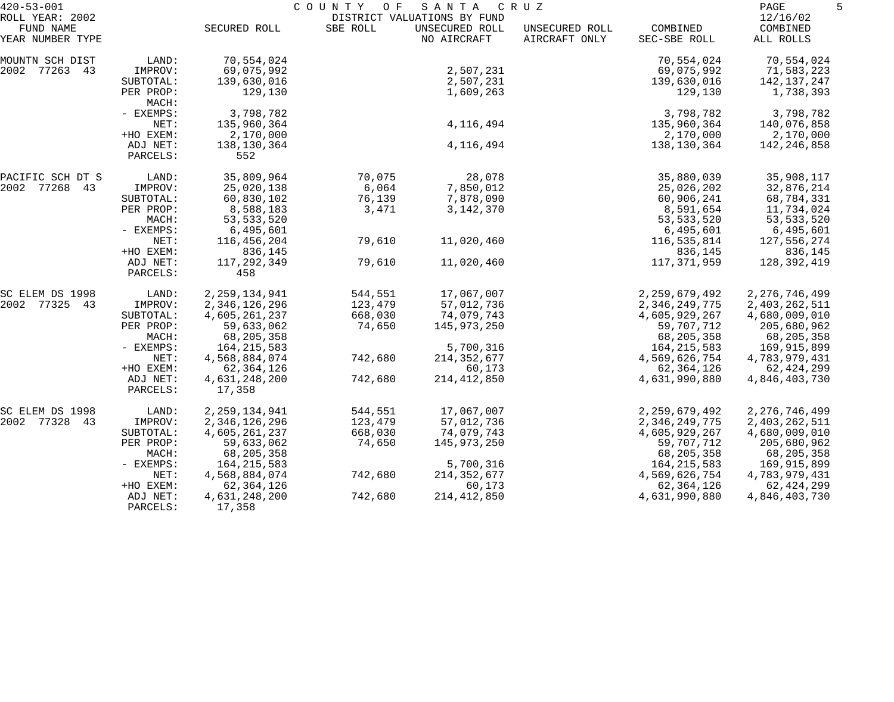| $420 - 53 - 001$                                 |                      |                         | COUNTY<br>O F | SANTA                                                        | C R U Z                         |                          | PAGE                              | 5 |
|--------------------------------------------------|----------------------|-------------------------|---------------|--------------------------------------------------------------|---------------------------------|--------------------------|-----------------------------------|---|
| ROLL YEAR: 2002<br>FUND NAME<br>YEAR NUMBER TYPE |                      | SECURED ROLL            | SBE ROLL      | DISTRICT VALUATIONS BY FUND<br>UNSECURED ROLL<br>NO AIRCRAFT | UNSECURED ROLL<br>AIRCRAFT ONLY | COMBINED<br>SEC-SBE ROLL | 12/16/02<br>COMBINED<br>ALL ROLLS |   |
|                                                  |                      |                         |               |                                                              |                                 |                          |                                   |   |
| MOUNTN SCH DIST                                  | LAND:                | 70,554,024              |               |                                                              |                                 | 70,554,024               | 70,554,024                        |   |
| 2002 77263 43                                    | IMPROV:              | 69,075,992              |               | 2,507,231                                                    |                                 | 69,075,992               | 71,583,223                        |   |
|                                                  | SUBTOTAL:            | 139,630,016             |               | 2,507,231                                                    |                                 | 139,630,016              | 142,137,247                       |   |
|                                                  | PER PROP:<br>MACH:   | 129,130                 |               | 1,609,263                                                    |                                 | 129,130                  | 1,738,393                         |   |
|                                                  | - EXEMPS:            | 3,798,782               |               |                                                              |                                 | 3,798,782                | 3,798,782                         |   |
|                                                  | NET:                 | 135,960,364             |               | 4,116,494                                                    |                                 | 135,960,364              | 140,076,858                       |   |
|                                                  | +HO EXEM:            | 2,170,000               |               |                                                              |                                 | 2,170,000                | 2,170,000                         |   |
|                                                  | ADJ NET:<br>PARCELS: | 138,130,364<br>552      |               | 4,116,494                                                    |                                 | 138,130,364              | 142,246,858                       |   |
| PACIFIC SCH DT S                                 | LAND:                | 35,809,964              | 70,075        | 28,078                                                       |                                 | 35,880,039               | 35,908,117                        |   |
| 2002 77268 43                                    | IMPROV:              | 25,020,138              | 6,064         | 7,850,012                                                    |                                 | 25,026,202               | 32,876,214                        |   |
|                                                  | SUBTOTAL:            | 60,830,102              | 76,139        | 7,878,090                                                    |                                 | 60,906,241               | 68,784,331                        |   |
|                                                  | PER PROP:            | 8,588,183               | 3,471         | 3,142,370                                                    |                                 | 8,591,654                | 11,734,024                        |   |
|                                                  | MACH:                | 53, 533, 520            |               |                                                              |                                 | 53, 533, 520             | 53, 533, 520                      |   |
|                                                  | - EXEMPS:            | 6,495,601               |               |                                                              |                                 | 6,495,601                | 6,495,601                         |   |
|                                                  | NET:                 | 116,456,204             | 79,610        | 11,020,460                                                   |                                 | 116,535,814              | 127,556,274                       |   |
|                                                  | +HO EXEM:            | 836,145                 |               |                                                              |                                 | 836,145                  | 836,145                           |   |
|                                                  | ADJ NET:<br>PARCELS: | 117,292,349<br>458      | 79,610        | 11,020,460                                                   |                                 | 117,371,959              | 128,392,419                       |   |
| SC ELEM DS 1998                                  | LAND:                | 2, 259, 134, 941        | 544,551       | 17,067,007                                                   |                                 | 2, 259, 679, 492         | 2, 276, 746, 499                  |   |
| 2002 77325 43                                    | IMPROV:              | 2,346,126,296           | 123,479       | 57,012,736                                                   |                                 | 2,346,249,775            | 2,403,262,511                     |   |
|                                                  | SUBTOTAL:            | 4,605,261,237           | 668,030       | 74,079,743                                                   |                                 | 4,605,929,267            | 4,680,009,010                     |   |
|                                                  | PER PROP:            | 59,633,062              | 74,650        | 145,973,250                                                  |                                 | 59,707,712               | 205,680,962                       |   |
|                                                  | MACH:                | 68,205,358              |               |                                                              |                                 | 68,205,358               | 68,205,358                        |   |
|                                                  | - EXEMPS:            | 164, 215, 583           |               | 5,700,316                                                    |                                 | 164, 215, 583            | 169,915,899                       |   |
|                                                  | NET:                 | 4,568,884,074           | 742,680       | 214, 352, 677                                                |                                 | 4,569,626,754            | 4,783,979,431                     |   |
|                                                  | +HO EXEM:            | 62,364,126              |               | 60,173                                                       |                                 | 62,364,126               | 62,424,299                        |   |
|                                                  | ADJ NET:<br>PARCELS: | 4,631,248,200<br>17,358 | 742,680       | 214, 412, 850                                                |                                 | 4,631,990,880            | 4,846,403,730                     |   |
| SC ELEM DS 1998                                  | LAND:                | 2, 259, 134, 941        | 544,551       | 17,067,007                                                   |                                 | 2, 259, 679, 492         | 2, 276, 746, 499                  |   |
| 2002 77328 43                                    | IMPROV:              | 2,346,126,296           | 123,479       | 57,012,736                                                   |                                 | 2,346,249,775            | 2,403,262,511                     |   |
|                                                  | SUBTOTAL:            | 4,605,261,237           | 668,030       | 74,079,743                                                   |                                 | 4,605,929,267            | 4,680,009,010                     |   |
|                                                  | PER PROP:            | 59,633,062              | 74,650        | 145,973,250                                                  |                                 | 59,707,712               | 205,680,962                       |   |
|                                                  | MACH:                | 68,205,358              |               |                                                              |                                 | 68, 205, 358             | 68,205,358                        |   |
|                                                  | - EXEMPS:            | 164, 215, 583           |               | 5,700,316                                                    |                                 | 164, 215, 583            | 169,915,899                       |   |
|                                                  | NET:                 | 4,568,884,074           | 742,680       | 214, 352, 677                                                |                                 | 4,569,626,754            | 4,783,979,431                     |   |
|                                                  | +HO EXEM:            | 62,364,126              |               | 60,173                                                       |                                 | 62,364,126               | 62,424,299                        |   |
|                                                  | ADJ NET:<br>PARCELS: | 4,631,248,200<br>17,358 | 742,680       | 214, 412, 850                                                |                                 | 4,631,990,880            | 4,846,403,730                     |   |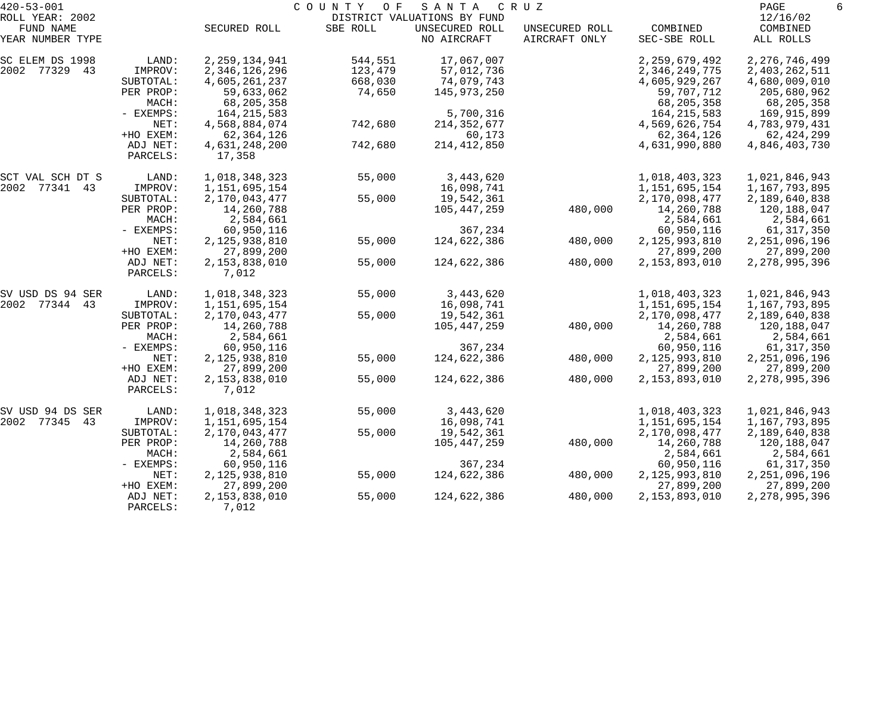| $420 - 53 - 001$             |                      |                         | COUNTY<br>O F | SANTA                                         | C R U Z        |                  | PAGE<br>6            |  |
|------------------------------|----------------------|-------------------------|---------------|-----------------------------------------------|----------------|------------------|----------------------|--|
| ROLL YEAR: 2002<br>FUND NAME |                      | SECURED ROLL            | SBE ROLL      | DISTRICT VALUATIONS BY FUND<br>UNSECURED ROLL | UNSECURED ROLL | COMBINED         | 12/16/02<br>COMBINED |  |
| YEAR NUMBER TYPE             |                      |                         |               | NO AIRCRAFT                                   | AIRCRAFT ONLY  | SEC-SBE ROLL     | ALL ROLLS            |  |
| SC ELEM DS 1998              | LAND:                | 2, 259, 134, 941        | 544,551       | 17,067,007                                    |                | 2, 259, 679, 492 | 2, 276, 746, 499     |  |
| 2002 77329 43                | IMPROV:              | 2,346,126,296           | 123,479       | 57,012,736                                    |                | 2,346,249,775    | 2,403,262,511        |  |
|                              | SUBTOTAL:            | 4,605,261,237           | 668,030       | 74,079,743                                    |                | 4,605,929,267    | 4,680,009,010        |  |
|                              | PER PROP:            | 59,633,062              | 74,650        | 145,973,250                                   |                | 59,707,712       | 205,680,962          |  |
|                              | MACH:                | 68,205,358              |               |                                               |                | 68,205,358       | 68,205,358           |  |
|                              | - EXEMPS:            | 164, 215, 583           |               | 5,700,316                                     |                | 164, 215, 583    | 169,915,899          |  |
|                              | NET:                 | 4,568,884,074           | 742,680       | 214, 352, 677                                 |                | 4,569,626,754    | 4,783,979,431        |  |
|                              | +HO EXEM:            | 62, 364, 126            |               | 60,173                                        |                | 62, 364, 126     | 62,424,299           |  |
|                              | ADJ NET:<br>PARCELS: | 4,631,248,200<br>17,358 | 742,680       | 214, 412, 850                                 |                | 4,631,990,880    | 4,846,403,730        |  |
| SCT VAL SCH DT S             | LAND:                | 1,018,348,323           | 55,000        | 3,443,620                                     |                | 1,018,403,323    | 1,021,846,943        |  |
| 2002 77341 43                | IMPROV:              | 1,151,695,154           |               | 16,098,741                                    |                | 1,151,695,154    | 1,167,793,895        |  |
|                              | SUBTOTAL:            | 2,170,043,477           | 55,000        | 19,542,361                                    |                | 2,170,098,477    | 2,189,640,838        |  |
|                              | PER PROP:            | 14,260,788              |               | 105,447,259                                   | 480,000        | 14,260,788       | 120,188,047          |  |
|                              | MACH:                | 2,584,661               |               |                                               |                | 2,584,661        | 2,584,661            |  |
|                              | - EXEMPS:            | 60,950,116              |               | 367,234                                       |                | 60,950,116       | 61,317,350           |  |
|                              | NET:                 | 2,125,938,810           | 55,000        | 124,622,386                                   | 480,000        | 2,125,993,810    | 2, 251, 096, 196     |  |
|                              | +HO EXEM:            | 27,899,200              |               |                                               |                | 27,899,200       | 27,899,200           |  |
|                              | ADJ NET:<br>PARCELS: | 2,153,838,010<br>7,012  | 55,000        | 124,622,386                                   | 480,000        | 2,153,893,010    | 2, 278, 995, 396     |  |
| SV USD DS 94 SER             | LAND:                | 1,018,348,323           | 55,000        | 3,443,620                                     |                | 1,018,403,323    | 1,021,846,943        |  |
| 2002 77344 43                | IMPROV:              | 1,151,695,154           |               | 16,098,741                                    |                | 1,151,695,154    | 1,167,793,895        |  |
|                              | SUBTOTAL:            | 2, 170, 043, 477        | 55,000        | 19,542,361                                    |                | 2,170,098,477    | 2,189,640,838        |  |
|                              | PER PROP:            | 14,260,788              |               | 105,447,259                                   | 480,000        | 14,260,788       | 120,188,047          |  |
|                              | MACH:                | 2,584,661               |               |                                               |                | 2,584,661        | 2,584,661            |  |
|                              | - EXEMPS:            | 60,950,116              |               | 367,234                                       |                | 60,950,116       | 61,317,350           |  |
|                              | NET:                 | 2,125,938,810           | 55,000        | 124,622,386                                   | 480,000        | 2,125,993,810    | 2, 251, 096, 196     |  |
|                              | +HO EXEM:            | 27,899,200              |               |                                               |                | 27,899,200       | 27,899,200           |  |
|                              | ADJ NET:<br>PARCELS: | 2,153,838,010<br>7,012  | 55,000        | 124,622,386                                   | 480,000        | 2,153,893,010    | 2, 278, 995, 396     |  |
| SV USD 94 DS SER             | LAND:                | 1,018,348,323           | 55,000        | 3,443,620                                     |                | 1,018,403,323    | 1,021,846,943        |  |
| 2002 77345<br>43             | IMPROV:              | 1,151,695,154           |               | 16,098,741                                    |                | 1,151,695,154    | 1,167,793,895        |  |
|                              | SUBTOTAL:            | 2,170,043,477           | 55,000        | 19,542,361                                    |                | 2,170,098,477    | 2,189,640,838        |  |
|                              | PER PROP:            | 14,260,788              |               | 105,447,259                                   | 480,000        | 14,260,788       | 120,188,047          |  |
|                              | MACH:                | 2,584,661               |               |                                               |                | 2,584,661        | 2,584,661            |  |
|                              | $-$ EXEMPS:          | 60,950,116              |               | 367,234                                       |                | 60,950,116       | 61,317,350           |  |
|                              | NET:                 | 2,125,938,810           | 55,000        | 124,622,386                                   | 480,000        | 2,125,993,810    | 2,251,096,196        |  |
|                              | +HO EXEM:            | 27,899,200              |               |                                               |                | 27,899,200       | 27,899,200           |  |
|                              | ADJ NET:             | 2,153,838,010           | 55,000        | 124,622,386                                   | 480,000        | 2,153,893,010    | 2, 278, 995, 396     |  |
|                              | PARCELS:             | 7,012                   |               |                                               |                |                  |                      |  |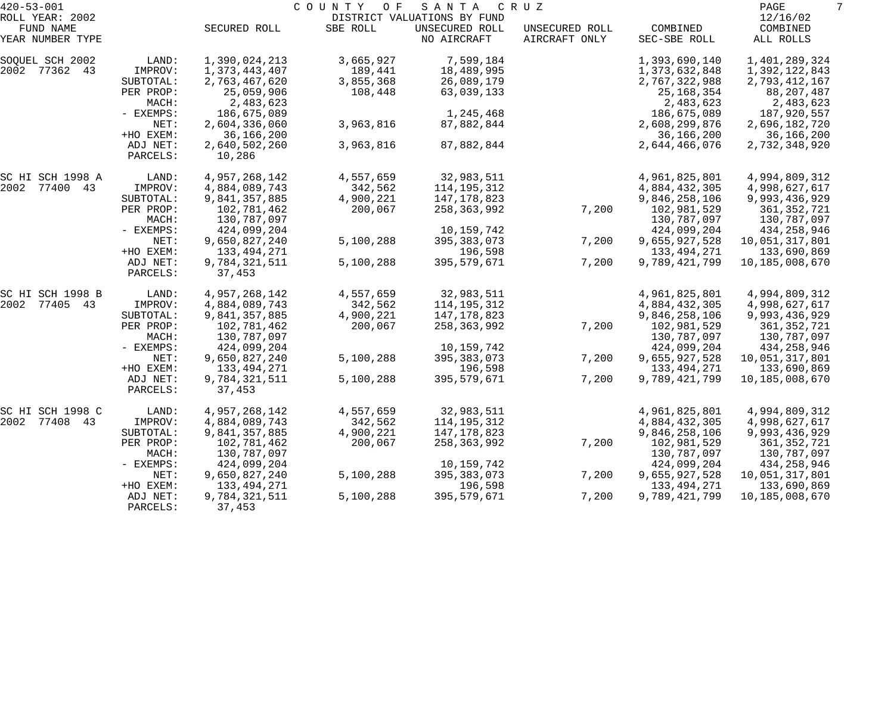| $420 - 53 - 001$                                 |                      |                         | COUNTY<br>O F | SANTA                                                        | C R U Z                         |                          | PAGE<br>7                         |
|--------------------------------------------------|----------------------|-------------------------|---------------|--------------------------------------------------------------|---------------------------------|--------------------------|-----------------------------------|
| ROLL YEAR: 2002<br>FUND NAME<br>YEAR NUMBER TYPE |                      | SECURED ROLL            | SBE ROLL      | DISTRICT VALUATIONS BY FUND<br>UNSECURED ROLL<br>NO AIRCRAFT | UNSECURED ROLL<br>AIRCRAFT ONLY | COMBINED<br>SEC-SBE ROLL | 12/16/02<br>COMBINED<br>ALL ROLLS |
| SOQUEL SCH 2002                                  | LAND:                | 1,390,024,213           | 3,665,927     | 7,599,184                                                    |                                 | 1,393,690,140            | 1,401,289,324                     |
| 2002 77362 43                                    | IMPROV:              | 1, 373, 443, 407        | 189,441       | 18,489,995                                                   |                                 | 1,373,632,848            | 1,392,122,843                     |
|                                                  | SUBTOTAL:            | 2,763,467,620           | 3,855,368     | 26,089,179                                                   |                                 | 2,767,322,988            | 2,793,412,167                     |
|                                                  | PER PROP:            | 25,059,906              | 108,448       | 63,039,133                                                   |                                 | 25, 168, 354             | 88, 207, 487                      |
|                                                  | MACH:                | 2,483,623               |               |                                                              |                                 | 2,483,623                | 2,483,623                         |
|                                                  | - EXEMPS:            | 186,675,089             |               | 1,245,468                                                    |                                 | 186,675,089              | 187,920,557                       |
|                                                  | NET:                 | 2,604,336,060           | 3,963,816     | 87,882,844                                                   |                                 | 2,608,299,876            | 2,696,182,720                     |
|                                                  | +HO EXEM:            | 36,166,200              |               |                                                              |                                 | 36,166,200               | 36,166,200                        |
|                                                  | ADJ NET:<br>PARCELS: | 2,640,502,260<br>10,286 | 3,963,816     | 87,882,844                                                   |                                 | 2,644,466,076            | 2,732,348,920                     |
| SC HI SCH 1998 A                                 | LAND:                | 4,957,268,142           | 4,557,659     | 32,983,511                                                   |                                 | 4,961,825,801            | 4,994,809,312                     |
| 2002 77400 43                                    | IMPROV:              | 4,884,089,743           | 342,562       | 114,195,312                                                  |                                 | 4,884,432,305            | 4,998,627,617                     |
|                                                  | SUBTOTAL:            | 9,841,357,885           | 4,900,221     | 147,178,823                                                  |                                 | 9,846,258,106            | 9,993,436,929                     |
|                                                  | PER PROP:            | 102,781,462             | 200,067       | 258,363,992                                                  | 7,200                           | 102,981,529              | 361, 352, 721                     |
|                                                  | MACH:                | 130,787,097             |               |                                                              |                                 | 130,787,097              | 130,787,097                       |
|                                                  | - EXEMPS:            | 424,099,204             |               | 10,159,742                                                   |                                 | 424,099,204              | 434, 258, 946                     |
|                                                  | NET:                 | 9,650,827,240           | 5,100,288     | 395, 383, 073                                                | 7,200                           | 9,655,927,528            | 10,051,317,801                    |
|                                                  | +HO EXEM:            | 133,494,271             |               | 196,598                                                      |                                 | 133, 494, 271            | 133,690,869                       |
|                                                  | ADJ NET:<br>PARCELS: | 9,784,321,511<br>37,453 | 5,100,288     | 395,579,671                                                  | 7,200                           | 9,789,421,799            | 10,185,008,670                    |
| SC HI SCH 1998 B                                 | LAND:                | 4,957,268,142           | 4,557,659     | 32,983,511                                                   |                                 | 4,961,825,801            | 4,994,809,312                     |
| 2002 77405 43                                    | IMPROV:              | 4,884,089,743           | 342,562       | 114,195,312                                                  |                                 | 4,884,432,305            | 4,998,627,617                     |
|                                                  | SUBTOTAL:            | 9,841,357,885           | 4,900,221     | 147,178,823                                                  |                                 | 9,846,258,106            | 9,993,436,929                     |
|                                                  | PER PROP:            | 102,781,462             | 200,067       | 258,363,992                                                  | 7,200                           | 102,981,529              | 361, 352, 721                     |
|                                                  | MACH:                | 130,787,097             |               |                                                              |                                 | 130,787,097              | 130,787,097                       |
|                                                  | - EXEMPS:            | 424,099,204             |               | 10,159,742                                                   |                                 | 424,099,204              | 434,258,946                       |
|                                                  | NET:                 | 9,650,827,240           | 5,100,288     | 395, 383, 073                                                | 7,200                           | 9,655,927,528            | 10,051,317,801                    |
|                                                  | +HO EXEM:            | 133, 494, 271           |               | 196,598                                                      |                                 | 133, 494, 271            | 133,690,869                       |
|                                                  | ADJ NET:<br>PARCELS: | 9,784,321,511<br>37,453 | 5,100,288     | 395,579,671                                                  | 7,200                           | 9,789,421,799            | 10,185,008,670                    |
| SC HI SCH 1998 C                                 | LAND:                | 4,957,268,142           | 4,557,659     | 32,983,511                                                   |                                 | 4,961,825,801            | 4,994,809,312                     |
| 2002<br>77408 43                                 | IMPROV:              | 4,884,089,743           | 342,562       | 114,195,312                                                  |                                 | 4,884,432,305            | 4,998,627,617                     |
|                                                  | SUBTOTAL:            | 9,841,357,885           | 4,900,221     | 147, 178, 823                                                |                                 | 9,846,258,106            | 9,993,436,929                     |
|                                                  | PER PROP:            | 102,781,462             | 200,067       | 258,363,992                                                  | 7,200                           | 102,981,529              | 361, 352, 721                     |
|                                                  | MACH:                | 130,787,097             |               |                                                              |                                 | 130,787,097              | 130,787,097                       |
|                                                  | - EXEMPS:            | 424,099,204             |               | 10,159,742                                                   |                                 | 424,099,204              | 434,258,946                       |
|                                                  | NET:                 | 9,650,827,240           | 5,100,288     | 395, 383, 073                                                | 7,200                           | 9,655,927,528            | 10,051,317,801                    |
|                                                  | +HO EXEM:            | 133, 494, 271           |               | 196,598                                                      |                                 | 133, 494, 271            | 133,690,869                       |
|                                                  | ADJ NET:             | 9,784,321,511           | 5,100,288     | 395,579,671                                                  | 7,200                           | 9,789,421,799            | 10,185,008,670                    |
|                                                  | PARCELS:             | 37,453                  |               |                                                              |                                 |                          |                                   |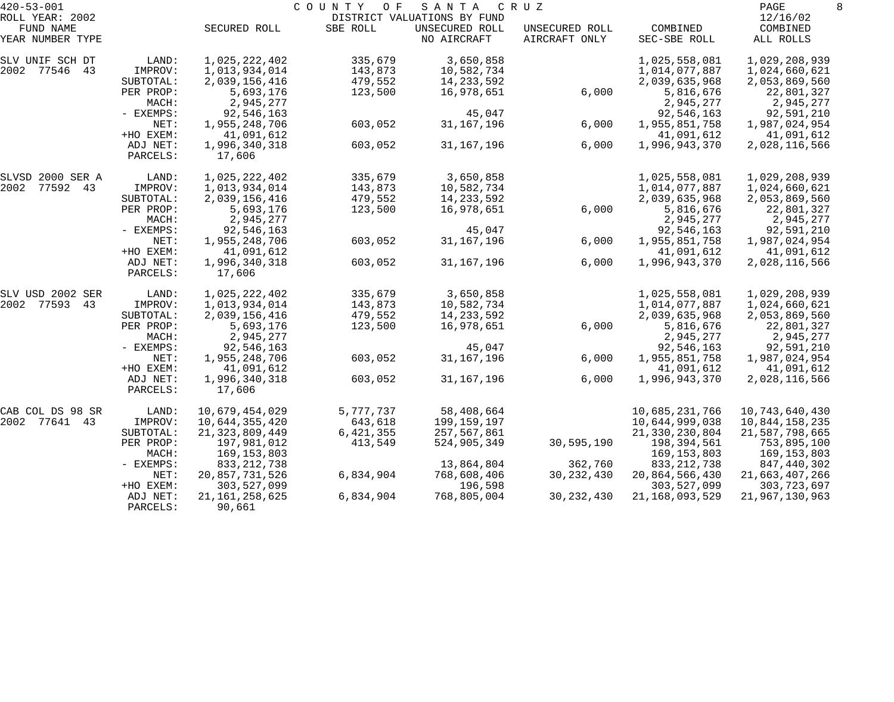| $420 - 53 - 001$             |                      |                         | COUNTY<br>O F | SANTA                                         | C R U Z        |                        | PAGE                    |
|------------------------------|----------------------|-------------------------|---------------|-----------------------------------------------|----------------|------------------------|-------------------------|
| ROLL YEAR: 2002<br>FUND NAME |                      | SECURED ROLL            | SBE ROLL      | DISTRICT VALUATIONS BY FUND<br>UNSECURED ROLL | UNSECURED ROLL | COMBINED               | 12/16/02<br>COMBINED    |
| YEAR NUMBER TYPE             |                      |                         |               | NO AIRCRAFT                                   | AIRCRAFT ONLY  | SEC-SBE ROLL           | ALL ROLLS               |
| SLV UNIF SCH DT              | LAND:                | 1,025,222,402           | 335,679       | 3,650,858                                     |                | 1,025,558,081          | 1,029,208,939           |
| 2002 77546 43                | IMPROV:              | 1,013,934,014           | 143,873       | 10,582,734                                    |                | 1,014,077,887          | 1,024,660,621           |
|                              | SUBTOTAL:            | 2,039,156,416           | 479,552       | 14,233,592                                    |                | 2,039,635,968          | 2,053,869,560           |
|                              | PER PROP:<br>MACH:   | 5,693,176<br>2,945,277  | 123,500       | 16,978,651                                    | 6,000          | 5,816,676<br>2,945,277 | 22,801,327<br>2,945,277 |
|                              | - EXEMPS:            | 92,546,163              |               | 45,047                                        |                | 92,546,163             | 92,591,210              |
|                              | NET:                 | 1,955,248,706           | 603,052       | 31, 167, 196                                  | 6,000          | 1,955,851,758          | 1,987,024,954           |
|                              | +HO EXEM:            | 41,091,612              |               |                                               |                | 41,091,612             | 41,091,612              |
|                              | ADJ NET:<br>PARCELS: | 1,996,340,318<br>17,606 | 603,052       | 31, 167, 196                                  | 6,000          | 1,996,943,370          | 2,028,116,566           |
| SLVSD 2000 SER A             | LAND:                | 1,025,222,402           | 335,679       | 3,650,858                                     |                | 1,025,558,081          | 1,029,208,939           |
| 77592 43<br>2002             | IMPROV:              | 1,013,934,014           | 143,873       | 10,582,734                                    |                | 1,014,077,887          | 1,024,660,621           |
|                              | SUBTOTAL:            | 2,039,156,416           | 479,552       | 14, 233, 592                                  |                | 2,039,635,968          | 2,053,869,560           |
|                              | PER PROP:            | 5,693,176               | 123,500       | 16,978,651                                    | 6,000          | 5,816,676              | 22,801,327              |
|                              | MACH:                | 2,945,277               |               |                                               |                | 2,945,277              | 2,945,277               |
|                              | - EXEMPS:            | 92,546,163              |               | 45,047                                        |                | 92,546,163             | 92,591,210              |
|                              | NET:                 | 1,955,248,706           | 603,052       | 31, 167, 196                                  | 6,000          | 1,955,851,758          | 1,987,024,954           |
|                              | +HO EXEM:            | 41,091,612              |               |                                               |                | 41,091,612             | 41,091,612              |
|                              | ADJ NET:<br>PARCELS: | 1,996,340,318<br>17,606 | 603,052       | 31, 167, 196                                  | 6,000          | 1,996,943,370          | 2,028,116,566           |
| SLV USD 2002 SER             | LAND:                | 1,025,222,402           | 335,679       | 3,650,858                                     |                | 1,025,558,081          | 1,029,208,939           |
| 2002 77593 43                | IMPROV:              | 1,013,934,014           | 143,873       | 10,582,734                                    |                | 1,014,077,887          | 1,024,660,621           |
|                              | SUBTOTAL:            | 2,039,156,416           | 479,552       | 14,233,592                                    |                | 2,039,635,968          | 2,053,869,560           |
|                              | PER PROP:            | 5,693,176               | 123,500       | 16,978,651                                    | 6,000          | 5,816,676              | 22,801,327              |
|                              | MACH:                | 2,945,277               |               |                                               |                | 2,945,277              | 2,945,277               |
|                              | - EXEMPS:            | 92,546,163              |               | 45,047                                        |                | 92,546,163             | 92,591,210              |
|                              | NET:                 | 1,955,248,706           | 603,052       | 31, 167, 196                                  | 6,000          | 1,955,851,758          | 1,987,024,954           |
|                              | +HO EXEM:            | 41,091,612              |               |                                               |                | 41,091,612             | 41,091,612              |
|                              | ADJ NET:<br>PARCELS: | 1,996,340,318<br>17,606 | 603,052       | 31, 167, 196                                  | 6,000          | 1,996,943,370          | 2,028,116,566           |
| CAB COL DS 98 SR             | LAND:                | 10,679,454,029          | 5,777,737     | 58,408,664                                    |                | 10,685,231,766         | 10,743,640,430          |
| 2002<br>77641<br>43          | IMPROV:              | 10,644,355,420          | 643,618       | 199,159,197                                   |                | 10,644,999,038         | 10,844,158,235          |
|                              | SUBTOTAL:            | 21, 323, 809, 449       | 6,421,355     | 257,567,861                                   |                | 21, 330, 230, 804      | 21,587,798,665          |
|                              | PER PROP:            | 197,981,012             | 413,549       | 524,905,349                                   | 30,595,190     | 198,394,561            | 753,895,100             |
|                              | MACH:                | 169,153,803             |               |                                               |                | 169, 153, 803          | 169,153,803             |
|                              | $-$ EXEMPS:          | 833, 212, 738           |               | 13,864,804                                    | 362,760        | 833, 212, 738          | 847,440,302             |
|                              | NET:                 | 20,857,731,526          | 6,834,904     | 768,608,406                                   | 30, 232, 430   | 20,864,566,430         | 21,663,407,266          |
|                              | +HO EXEM:            | 303,527,099             |               | 196,598                                       |                | 303,527,099            | 303,723,697             |
|                              | ADJ NET:             | 21, 161, 258, 625       | 6,834,904     | 768,805,004                                   | 30, 232, 430   | 21, 168, 093, 529      | 21,967,130,963          |
|                              | PARCELS:             | 90,661                  |               |                                               |                |                        |                         |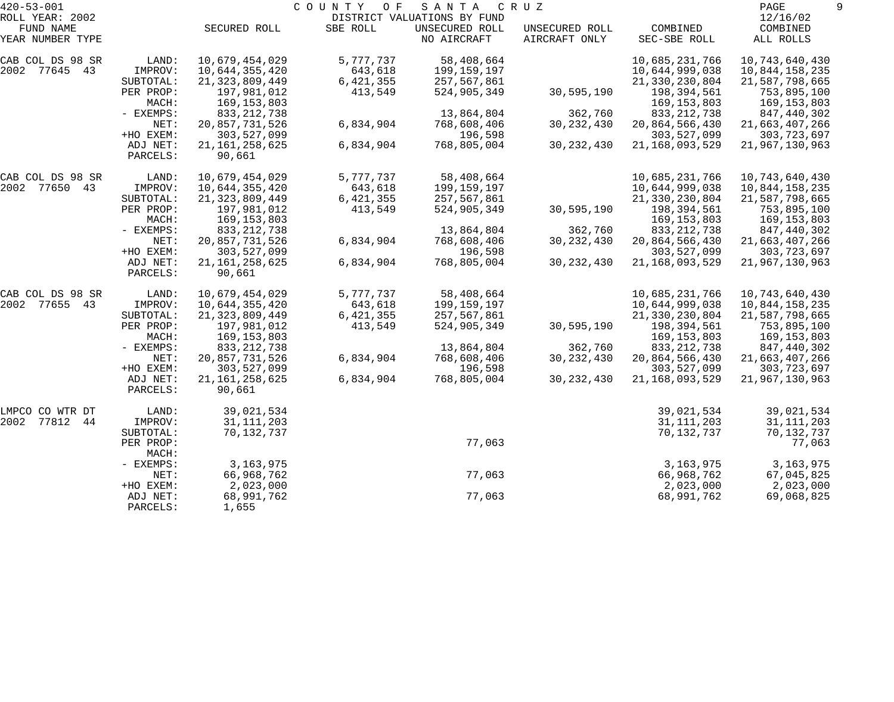| $420 - 53 - 001$              |                      |                             | COUNTY<br>O F | SANTA                         | C R U Z                         |                          | PAGE                  |  |
|-------------------------------|----------------------|-----------------------------|---------------|-------------------------------|---------------------------------|--------------------------|-----------------------|--|
| ROLL YEAR: 2002               |                      |                             |               | DISTRICT VALUATIONS BY FUND   |                                 |                          | 12/16/02              |  |
| FUND NAME<br>YEAR NUMBER TYPE |                      | SECURED ROLL                | SBE ROLL      | UNSECURED ROLL<br>NO AIRCRAFT | UNSECURED ROLL<br>AIRCRAFT ONLY | COMBINED<br>SEC-SBE ROLL | COMBINED<br>ALL ROLLS |  |
| CAB COL DS 98 SR              | LAND:                | 10,679,454,029              | 5,777,737     | 58,408,664                    |                                 | 10,685,231,766           | 10,743,640,430        |  |
| 2002 77645 43                 | IMPROV:              | 10,644,355,420              | 643,618       | 199,159,197                   |                                 | 10,644,999,038           | 10,844,158,235        |  |
|                               | SUBTOTAL:            | 21, 323, 809, 449           | 6,421,355     | 257,567,861                   |                                 | 21, 330, 230, 804        | 21,587,798,665        |  |
|                               | PER PROP:            | 197,981,012                 | 413,549       | 524,905,349                   | 30,595,190                      | 198,394,561              | 753,895,100           |  |
|                               | MACH:                | 169,153,803                 |               |                               |                                 | 169,153,803              | 169,153,803           |  |
|                               | - EXEMPS:            | 833, 212, 738               |               | 13,864,804                    | 362,760                         | 833, 212, 738            | 847,440,302           |  |
|                               | NET:                 | 20,857,731,526              | 6,834,904     | 768,608,406                   | 30, 232, 430                    | 20,864,566,430           | 21,663,407,266        |  |
|                               | +HO EXEM:            | 303,527,099                 |               | 196,598                       |                                 | 303,527,099              | 303,723,697           |  |
|                               | ADJ NET:<br>PARCELS: | 21, 161, 258, 625<br>90,661 | 6,834,904     | 768,805,004                   | 30, 232, 430                    | 21, 168, 093, 529        | 21,967,130,963        |  |
| CAB COL DS 98 SR              | LAND:                | 10,679,454,029              | 5,777,737     | 58,408,664                    |                                 | 10,685,231,766           | 10, 743, 640, 430     |  |
| 2002 77650 43                 | IMPROV:              | 10,644,355,420              | 643,618       | 199,159,197                   |                                 | 10,644,999,038           | 10,844,158,235        |  |
|                               | SUBTOTAL:            | 21, 323, 809, 449           | 6,421,355     | 257,567,861                   |                                 | 21, 330, 230, 804        | 21,587,798,665        |  |
|                               | PER PROP:            | 197,981,012                 | 413,549       | 524,905,349                   | 30,595,190                      | 198,394,561              | 753,895,100           |  |
|                               | MACH:                | 169,153,803                 |               |                               |                                 | 169, 153, 803            | 169,153,803           |  |
|                               | - EXEMPS:            | 833, 212, 738               |               | 13,864,804                    | 362,760                         | 833, 212, 738            | 847,440,302           |  |
|                               | NET:                 | 20,857,731,526              | 6,834,904     | 768,608,406                   | 30, 232, 430                    | 20,864,566,430           | 21,663,407,266        |  |
|                               | +HO EXEM:            | 303,527,099                 |               | 196,598                       |                                 | 303,527,099              | 303,723,697           |  |
|                               | ADJ NET:<br>PARCELS: | 21, 161, 258, 625<br>90,661 | 6,834,904     | 768,805,004                   | 30, 232, 430                    | 21, 168, 093, 529        | 21,967,130,963        |  |
| CAB COL DS 98 SR              | LAND:                | 10,679,454,029              | 5,777,737     | 58,408,664                    |                                 | 10,685,231,766           | 10,743,640,430        |  |
| 2002 77655 43                 | IMPROV:              | 10,644,355,420              | 643,618       | 199,159,197                   |                                 | 10,644,999,038           | 10,844,158,235        |  |
|                               | SUBTOTAL:            | 21, 323, 809, 449           | 6,421,355     | 257,567,861                   |                                 | 21, 330, 230, 804        | 21,587,798,665        |  |
|                               | PER PROP:            | 197,981,012                 | 413,549       | 524,905,349                   | 30,595,190                      | 198,394,561              | 753,895,100           |  |
|                               | MACH:                | 169,153,803                 |               |                               |                                 | 169, 153, 803            | 169,153,803           |  |
|                               | - EXEMPS:            | 833, 212, 738               |               | 13,864,804                    | 362,760                         | 833, 212, 738            | 847,440,302           |  |
|                               | NET:                 | 20,857,731,526              | 6,834,904     | 768,608,406                   | 30, 232, 430                    | 20,864,566,430           | 21,663,407,266        |  |
|                               | +HO EXEM:            | 303,527,099                 |               | 196,598                       |                                 | 303,527,099              | 303,723,697           |  |
|                               | ADJ NET:<br>PARCELS: | 21, 161, 258, 625<br>90,661 | 6,834,904     | 768,805,004                   | 30, 232, 430                    | 21, 168, 093, 529        | 21,967,130,963        |  |
| LMPCO CO WTR DT               | LAND:                | 39,021,534                  |               |                               |                                 | 39,021,534               | 39,021,534            |  |
| 2002<br>77812 44              | IMPROV:              | 31, 111, 203                |               |                               |                                 | 31, 111, 203             | 31, 111, 203          |  |
|                               | SUBTOTAL:            | 70,132,737                  |               |                               |                                 | 70,132,737               | 70,132,737            |  |
|                               | PER PROP:<br>MACH:   |                             |               | 77,063                        |                                 |                          | 77,063                |  |
|                               | - EXEMPS:            | 3, 163, 975                 |               |                               |                                 | 3, 163, 975              | 3, 163, 975           |  |
|                               | NET:                 | 66,968,762                  |               | 77,063                        |                                 | 66,968,762               | 67,045,825            |  |
|                               | +HO EXEM:            | 2,023,000                   |               |                               |                                 | 2,023,000                | 2,023,000             |  |
|                               | ADJ NET:<br>PARCELS: | 68,991,762<br>1,655         |               | 77,063                        |                                 | 68,991,762               | 69,068,825            |  |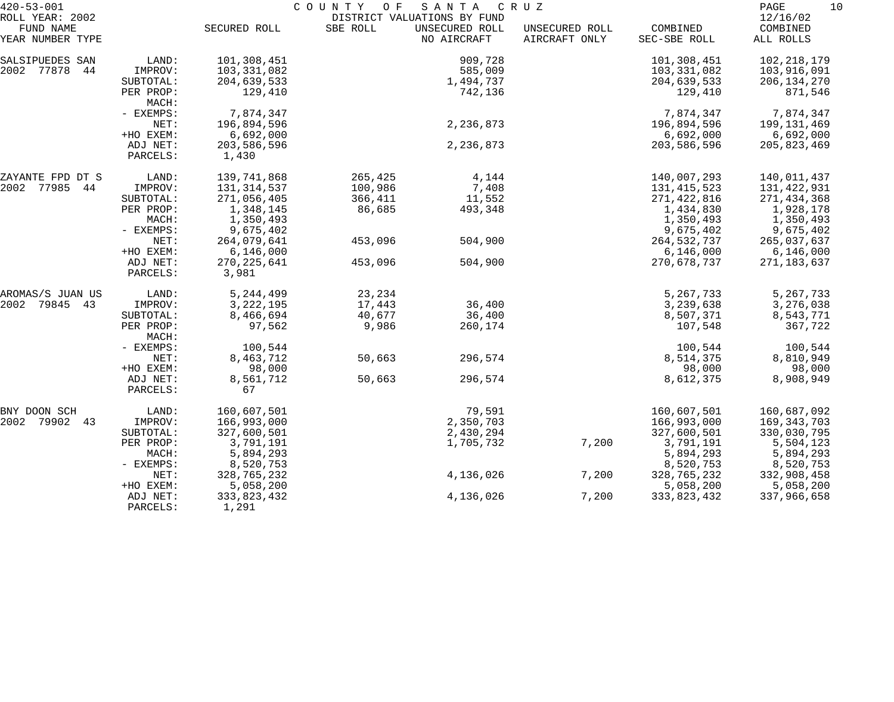| $420 - 53 - 001$                                 |                      |                      | COUNTY OF SANTA |                                                              | C R U Z                         |                          | PAGE<br>10                        |
|--------------------------------------------------|----------------------|----------------------|-----------------|--------------------------------------------------------------|---------------------------------|--------------------------|-----------------------------------|
| ROLL YEAR: 2002<br>FUND NAME<br>YEAR NUMBER TYPE |                      | SECURED ROLL         | SBE ROLL        | DISTRICT VALUATIONS BY FUND<br>UNSECURED ROLL<br>NO AIRCRAFT | UNSECURED ROLL<br>AIRCRAFT ONLY | COMBINED<br>SEC-SBE ROLL | 12/16/02<br>COMBINED<br>ALL ROLLS |
|                                                  |                      |                      |                 |                                                              |                                 |                          |                                   |
| SALSIPUEDES SAN                                  | LAND:                | 101,308,451          |                 | 909,728                                                      |                                 | 101,308,451              | 102, 218, 179                     |
| 2002 77878<br>44                                 | IMPROV:              | 103,331,082          |                 | 585,009                                                      |                                 | 103,331,082              | 103,916,091                       |
|                                                  | SUBTOTAL:            | 204,639,533          |                 | 1,494,737                                                    |                                 | 204,639,533              | 206, 134, 270                     |
|                                                  | PER PROP:<br>MACH:   | 129,410              |                 | 742,136                                                      |                                 | 129,410                  | 871,546                           |
|                                                  | $-$ EXEMPS:          | 7,874,347            |                 |                                                              |                                 | 7,874,347                | 7,874,347                         |
|                                                  | NET:                 | 196,894,596          |                 | 2,236,873                                                    |                                 | 196,894,596              | 199,131,469                       |
|                                                  | +HO EXEM:            | 6,692,000            |                 |                                                              |                                 | 6,692,000                | 6,692,000                         |
|                                                  | ADJ NET:<br>PARCELS: | 203,586,596<br>1,430 |                 | 2, 236, 873                                                  |                                 | 203,586,596              | 205,823,469                       |
| ZAYANTE FPD DT S                                 | LAND:                | 139,741,868          | 265,425         | 4,144                                                        |                                 | 140,007,293              | 140,011,437                       |
| 2002 77985 44                                    | IMPROV:              | 131, 314, 537        | 100,986         | 7,408                                                        |                                 | 131, 415, 523            | 131,422,931                       |
|                                                  | SUBTOTAL:            | 271,056,405          | 366,411         | 11,552                                                       |                                 | 271,422,816              | 271,434,368                       |
|                                                  | PER PROP:            | 1,348,145            | 86,685          | 493,348                                                      |                                 | 1,434,830                | 1,928,178                         |
|                                                  | MACH:                | 1,350,493            |                 |                                                              |                                 | 1,350,493                | 1,350,493                         |
|                                                  | - EXEMPS:            | 9,675,402            |                 |                                                              |                                 | 9,675,402                | 9,675,402                         |
|                                                  | NET:                 | 264,079,641          | 453,096         | 504,900                                                      |                                 | 264,532,737              | 265,037,637                       |
|                                                  | +HO EXEM:            | 6,146,000            |                 |                                                              |                                 | 6,146,000                | 6,146,000                         |
|                                                  | ADJ NET:             | 270, 225, 641        | 453,096         | 504,900                                                      |                                 | 270,678,737              | 271,183,637                       |
|                                                  | PARCELS:             | 3,981                |                 |                                                              |                                 |                          |                                   |
| AROMAS/S JUAN US                                 | LAND:                | 5, 244, 499          | 23,234          |                                                              |                                 | 5,267,733                | 5, 267, 733                       |
| 2002 79845 43                                    | IMPROV:              | 3, 222, 195          | 17,443          | 36,400                                                       |                                 | 3,239,638                | 3,276,038                         |
|                                                  | SUBTOTAL:            | 8,466,694            | 40,677          | 36,400                                                       |                                 | 8,507,371                | 8,543,771                         |
|                                                  | PER PROP:<br>MACH:   | 97,562               | 9,986           | 260,174                                                      |                                 | 107,548                  | 367,722                           |
|                                                  | - EXEMPS:            | 100,544              |                 |                                                              |                                 | 100,544                  | 100,544                           |
|                                                  | NET:                 | 8,463,712            | 50,663          | 296,574                                                      |                                 | 8,514,375                | 8,810,949                         |
|                                                  | +HO EXEM:            | 98,000               |                 |                                                              |                                 | 98,000                   | 98,000                            |
|                                                  | ADJ NET:             | 8,561,712            | 50,663          | 296,574                                                      |                                 | 8,612,375                | 8,908,949                         |
|                                                  | PARCELS:             | 67                   |                 |                                                              |                                 |                          |                                   |
| BNY DOON SCH                                     | LAND:                | 160,607,501          |                 | 79,591                                                       |                                 | 160,607,501              | 160,687,092                       |
| 2002 79902<br>43                                 | IMPROV:              | 166,993,000          |                 | 2,350,703                                                    |                                 | 166,993,000              | 169, 343, 703                     |
|                                                  | SUBTOTAL:            | 327,600,501          |                 | 2,430,294                                                    |                                 | 327,600,501              | 330,030,795                       |
|                                                  | PER PROP:            | 3,791,191            |                 | 1,705,732                                                    | 7,200                           | 3,791,191                | 5,504,123                         |
|                                                  | MACH:                | 5,894,293            |                 |                                                              |                                 | 5,894,293                | 5,894,293                         |
|                                                  | - EXEMPS:            | 8,520,753            |                 |                                                              |                                 | 8,520,753                | 8,520,753                         |
|                                                  | NET:                 | 328,765,232          |                 | 4,136,026                                                    | 7,200                           | 328,765,232              | 332,908,458                       |
|                                                  | +HO EXEM:            | 5,058,200            |                 |                                                              |                                 | 5,058,200                | 5,058,200                         |
|                                                  | ADJ NET:             | 333,823,432          |                 | 4,136,026                                                    | 7,200                           | 333,823,432              | 337,966,658                       |
|                                                  | PARCELS:             | 1,291                |                 |                                                              |                                 |                          |                                   |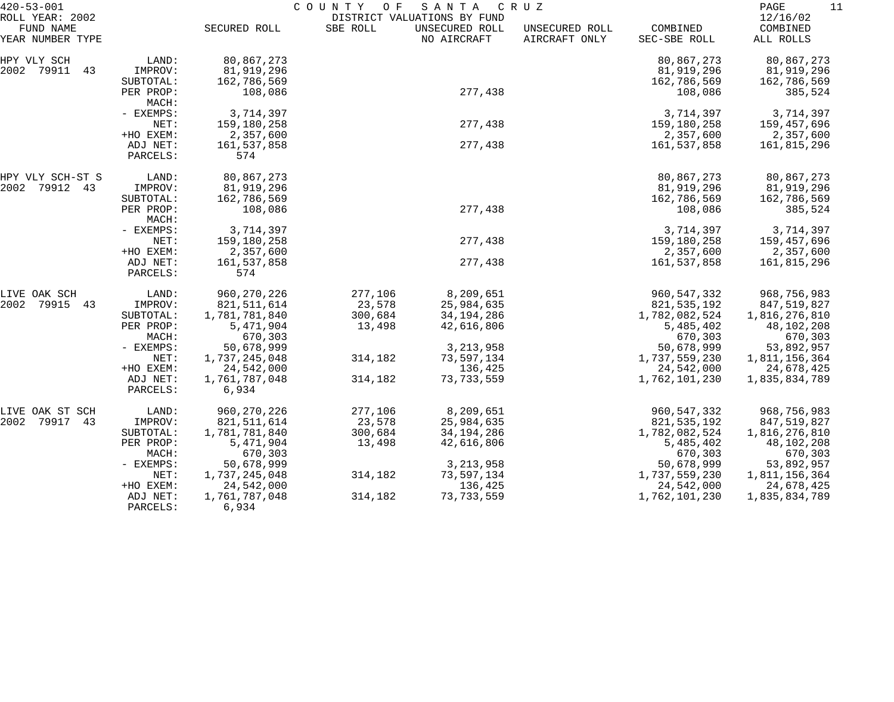| $420 - 53 - 001$                                 |                      | COUNTY<br>O F<br>SANTA<br>C R U Z |          |                                                              |                                 |                          |                                   |  |
|--------------------------------------------------|----------------------|-----------------------------------|----------|--------------------------------------------------------------|---------------------------------|--------------------------|-----------------------------------|--|
| ROLL YEAR: 2002<br>FUND NAME<br>YEAR NUMBER TYPE |                      | SECURED ROLL                      | SBE ROLL | DISTRICT VALUATIONS BY FUND<br>UNSECURED ROLL<br>NO AIRCRAFT | UNSECURED ROLL<br>AIRCRAFT ONLY | COMBINED<br>SEC-SBE ROLL | 12/16/02<br>COMBINED<br>ALL ROLLS |  |
| HPY VLY SCH                                      | LAND:                | 80,867,273                        |          |                                                              |                                 | 80,867,273               | 80,867,273                        |  |
| 2002 79911<br>43                                 | IMPROV:              | 81,919,296                        |          |                                                              |                                 | 81,919,296               | 81,919,296                        |  |
|                                                  | SUBTOTAL:            | 162,786,569                       |          |                                                              |                                 | 162,786,569              | 162,786,569                       |  |
|                                                  | PER PROP:<br>MACH:   | 108,086                           |          | 277,438                                                      |                                 | 108,086                  | 385,524                           |  |
|                                                  | - EXEMPS:            | 3,714,397                         |          |                                                              |                                 | 3,714,397                | 3,714,397                         |  |
|                                                  | NET:                 | 159,180,258                       |          | 277,438                                                      |                                 | 159,180,258              | 159,457,696                       |  |
|                                                  | +HO EXEM:            | 2,357,600                         |          |                                                              |                                 | 2,357,600                | 2,357,600                         |  |
|                                                  | ADJ NET:<br>PARCELS: | 161,537,858<br>574                |          | 277,438                                                      |                                 | 161,537,858              | 161,815,296                       |  |
| HPY VLY SCH-ST S                                 | LAND:                | 80,867,273                        |          |                                                              |                                 | 80,867,273               | 80,867,273                        |  |
| 2002 79912 43                                    | IMPROV:              | 81,919,296                        |          |                                                              |                                 | 81,919,296               | 81,919,296                        |  |
|                                                  | SUBTOTAL:            | 162,786,569                       |          |                                                              |                                 | 162,786,569              | 162,786,569                       |  |
|                                                  | PER PROP:            | 108,086                           |          | 277,438                                                      |                                 | 108,086                  | 385,524                           |  |
|                                                  | MACH:<br>- EXEMPS:   | 3,714,397                         |          |                                                              |                                 | 3,714,397                | 3,714,397                         |  |
|                                                  | NET:                 | 159,180,258                       |          | 277,438                                                      |                                 | 159,180,258              | 159,457,696                       |  |
|                                                  | +HO EXEM:            | 2,357,600                         |          |                                                              |                                 | 2,357,600                | 2,357,600                         |  |
|                                                  | ADJ NET:             | 161,537,858                       |          | 277,438                                                      |                                 | 161,537,858              | 161,815,296                       |  |
|                                                  | PARCELS:             | 574                               |          |                                                              |                                 |                          |                                   |  |
| LIVE OAK SCH                                     | LAND:                | 960, 270, 226                     | 277,106  | 8,209,651                                                    |                                 | 960, 547, 332            | 968,756,983                       |  |
| 2002<br>79915<br>43                              | IMPROV:              | 821, 511, 614                     | 23,578   | 25,984,635                                                   |                                 | 821,535,192              | 847,519,827                       |  |
|                                                  | SUBTOTAL:            | 1,781,781,840                     | 300,684  | 34,194,286                                                   |                                 | 1,782,082,524            | 1,816,276,810                     |  |
|                                                  | PER PROP:            | 5,471,904                         | 13,498   | 42,616,806                                                   |                                 | 5,485,402                | 48,102,208                        |  |
|                                                  | MACH:                | 670,303                           |          |                                                              |                                 | 670,303                  | 670,303                           |  |
|                                                  | - EXEMPS:            | 50,678,999                        |          | 3, 213, 958                                                  |                                 | 50,678,999               | 53,892,957                        |  |
|                                                  | NET:                 | 1,737,245,048                     | 314,182  | 73,597,134                                                   |                                 | 1,737,559,230            | 1,811,156,364                     |  |
|                                                  | +HO EXEM:            | 24,542,000                        |          | 136,425                                                      |                                 | 24,542,000               | 24,678,425                        |  |
|                                                  | ADJ NET:<br>PARCELS: | 1,761,787,048<br>6,934            | 314,182  | 73, 733, 559                                                 |                                 | 1,762,101,230            | 1,835,834,789                     |  |
| LIVE OAK ST SCH                                  | LAND:                | 960,270,226                       | 277,106  | 8,209,651                                                    |                                 | 960, 547, 332            | 968,756,983                       |  |
| 2002<br>79917<br>43                              | IMPROV:              | 821,511,614                       | 23,578   | 25,984,635                                                   |                                 | 821, 535, 192            | 847,519,827                       |  |
|                                                  | SUBTOTAL:            | 1,781,781,840                     | 300,684  | 34,194,286                                                   |                                 | 1,782,082,524            | 1,816,276,810                     |  |
|                                                  | PER PROP:            | 5,471,904                         | 13,498   | 42,616,806                                                   |                                 | 5,485,402                | 48,102,208                        |  |
|                                                  | MACH:                | 670,303                           |          |                                                              |                                 | 670,303                  | 670,303                           |  |
|                                                  | - EXEMPS:            | 50,678,999                        |          | 3, 213, 958                                                  |                                 | 50,678,999               | 53,892,957                        |  |
|                                                  | NET:                 | 1,737,245,048                     | 314,182  | 73,597,134                                                   |                                 | 1,737,559,230            | 1,811,156,364                     |  |
|                                                  | +HO EXEM:            | 24,542,000                        |          | 136,425                                                      |                                 | 24,542,000               | 24,678,425                        |  |
|                                                  | ADJ NET:<br>PARCELS: | 1,761,787,048<br>6,934            | 314,182  | 73, 733, 559                                                 |                                 | 1,762,101,230            | 1,835,834,789                     |  |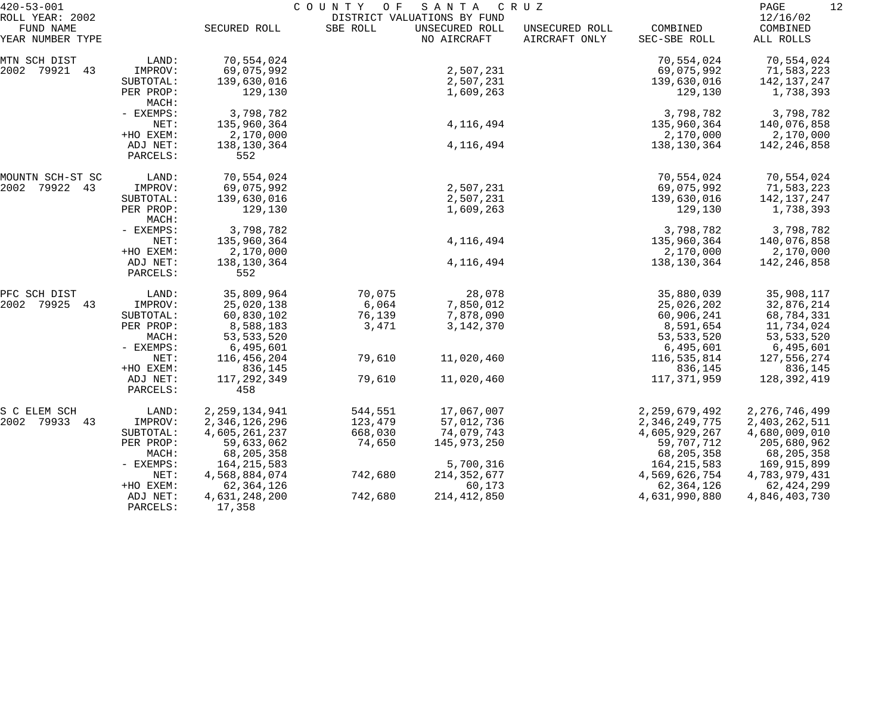| $420 - 53 - 001$                                 |                      | COUNTY OF<br>SANTA<br>C R U Z<br>DISTRICT VALUATIONS BY FUND |          |                               |                                 |                          |                                   |  |  |
|--------------------------------------------------|----------------------|--------------------------------------------------------------|----------|-------------------------------|---------------------------------|--------------------------|-----------------------------------|--|--|
| ROLL YEAR: 2002<br>FUND NAME<br>YEAR NUMBER TYPE |                      | SECURED ROLL                                                 | SBE ROLL | UNSECURED ROLL<br>NO AIRCRAFT | UNSECURED ROLL<br>AIRCRAFT ONLY | COMBINED<br>SEC-SBE ROLL | 12/16/02<br>COMBINED<br>ALL ROLLS |  |  |
| MTN SCH DIST                                     | LAND:                | 70,554,024                                                   |          |                               |                                 | 70,554,024               | 70,554,024                        |  |  |
| 2002 79921 43                                    | IMPROV:              | 69,075,992                                                   |          | 2,507,231                     |                                 | 69,075,992               | 71,583,223                        |  |  |
|                                                  | SUBTOTAL:            | 139,630,016                                                  |          | 2,507,231                     |                                 | 139,630,016              | 142,137,247                       |  |  |
|                                                  | PER PROP:<br>MACH:   | 129,130                                                      |          | 1,609,263                     |                                 | 129,130                  | 1,738,393                         |  |  |
|                                                  | - EXEMPS:            | 3,798,782                                                    |          |                               |                                 | 3,798,782                | 3,798,782                         |  |  |
|                                                  | NET:                 | 135,960,364                                                  |          | 4, 116, 494                   |                                 | 135,960,364              | 140,076,858                       |  |  |
|                                                  | +HO EXEM:            | 2,170,000                                                    |          |                               |                                 | 2,170,000                | 2,170,000                         |  |  |
|                                                  | ADJ NET:<br>PARCELS: | 138,130,364<br>552                                           |          | 4, 116, 494                   |                                 | 138,130,364              | 142,246,858                       |  |  |
| MOUNTN SCH-ST SC                                 | LAND:                | 70,554,024                                                   |          |                               |                                 | 70,554,024               | 70,554,024                        |  |  |
| 79922 43<br>2002                                 | IMPROV:              | 69,075,992                                                   |          | 2,507,231                     |                                 | 69,075,992               | 71,583,223                        |  |  |
|                                                  | SUBTOTAL:            | 139,630,016                                                  |          | 2,507,231                     |                                 | 139,630,016              | 142,137,247                       |  |  |
|                                                  | PER PROP:<br>MACH:   | 129,130                                                      |          | 1,609,263                     |                                 | 129,130                  | 1,738,393                         |  |  |
|                                                  | - EXEMPS:            | 3,798,782                                                    |          |                               |                                 | 3,798,782                | 3,798,782                         |  |  |
|                                                  | NET:                 | 135,960,364                                                  |          | 4, 116, 494                   |                                 | 135,960,364              | 140,076,858                       |  |  |
|                                                  | +HO EXEM:            | 2,170,000                                                    |          |                               |                                 | 2,170,000                | 2,170,000                         |  |  |
|                                                  | ADJ NET:<br>PARCELS: | 138,130,364<br>552                                           |          | 4, 116, 494                   |                                 | 138,130,364              | 142,246,858                       |  |  |
| PFC SCH DIST                                     | LAND:                | 35,809,964                                                   | 70,075   | 28,078                        |                                 | 35,880,039               | 35,908,117                        |  |  |
| 2002<br>79925 43                                 | IMPROV:              | 25,020,138                                                   | 6,064    | 7,850,012                     |                                 | 25,026,202               | 32,876,214                        |  |  |
|                                                  | SUBTOTAL:            | 60,830,102                                                   | 76,139   | 7,878,090                     |                                 | 60,906,241               | 68,784,331                        |  |  |
|                                                  | PER PROP:            | 8,588,183                                                    | 3,471    | 3, 142, 370                   |                                 | 8,591,654                | 11,734,024                        |  |  |
|                                                  | MACH:                | 53, 533, 520                                                 |          |                               |                                 | 53, 533, 520             | 53, 533, 520                      |  |  |
|                                                  | - EXEMPS:            | 6,495,601                                                    |          |                               |                                 | 6,495,601                | 6,495,601                         |  |  |
|                                                  | NET:                 | 116,456,204                                                  | 79,610   | 11,020,460                    |                                 | 116,535,814              | 127,556,274                       |  |  |
|                                                  | +HO EXEM:            | 836,145                                                      |          |                               |                                 | 836,145                  | 836,145                           |  |  |
|                                                  | ADJ NET:<br>PARCELS: | 117, 292, 349<br>458                                         | 79,610   | 11,020,460                    |                                 | 117,371,959              | 128,392,419                       |  |  |
| S C ELEM SCH                                     | LAND:                | 2, 259, 134, 941                                             | 544,551  | 17,067,007                    |                                 | 2, 259, 679, 492         | 2, 276, 746, 499                  |  |  |
| 2002 79933<br>43                                 | IMPROV:              | 2,346,126,296                                                | 123,479  | 57,012,736                    |                                 | 2,346,249,775            | 2,403,262,511                     |  |  |
|                                                  | SUBTOTAL:            | 4,605,261,237                                                | 668,030  | 74,079,743                    |                                 | 4,605,929,267            | 4,680,009,010                     |  |  |
|                                                  | PER PROP:            | 59,633,062                                                   | 74,650   | 145,973,250                   |                                 | 59,707,712               | 205,680,962                       |  |  |
|                                                  | MACH:                | 68,205,358                                                   |          |                               |                                 | 68, 205, 358             | 68,205,358                        |  |  |
|                                                  | $-$ EXEMPS:          | 164, 215, 583                                                |          | 5,700,316                     |                                 | 164, 215, 583            | 169,915,899                       |  |  |
|                                                  | NET:                 | 4,568,884,074                                                | 742,680  | 214, 352, 677                 |                                 | 4,569,626,754            | 4,783,979,431                     |  |  |
|                                                  | +HO EXEM:            | 62,364,126                                                   |          | 60,173                        |                                 | 62, 364, 126             | 62, 424, 299                      |  |  |
|                                                  | ADJ NET:<br>PARCELS: | 4,631,248,200<br>17,358                                      | 742,680  | 214, 412, 850                 |                                 | 4,631,990,880            | 4,846,403,730                     |  |  |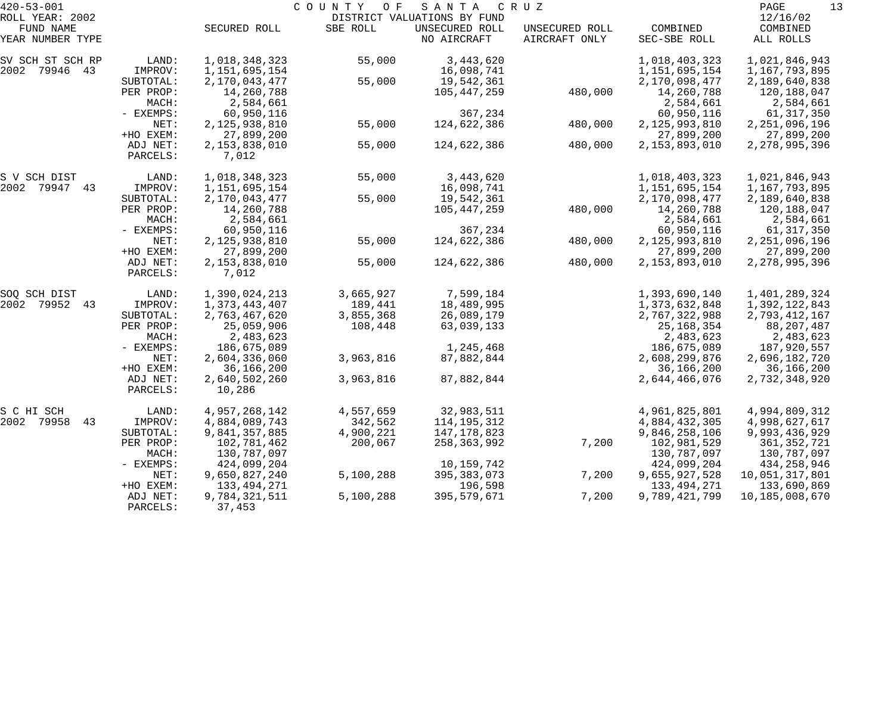| $420 - 53 - 001$    |           |               | COUNTY<br>O F | SANTA                       | C R U Z        |               | 13<br>PAGE       |
|---------------------|-----------|---------------|---------------|-----------------------------|----------------|---------------|------------------|
| ROLL YEAR: 2002     |           |               |               | DISTRICT VALUATIONS BY FUND |                |               | 12/16/02         |
| FUND NAME           |           | SECURED ROLL  | SBE ROLL      | UNSECURED ROLL              | UNSECURED ROLL | COMBINED      | COMBINED         |
| YEAR NUMBER TYPE    |           |               |               | NO AIRCRAFT                 | AIRCRAFT ONLY  | SEC-SBE ROLL  | ALL ROLLS        |
| SV SCH ST SCH RP    | LAND:     | 1,018,348,323 | 55,000        | 3,443,620                   |                | 1,018,403,323 | 1,021,846,943    |
| 2002 79946 43       | IMPROV:   | 1,151,695,154 |               | 16,098,741                  |                | 1,151,695,154 | 1,167,793,895    |
|                     | SUBTOTAL: | 2,170,043,477 | 55,000        | 19,542,361                  |                | 2,170,098,477 | 2,189,640,838    |
|                     | PER PROP: | 14,260,788    |               | 105,447,259                 | 480,000        | 14,260,788    | 120,188,047      |
|                     | MACH:     | 2,584,661     |               |                             |                | 2,584,661     | 2,584,661        |
|                     | - EXEMPS: | 60,950,116    |               | 367,234                     |                | 60,950,116    | 61,317,350       |
|                     | NET:      | 2,125,938,810 | 55,000        | 124,622,386                 | 480,000        | 2,125,993,810 | 2, 251, 096, 196 |
|                     | +HO EXEM: | 27,899,200    |               |                             |                | 27,899,200    | 27,899,200       |
|                     | ADJ NET:  | 2,153,838,010 | 55,000        | 124,622,386                 | 480,000        | 2,153,893,010 | 2, 278, 995, 396 |
|                     | PARCELS:  | 7,012         |               |                             |                |               |                  |
| S V SCH DIST        | LAND:     | 1,018,348,323 | 55,000        | 3,443,620                   |                | 1,018,403,323 | 1,021,846,943    |
| 2002 79947 43       | IMPROV:   | 1,151,695,154 |               | 16,098,741                  |                | 1,151,695,154 | 1,167,793,895    |
|                     | SUBTOTAL: | 2,170,043,477 | 55,000        | 19,542,361                  |                | 2,170,098,477 | 2,189,640,838    |
|                     | PER PROP: | 14,260,788    |               | 105,447,259                 | 480,000        | 14,260,788    | 120,188,047      |
|                     | MACH:     | 2,584,661     |               |                             |                | 2,584,661     | 2,584,661        |
|                     | - EXEMPS: | 60,950,116    |               | 367,234                     |                | 60,950,116    | 61,317,350       |
|                     | NET:      | 2,125,938,810 | 55,000        | 124,622,386                 | 480,000        | 2,125,993,810 | 2, 251, 096, 196 |
|                     | +HO EXEM: | 27,899,200    |               |                             |                | 27,899,200    | 27,899,200       |
|                     | ADJ NET:  | 2,153,838,010 | 55,000        | 124,622,386                 | 480,000        | 2,153,893,010 | 2, 278, 995, 396 |
|                     | PARCELS:  | 7,012         |               |                             |                |               |                  |
| SOQ SCH DIST        | LAND:     | 1,390,024,213 | 3,665,927     | 7,599,184                   |                | 1,393,690,140 | 1,401,289,324    |
| 2002<br>79952<br>43 | IMPROV:   | 1,373,443,407 | 189,441       | 18,489,995                  |                | 1,373,632,848 | 1,392,122,843    |
|                     | SUBTOTAL: | 2,763,467,620 | 3,855,368     | 26,089,179                  |                | 2,767,322,988 | 2,793,412,167    |
|                     | PER PROP: | 25,059,906    | 108,448       | 63,039,133                  |                | 25, 168, 354  | 88,207,487       |
|                     | MACH:     | 2,483,623     |               |                             |                | 2,483,623     | 2,483,623        |
|                     | - EXEMPS: | 186,675,089   |               | 1,245,468                   |                | 186,675,089   | 187,920,557      |
|                     | NET:      | 2,604,336,060 | 3,963,816     | 87,882,844                  |                | 2,608,299,876 | 2,696,182,720    |
|                     | +HO EXEM: | 36,166,200    |               |                             |                | 36,166,200    | 36,166,200       |
|                     | ADJ NET:  | 2,640,502,260 | 3,963,816     | 87,882,844                  |                | 2,644,466,076 | 2,732,348,920    |
|                     | PARCELS:  | 10,286        |               |                             |                |               |                  |
| S C HI SCH          | LAND:     | 4,957,268,142 | 4,557,659     | 32,983,511                  |                | 4,961,825,801 | 4,994,809,312    |
| 2002 79958<br>43    | IMPROV:   | 4,884,089,743 | 342,562       | 114, 195, 312               |                | 4,884,432,305 | 4,998,627,617    |
|                     | SUBTOTAL: | 9,841,357,885 | 4,900,221     | 147,178,823                 |                | 9,846,258,106 | 9,993,436,929    |
|                     | PER PROP: | 102,781,462   | 200,067       | 258,363,992                 | 7,200          | 102,981,529   | 361, 352, 721    |
|                     | MACH:     | 130,787,097   |               |                             |                | 130,787,097   | 130,787,097      |
|                     | - EXEMPS: | 424,099,204   |               | 10,159,742                  |                | 424,099,204   | 434,258,946      |
|                     | NET:      | 9,650,827,240 | 5,100,288     | 395, 383, 073               | 7,200          | 9,655,927,528 | 10,051,317,801   |
|                     | +HO EXEM: | 133, 494, 271 |               | 196,598                     |                | 133, 494, 271 | 133,690,869      |
|                     | ADJ NET:  | 9,784,321,511 | 5,100,288     | 395,579,671                 | 7,200          | 9,789,421,799 | 10,185,008,670   |
|                     | PARCELS:  | 37,453        |               |                             |                |               |                  |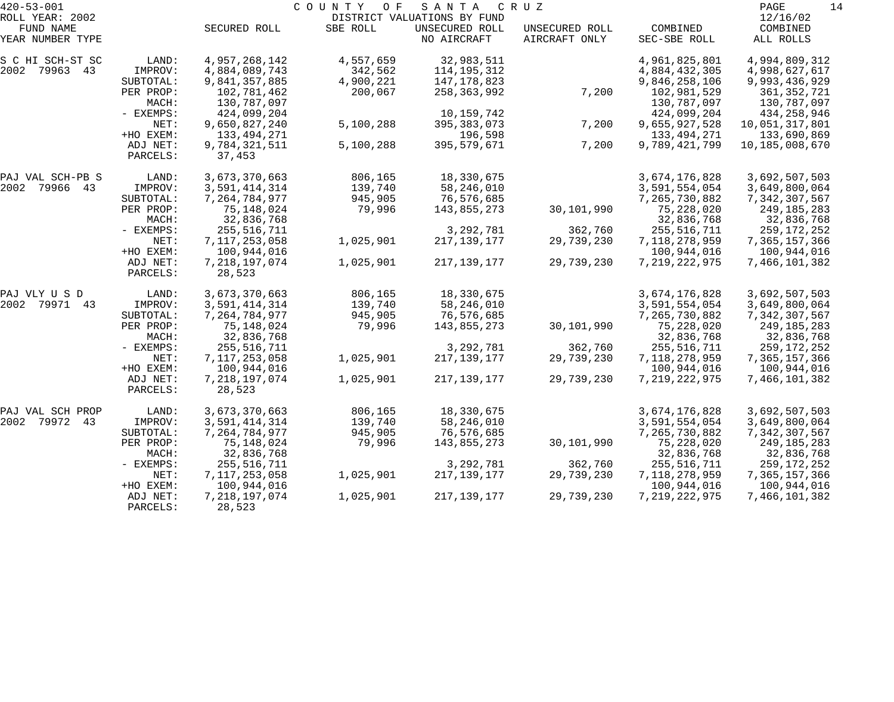| $420 - 53 - 001$             |                      |                            | COUNTY<br>O F | SANTA                                         | C R U Z        |                            | PAGE<br>14                   |
|------------------------------|----------------------|----------------------------|---------------|-----------------------------------------------|----------------|----------------------------|------------------------------|
| ROLL YEAR: 2002<br>FUND NAME |                      | SECURED ROLL               | SBE ROLL      | DISTRICT VALUATIONS BY FUND<br>UNSECURED ROLL | UNSECURED ROLL | COMBINED                   | 12/16/02<br>COMBINED         |
| YEAR NUMBER TYPE             |                      |                            |               | NO AIRCRAFT                                   | AIRCRAFT ONLY  | SEC-SBE ROLL               | ALL ROLLS                    |
| S C HI SCH-ST SC             | LAND:                | 4,957,268,142              | 4,557,659     | 32,983,511                                    |                | 4,961,825,801              | 4,994,809,312                |
| 2002 79963 43                | IMPROV:              | 4,884,089,743              | 342,562       | 114, 195, 312                                 |                | 4,884,432,305              | 4,998,627,617                |
|                              | SUBTOTAL:            | 9,841,357,885              | 4,900,221     | 147,178,823                                   |                | 9,846,258,106              | 9,993,436,929                |
|                              | PER PROP:<br>MACH:   | 102,781,462<br>130,787,097 | 200,067       | 258,363,992                                   | 7,200          | 102,981,529<br>130,787,097 | 361, 352, 721<br>130,787,097 |
|                              | - EXEMPS:            | 424,099,204                |               | 10,159,742                                    |                | 424,099,204                | 434,258,946                  |
|                              | NET:                 | 9,650,827,240              | 5,100,288     | 395, 383, 073                                 | 7,200          | 9,655,927,528              | 10,051,317,801               |
|                              | +HO EXEM:            | 133,494,271                |               | 196,598                                       |                | 133, 494, 271              | 133,690,869                  |
|                              | ADJ NET:<br>PARCELS: | 9,784,321,511<br>37,453    | 5,100,288     | 395,579,671                                   | 7,200          | 9,789,421,799              | 10,185,008,670               |
| PAJ VAL SCH-PB S             | LAND:                | 3,673,370,663              | 806,165       | 18,330,675                                    |                | 3,674,176,828              | 3,692,507,503                |
| 2002 79966 43                | IMPROV:              | 3,591,414,314              | 139,740       | 58,246,010                                    |                | 3,591,554,054              | 3,649,800,064                |
|                              | SUBTOTAL:            | 7,264,784,977              | 945,905       | 76,576,685                                    |                | 7,265,730,882              | 7,342,307,567                |
|                              | PER PROP:            | 75,148,024                 | 79,996        | 143,855,273                                   | 30,101,990     | 75,228,020                 | 249,185,283                  |
|                              | MACH:                | 32,836,768                 |               |                                               |                | 32,836,768                 | 32,836,768                   |
|                              | - EXEMPS:            | 255,516,711                |               | 3,292,781                                     | 362,760        | 255, 516, 711              | 259,172,252                  |
|                              | NET:                 | 7,117,253,058              | 1,025,901     | 217, 139, 177                                 | 29,739,230     | 7,118,278,959              | 7,365,157,366                |
|                              | +HO EXEM:            | 100,944,016                |               |                                               |                | 100,944,016                | 100,944,016                  |
|                              | ADJ NET:<br>PARCELS: | 7, 218, 197, 074<br>28,523 | 1,025,901     | 217, 139, 177                                 | 29,739,230     | 7,219,222,975              | 7,466,101,382                |
| PAJ VLY U S D                | LAND:                | 3,673,370,663              | 806,165       | 18,330,675                                    |                | 3,674,176,828              | 3,692,507,503                |
| 2002 79971 43                | IMPROV:              | 3,591,414,314              | 139,740       | 58,246,010                                    |                | 3,591,554,054              | 3,649,800,064                |
|                              | SUBTOTAL:            | 7,264,784,977              | 945,905       | 76,576,685                                    |                | 7,265,730,882              | 7,342,307,567                |
|                              | PER PROP:            | 75,148,024                 | 79,996        | 143,855,273                                   | 30,101,990     | 75,228,020                 | 249,185,283                  |
|                              | MACH:                | 32,836,768                 |               |                                               |                | 32,836,768                 | 32,836,768                   |
|                              | - EXEMPS:            | 255,516,711                |               | 3,292,781                                     | 362,760        | 255, 516, 711              | 259,172,252                  |
|                              | NET:                 | 7,117,253,058              | 1,025,901     | 217, 139, 177                                 | 29,739,230     | 7,118,278,959              | 7,365,157,366                |
|                              | +HO EXEM:            | 100,944,016                |               |                                               |                | 100,944,016                | 100,944,016                  |
|                              | ADJ NET:<br>PARCELS: | 7, 218, 197, 074<br>28,523 | 1,025,901     | 217, 139, 177                                 | 29,739,230     | 7,219,222,975              | 7,466,101,382                |
| PAJ VAL SCH PROP             | LAND:                | 3,673,370,663              | 806,165       | 18,330,675                                    |                | 3,674,176,828              | 3,692,507,503                |
| 2002 79972 43                | IMPROV:              | 3,591,414,314              | 139,740       | 58,246,010                                    |                | 3,591,554,054              | 3,649,800,064                |
|                              | SUBTOTAL:            | 7,264,784,977              | 945,905       | 76,576,685                                    |                | 7,265,730,882              | 7,342,307,567                |
|                              | PER PROP:            | 75,148,024                 | 79,996        | 143,855,273                                   | 30,101,990     | 75,228,020                 | 249,185,283                  |
|                              | MACH:                | 32,836,768                 |               |                                               |                | 32,836,768                 | 32,836,768                   |
|                              | - EXEMPS:            | 255,516,711                |               | 3, 292, 781                                   | 362,760        | 255,516,711                | 259,172,252                  |
|                              | NET:                 | 7,117,253,058              | 1,025,901     | 217,139,177                                   | 29,739,230     | 7,118,278,959              | 7,365,157,366                |
|                              | +HO EXEM:            | 100,944,016                |               |                                               |                | 100,944,016                | 100,944,016                  |
|                              | ADJ NET:<br>PARCELS: | 7, 218, 197, 074<br>28,523 | 1,025,901     | 217, 139, 177                                 | 29,739,230     | 7, 219, 222, 975           | 7,466,101,382                |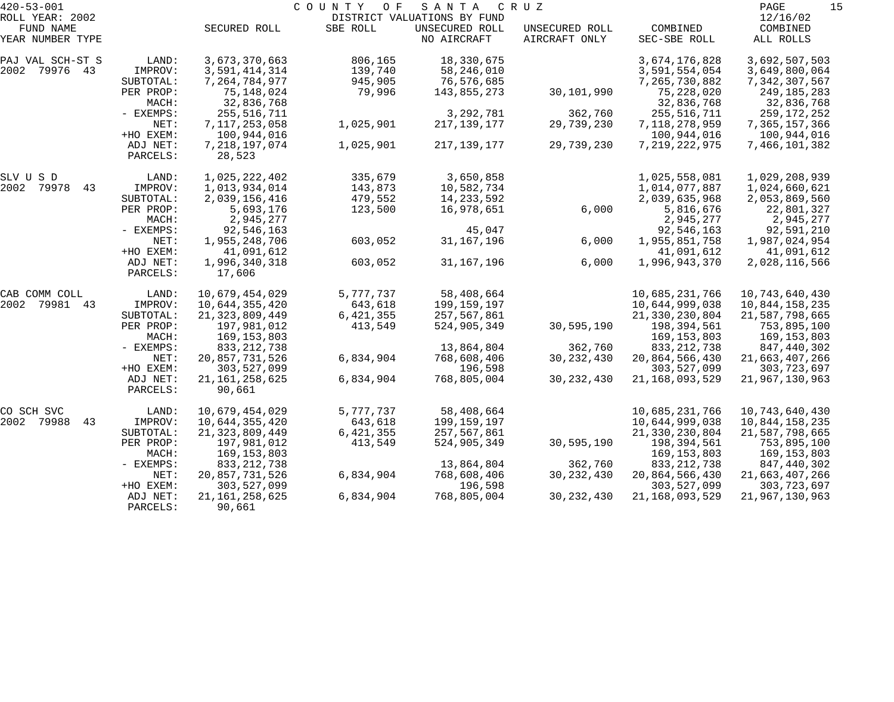| $420 - 53 - 001$ |           | COUNTY<br>O F<br>SANTA<br>C R U Z |           |                             |                |                   |                |  |
|------------------|-----------|-----------------------------------|-----------|-----------------------------|----------------|-------------------|----------------|--|
| ROLL YEAR: 2002  |           |                                   |           | DISTRICT VALUATIONS BY FUND |                |                   | 12/16/02       |  |
| FUND NAME        |           | SECURED ROLL                      | SBE ROLL  | UNSECURED ROLL              | UNSECURED ROLL | COMBINED          | COMBINED       |  |
| YEAR NUMBER TYPE |           |                                   |           | NO AIRCRAFT                 | AIRCRAFT ONLY  | SEC-SBE ROLL      | ALL ROLLS      |  |
| PAJ VAL SCH-ST S | LAND:     | 3,673,370,663                     | 806,165   | 18,330,675                  |                | 3,674,176,828     | 3,692,507,503  |  |
| 2002 79976 43    | IMPROV:   | 3,591,414,314                     | 139,740   | 58,246,010                  |                | 3,591,554,054     | 3,649,800,064  |  |
|                  | SUBTOTAL: | 7, 264, 784, 977                  | 945,905   | 76,576,685                  |                | 7,265,730,882     | 7,342,307,567  |  |
|                  | PER PROP: | 75,148,024                        | 79,996    | 143,855,273                 | 30,101,990     | 75,228,020        | 249,185,283    |  |
|                  | MACH:     | 32,836,768                        |           |                             |                | 32,836,768        | 32,836,768     |  |
|                  | - EXEMPS: | 255,516,711                       |           | 3,292,781                   | 362,760        | 255, 516, 711     | 259,172,252    |  |
|                  | NET:      | 7,117,253,058                     | 1,025,901 | 217, 139, 177               | 29,739,230     | 7,118,278,959     | 7,365,157,366  |  |
|                  | +HO EXEM: | 100,944,016                       |           |                             |                | 100,944,016       | 100,944,016    |  |
|                  | ADJ NET:  | 7, 218, 197, 074                  | 1,025,901 | 217, 139, 177               | 29,739,230     | 7, 219, 222, 975  | 7,466,101,382  |  |
|                  | PARCELS:  | 28,523                            |           |                             |                |                   |                |  |
| SLV U S D        | LAND:     | 1,025,222,402                     | 335,679   | 3,650,858                   |                | 1,025,558,081     | 1,029,208,939  |  |
| 2002 79978<br>43 | IMPROV:   | 1,013,934,014                     | 143,873   | 10,582,734                  |                | 1,014,077,887     | 1,024,660,621  |  |
|                  | SUBTOTAL: | 2,039,156,416                     | 479,552   | 14, 233, 592                |                | 2,039,635,968     | 2,053,869,560  |  |
|                  | PER PROP: | 5,693,176                         | 123,500   | 16,978,651                  | 6,000          | 5,816,676         | 22,801,327     |  |
|                  | MACH:     | 2,945,277                         |           |                             |                | 2,945,277         | 2,945,277      |  |
|                  | - EXEMPS: | 92,546,163                        |           | 45,047                      |                | 92,546,163        | 92,591,210     |  |
|                  | NET:      | 1,955,248,706                     | 603,052   | 31, 167, 196                | 6,000          | 1,955,851,758     | 1,987,024,954  |  |
|                  | +HO EXEM: | 41,091,612                        |           |                             |                | 41,091,612        | 41,091,612     |  |
|                  | ADJ NET:  | 1,996,340,318                     | 603,052   | 31, 167, 196                | 6,000          | 1,996,943,370     | 2,028,116,566  |  |
|                  | PARCELS:  | 17,606                            |           |                             |                |                   |                |  |
| CAB COMM COLL    | LAND:     | 10,679,454,029                    | 5,777,737 | 58,408,664                  |                | 10,685,231,766    | 10,743,640,430 |  |
| 2002 79981 43    | IMPROV:   | 10,644,355,420                    | 643,618   | 199,159,197                 |                | 10,644,999,038    | 10,844,158,235 |  |
|                  | SUBTOTAL: | 21, 323, 809, 449                 | 6,421,355 | 257,567,861                 |                | 21, 330, 230, 804 | 21,587,798,665 |  |
|                  | PER PROP: | 197,981,012                       | 413,549   | 524,905,349                 | 30,595,190     | 198,394,561       | 753,895,100    |  |
|                  | MACH:     | 169, 153, 803                     |           |                             |                | 169, 153, 803     | 169,153,803    |  |
|                  | - EXEMPS: | 833, 212, 738                     |           | 13,864,804                  | 362,760        | 833, 212, 738     | 847,440,302    |  |
|                  | NET:      | 20,857,731,526                    | 6,834,904 | 768,608,406                 | 30, 232, 430   | 20,864,566,430    | 21,663,407,266 |  |
|                  | +HO EXEM: | 303,527,099                       |           | 196,598                     |                | 303,527,099       | 303,723,697    |  |
|                  | ADJ NET:  | 21, 161, 258, 625                 | 6,834,904 | 768,805,004                 | 30, 232, 430   | 21, 168, 093, 529 | 21,967,130,963 |  |
|                  | PARCELS:  | 90,661                            |           |                             |                |                   |                |  |
| CO SCH SVC       | LAND:     | 10,679,454,029                    | 5,777,737 | 58,408,664                  |                | 10,685,231,766    | 10,743,640,430 |  |
| 2002 79988<br>43 | IMPROV:   | 10,644,355,420                    | 643,618   | 199,159,197                 |                | 10,644,999,038    | 10,844,158,235 |  |
|                  | SUBTOTAL: | 21, 323, 809, 449                 | 6,421,355 | 257,567,861                 |                | 21, 330, 230, 804 | 21,587,798,665 |  |
|                  | PER PROP: | 197,981,012                       | 413,549   | 524,905,349                 | 30,595,190     | 198,394,561       | 753,895,100    |  |
|                  | MACH:     | 169,153,803                       |           |                             |                | 169, 153, 803     | 169,153,803    |  |
|                  | - EXEMPS: | 833, 212, 738                     |           | 13,864,804                  | 362,760        | 833, 212, 738     | 847,440,302    |  |
|                  | NET:      | 20,857,731,526                    | 6,834,904 | 768,608,406                 | 30, 232, 430   | 20,864,566,430    | 21,663,407,266 |  |
|                  | +HO EXEM: | 303,527,099                       |           | 196,598                     |                | 303,527,099       | 303,723,697    |  |
|                  | ADJ NET:  | 21, 161, 258, 625                 | 6,834,904 | 768,805,004                 | 30, 232, 430   | 21, 168, 093, 529 | 21,967,130,963 |  |
|                  | PARCELS:  | 90,661                            |           |                             |                |                   |                |  |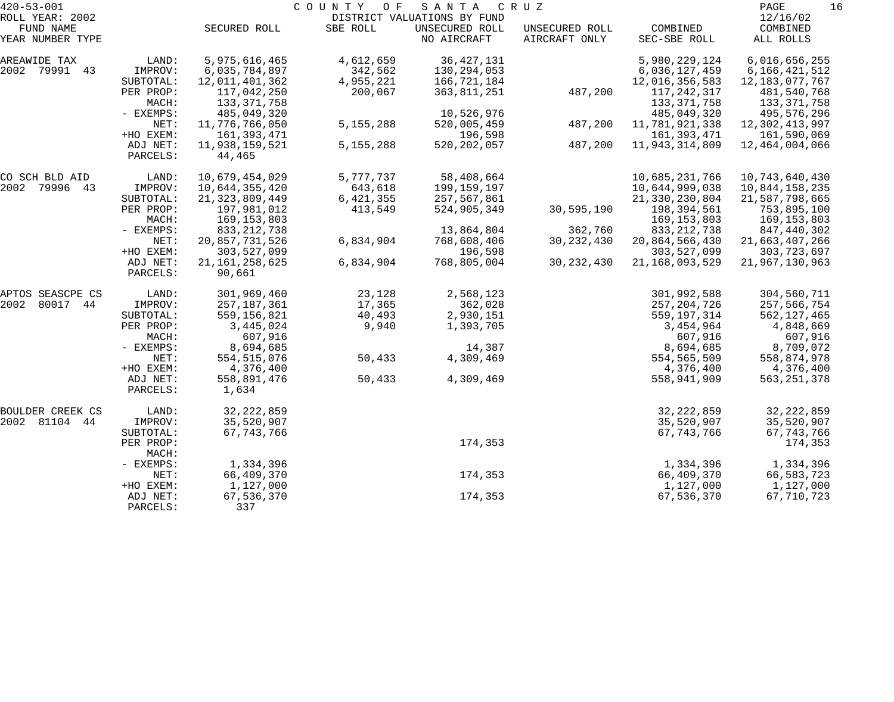| $420 - 53 - 001$    |                    | COUNTY OF<br>SANTA<br>C R U Z |             |                             |                |                   |                   |  |
|---------------------|--------------------|-------------------------------|-------------|-----------------------------|----------------|-------------------|-------------------|--|
| ROLL YEAR: 2002     |                    |                               |             | DISTRICT VALUATIONS BY FUND |                |                   | 12/16/02          |  |
| FUND NAME           |                    | SECURED ROLL                  | SBE ROLL    | UNSECURED ROLL              | UNSECURED ROLL | COMBINED          | COMBINED          |  |
| YEAR NUMBER TYPE    |                    |                               |             | NO AIRCRAFT                 | AIRCRAFT ONLY  | SEC-SBE ROLL      | ALL ROLLS         |  |
| AREAWIDE TAX        | LAND:              | 5,975,616,465                 | 4,612,659   | 36, 427, 131                |                | 5,980,229,124     | 6,016,656,255     |  |
| 2002 79991 43       | IMPROV:            | 6,035,784,897                 | 342,562     | 130,294,053                 |                | 6,036,127,459     | 6,166,421,512     |  |
|                     | SUBTOTAL:          | 12,011,401,362                | 4,955,221   | 166,721,184                 |                | 12,016,356,583    | 12, 183, 077, 767 |  |
|                     | PER PROP:          | 117,042,250                   | 200,067     | 363,811,251                 | 487,200        | 117,242,317       | 481,540,768       |  |
|                     | MACH:              | 133, 371, 758                 |             |                             |                | 133, 371, 758     | 133, 371, 758     |  |
|                     | - EXEMPS:          | 485,049,320                   |             | 10,526,976                  |                | 485,049,320       | 495,576,296       |  |
|                     | NET:               | 11,776,766,050                | 5, 155, 288 | 520,005,459                 | 487,200        | 11,781,921,338    | 12,302,413,997    |  |
|                     | +HO EXEM:          | 161,393,471                   |             | 196,598                     |                | 161, 393, 471     | 161,590,069       |  |
|                     | ADJ NET:           | 11,938,159,521                | 5, 155, 288 | 520, 202, 057               | 487,200        | 11,943,314,809    | 12,464,004,066    |  |
|                     | PARCELS:           | 44,465                        |             |                             |                |                   |                   |  |
| CO SCH BLD AID      | LAND:              | 10,679,454,029                | 5,777,737   | 58,408,664                  |                | 10,685,231,766    | 10,743,640,430    |  |
| 2002 79996 43       | IMPROV:            | 10,644,355,420                | 643,618     | 199,159,197                 |                | 10,644,999,038    | 10,844,158,235    |  |
|                     | SUBTOTAL:          | 21, 323, 809, 449             | 6, 421, 355 | 257,567,861                 |                | 21,330,230,804    | 21,587,798,665    |  |
|                     | PER PROP:          | 197,981,012                   | 413,549     | 524,905,349                 | 30,595,190     | 198,394,561       | 753,895,100       |  |
|                     | MACH:              | 169, 153, 803                 |             |                             |                | 169, 153, 803     | 169,153,803       |  |
|                     | - EXEMPS:          | 833, 212, 738                 |             | 13,864,804                  | 362,760        | 833, 212, 738     | 847,440,302       |  |
|                     | NET:               | 20,857,731,526                | 6,834,904   | 768,608,406                 | 30, 232, 430   | 20,864,566,430    | 21,663,407,266    |  |
|                     | +HO EXEM:          | 303,527,099                   |             | 196,598                     |                | 303,527,099       | 303, 723, 697     |  |
|                     | ADJ NET:           | 21, 161, 258, 625             | 6,834,904   | 768,805,004                 | 30, 232, 430   | 21, 168, 093, 529 | 21,967,130,963    |  |
|                     | PARCELS:           | 90,661                        |             |                             |                |                   |                   |  |
| APTOS SEASCPE CS    | LAND:              | 301,969,460                   | 23,128      | 2,568,123                   |                | 301,992,588       | 304,560,711       |  |
| 2002<br>80017<br>44 | IMPROV:            | 257,187,361                   | 17,365      | 362,028                     |                | 257, 204, 726     | 257,566,754       |  |
|                     | SUBTOTAL:          | 559, 156, 821                 | 40,493      | 2,930,151                   |                | 559, 197, 314     | 562, 127, 465     |  |
|                     | PER PROP:          | 3,445,024                     | 9,940       | 1,393,705                   |                | 3,454,964         | 4,848,669         |  |
|                     | MACH:              | 607,916                       |             |                             |                | 607,916           | 607,916           |  |
|                     | - EXEMPS:          | 8,694,685                     |             | 14,387                      |                | 8,694,685         | 8,709,072         |  |
|                     | NET:               | 554, 515, 076                 | 50,433      | 4,309,469                   |                | 554,565,509       | 558,874,978       |  |
|                     | +HO EXEM:          | 4,376,400                     |             |                             |                | 4,376,400         | 4,376,400         |  |
|                     | ADJ NET:           | 558,891,476                   | 50,433      | 4,309,469                   |                | 558,941,909       | 563, 251, 378     |  |
|                     | PARCELS:           | 1,634                         |             |                             |                |                   |                   |  |
| BOULDER CREEK CS    | LAND:              | 32, 222, 859                  |             |                             |                | 32, 222, 859      | 32, 222, 859      |  |
| 2002 81104 44       | IMPROV:            | 35,520,907                    |             |                             |                | 35,520,907        | 35,520,907        |  |
|                     | SUBTOTAL:          | 67, 743, 766                  |             |                             |                | 67, 743, 766      | 67, 743, 766      |  |
|                     | PER PROP:<br>MACH: |                               |             | 174,353                     |                |                   | 174,353           |  |
|                     | - EXEMPS:          | 1,334,396                     |             |                             |                | 1,334,396         | 1,334,396         |  |
|                     | NET:               | 66,409,370                    |             | 174,353                     |                | 66,409,370        | 66,583,723        |  |
|                     | +HO EXEM:          | 1,127,000                     |             |                             |                | 1,127,000         | 1,127,000         |  |
|                     | ADJ NET:           | 67,536,370                    |             | 174,353                     |                | 67,536,370        | 67,710,723        |  |
|                     | PARCELS:           | 337                           |             |                             |                |                   |                   |  |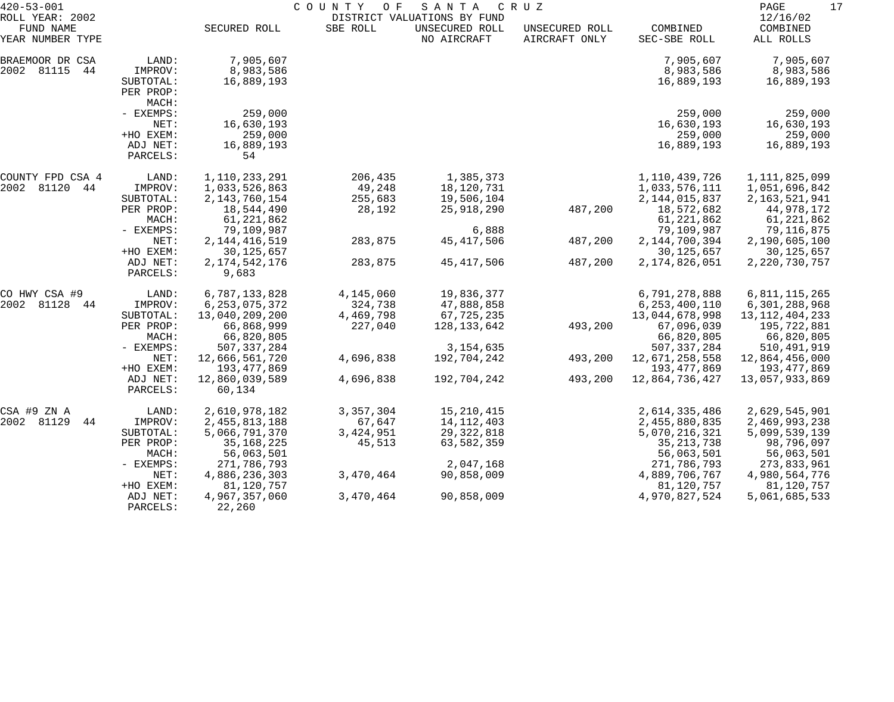| $420 - 53 - 001$                                 |                                 | COUNTY OF<br>SANTA<br>C R U Z<br>DISTRICT VALUATIONS BY FUND |                   |                               |                                 |                                |                                   |
|--------------------------------------------------|---------------------------------|--------------------------------------------------------------|-------------------|-------------------------------|---------------------------------|--------------------------------|-----------------------------------|
| ROLL YEAR: 2002<br>FUND NAME<br>YEAR NUMBER TYPE |                                 | SECURED ROLL                                                 | SBE ROLL          | UNSECURED ROLL<br>NO AIRCRAFT | UNSECURED ROLL<br>AIRCRAFT ONLY | COMBINED<br>SEC-SBE ROLL       | 12/16/02<br>COMBINED<br>ALL ROLLS |
| BRAEMOOR DR CSA<br>2002 81115<br>44              | LAND:<br>IMPROV:                | 7,905,607<br>8,983,586                                       |                   |                               |                                 | 7,905,607<br>8,983,586         | 7,905,607<br>8,983,586            |
|                                                  | SUBTOTAL:<br>PER PROP:<br>MACH: | 16,889,193                                                   |                   |                               |                                 | 16,889,193                     | 16,889,193                        |
|                                                  | - EXEMPS:                       | 259,000                                                      |                   |                               |                                 | 259,000                        | 259,000                           |
|                                                  | NET:<br>+HO EXEM:               | 16,630,193<br>259,000                                        |                   |                               |                                 | 16,630,193<br>259,000          | 16,630,193<br>259,000             |
|                                                  | ADJ NET:<br>PARCELS:            | 16,889,193<br>54                                             |                   |                               |                                 | 16,889,193                     | 16,889,193                        |
| COUNTY FPD CSA 4                                 | LAND:                           | 1,110,233,291                                                | 206,435           | 1,385,373                     |                                 | 1,110,439,726                  | 1, 111, 825, 099                  |
| 2002 81120<br>44                                 | IMPROV:                         | 1,033,526,863                                                | 49,248            | 18,120,731                    |                                 | 1,033,576,111                  | 1,051,696,842                     |
|                                                  | SUBTOTAL:<br>PER PROP:          | 2, 143, 760, 154<br>18,544,490                               | 255,683<br>28,192 | 19,506,104<br>25,918,290      | 487,200                         | 2, 144, 015, 837<br>18,572,682 | 2, 163, 521, 941<br>44,978,172    |
|                                                  | MACH:                           | 61, 221, 862                                                 |                   |                               |                                 | 61, 221, 862                   | 61,221,862                        |
|                                                  | - EXEMPS:                       | 79,109,987                                                   |                   | 6,888                         |                                 | 79,109,987                     | 79,116,875                        |
|                                                  | NET:                            | 2, 144, 416, 519                                             | 283,875           | 45, 417, 506                  | 487,200                         | 2, 144, 700, 394               | 2,190,605,100                     |
|                                                  | +HO EXEM:                       | 30, 125, 657                                                 |                   |                               |                                 | 30, 125, 657                   | 30, 125, 657                      |
|                                                  | ADJ NET:<br>PARCELS:            | 2, 174, 542, 176<br>9,683                                    | 283,875           | 45, 417, 506                  | 487,200                         | 2, 174, 826, 051               | 2, 220, 730, 757                  |
| CO HWY CSA #9                                    | LAND:                           | 6,787,133,828                                                | 4,145,060         | 19,836,377                    |                                 | 6,791,278,888                  | 6,811,115,265                     |
| 2002 81128<br>44                                 | IMPROV:                         | 6, 253, 075, 372                                             | 324,738           | 47,888,858                    |                                 | 6, 253, 400, 110               | 6,301,288,968                     |
|                                                  | SUBTOTAL:                       | 13,040,209,200                                               | 4,469,798         | 67,725,235                    |                                 | 13,044,678,998                 | 13, 112, 404, 233                 |
|                                                  | PER PROP:<br>MACH:              | 66,868,999<br>66,820,805                                     | 227,040           | 128, 133, 642                 | 493,200                         | 67,096,039<br>66,820,805       | 195,722,881<br>66,820,805         |
|                                                  | - EXEMPS:                       | 507, 337, 284                                                |                   | 3, 154, 635                   |                                 | 507, 337, 284                  | 510, 491, 919                     |
|                                                  | NET:                            | 12,666,561,720                                               | 4,696,838         | 192,704,242                   | 493,200                         | 12,671,258,558                 | 12,864,456,000                    |
|                                                  | +HO EXEM:                       | 193, 477, 869                                                |                   |                               |                                 | 193,477,869                    | 193,477,869                       |
|                                                  | ADJ NET:                        | 12,860,039,589                                               | 4,696,838         | 192,704,242                   | 493,200                         | 12,864,736,427                 | 13,057,933,869                    |
|                                                  | PARCELS:                        | 60,134                                                       |                   |                               |                                 |                                |                                   |
| CSA #9 ZN A                                      | LAND:                           | 2,610,978,182                                                | 3,357,304         | 15, 210, 415                  |                                 | 2,614,335,486                  | 2,629,545,901                     |
| 2002 81129<br>44                                 | IMPROV:                         | 2, 455, 813, 188                                             | 67,647            | 14, 112, 403                  |                                 | 2,455,880,835                  | 2,469,993,238                     |
|                                                  | SUBTOTAL:                       | 5,066,791,370                                                | 3, 424, 951       | 29, 322, 818                  |                                 | 5,070,216,321                  | 5,099,539,139                     |
|                                                  | PER PROP:                       | 35, 168, 225                                                 | 45,513            | 63,582,359                    |                                 | 35, 213, 738                   | 98,796,097                        |
|                                                  | MACH:                           | 56,063,501                                                   |                   |                               |                                 | 56,063,501                     | 56,063,501                        |
|                                                  | - EXEMPS:                       | 271,786,793                                                  |                   | 2,047,168                     |                                 | 271,786,793                    | 273,833,961                       |
|                                                  | NET:<br>+HO EXEM:               | 4,886,236,303<br>81,120,757                                  | 3,470,464         | 90,858,009                    |                                 | 4,889,706,767<br>81,120,757    | 4,980,564,776<br>81,120,757       |
|                                                  | ADJ NET:                        | 4,967,357,060                                                | 3,470,464         | 90,858,009                    |                                 | 4,970,827,524                  | 5,061,685,533                     |
|                                                  | PARCELS:                        | 22,260                                                       |                   |                               |                                 |                                |                                   |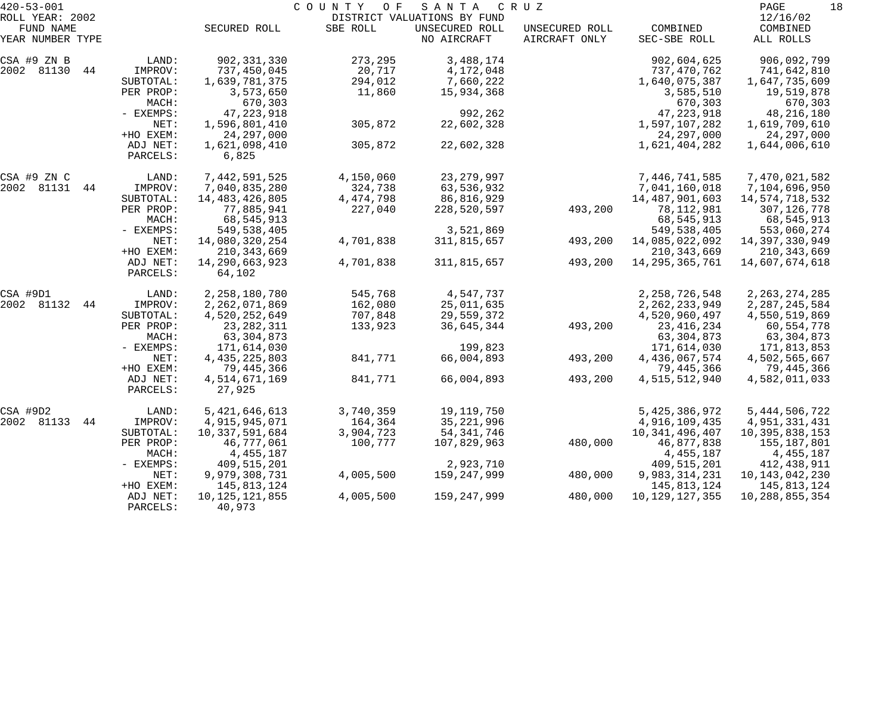| $420 - 53 - 001$              |                      |                         | COUNTY<br>O F | SANTA                         | C R U Z                         |                          | PAGE<br>18            |
|-------------------------------|----------------------|-------------------------|---------------|-------------------------------|---------------------------------|--------------------------|-----------------------|
| ROLL YEAR: 2002               |                      |                         |               | DISTRICT VALUATIONS BY FUND   |                                 |                          | 12/16/02              |
| FUND NAME<br>YEAR NUMBER TYPE |                      | SECURED ROLL            | SBE ROLL      | UNSECURED ROLL<br>NO AIRCRAFT | UNSECURED ROLL<br>AIRCRAFT ONLY | COMBINED<br>SEC-SBE ROLL | COMBINED<br>ALL ROLLS |
| CSA #9 ZN B                   | LAND:                | 902, 331, 330           | 273,295       | 3,488,174                     |                                 | 902,604,625              | 906,092,799           |
| 2002 81130<br>44              | IMPROV:              | 737,450,045             | 20,717        | 4,172,048                     |                                 | 737,470,762              | 741,642,810           |
|                               | SUBTOTAL:            | 1,639,781,375           | 294,012       | 7,660,222                     |                                 | 1,640,075,387            | 1,647,735,609         |
|                               | PER PROP:            | 3,573,650               | 11,860        | 15,934,368                    |                                 | 3,585,510                | 19,519,878            |
|                               | MACH:                | 670,303                 |               |                               |                                 | 670,303                  | 670,303               |
|                               | - EXEMPS:            | 47, 223, 918            |               | 992,262                       |                                 | 47, 223, 918             | 48, 216, 180          |
|                               | NET:                 | 1,596,801,410           | 305,872       | 22,602,328                    |                                 | 1,597,107,282            | 1,619,709,610         |
|                               | +HO EXEM:            | 24, 297, 000            |               |                               |                                 | 24, 297, 000             | 24,297,000            |
|                               | ADJ NET:             | 1,621,098,410           | 305,872       | 22,602,328                    |                                 | 1,621,404,282            | 1,644,006,610         |
|                               | PARCELS:             | 6,825                   |               |                               |                                 |                          |                       |
| CSA #9 ZN C                   | LAND:                | 7,442,591,525           | 4,150,060     | 23, 279, 997                  |                                 | 7,446,741,585            | 7,470,021,582         |
| 2002 81131<br>44              | IMPROV:              | 7,040,835,280           | 324,738       | 63,536,932                    |                                 | 7,041,160,018            | 7,104,696,950         |
|                               | SUBTOTAL:            | 14, 483, 426, 805       | 4, 474, 798   | 86,816,929                    |                                 | 14, 487, 901, 603        | 14,574,718,532        |
|                               | PER PROP:            | 77,885,941              | 227,040       | 228,520,597                   | 493,200                         | 78,112,981               | 307, 126, 778         |
|                               | MACH:                | 68,545,913              |               |                               |                                 | 68,545,913               | 68,545,913            |
|                               | - EXEMPS:            | 549,538,405             |               | 3,521,869                     |                                 | 549, 538, 405            | 553,060,274           |
|                               | NET:                 | 14,080,320,254          | 4,701,838     | 311,815,657                   | 493,200                         | 14,085,022,092           | 14,397,330,949        |
|                               | +HO EXEM:            | 210, 343, 669           |               |                               |                                 | 210, 343, 669            | 210, 343, 669         |
|                               | ADJ NET:             | 14,290,663,923          | 4,701,838     | 311,815,657                   | 493,200                         | 14, 295, 365, 761        | 14,607,674,618        |
|                               | PARCELS:             | 64,102                  |               |                               |                                 |                          |                       |
| CSA #9D1                      | LAND:                | 2, 258, 180, 780        | 545,768       | 4,547,737                     |                                 | 2, 258, 726, 548         | 2, 263, 274, 285      |
| 2002 81132<br>44              | IMPROV:              | 2, 262, 071, 869        | 162,080       | 25,011,635                    |                                 | 2, 262, 233, 949         | 2, 287, 245, 584      |
|                               | SUBTOTAL:            | 4,520,252,649           | 707,848       | 29,559,372                    |                                 | 4,520,960,497            | 4,550,519,869         |
|                               | PER PROP:            | 23, 282, 311            | 133,923       | 36,645,344                    | 493,200                         | 23, 416, 234             | 60,554,778            |
|                               | MACH:                | 63, 304, 873            |               |                               |                                 | 63,304,873               | 63,304,873            |
|                               | - EXEMPS:            | 171,614,030             |               | 199,823                       |                                 | 171,614,030              | 171,813,853           |
|                               | NET:                 | 4, 435, 225, 803        | 841,771       | 66,004,893                    | 493,200                         | 4,436,067,574            | 4,502,565,667         |
|                               | +HO EXEM:            | 79,445,366              |               |                               |                                 | 79,445,366               | 79,445,366            |
|                               | ADJ NET:<br>PARCELS: | 4,514,671,169<br>27,925 | 841,771       | 66,004,893                    | 493,200                         | 4,515,512,940            | 4,582,011,033         |
| CSA #9D2                      | LAND:                | 5, 421, 646, 613        | 3,740,359     | 19,119,750                    |                                 | 5, 425, 386, 972         | 5, 444, 506, 722      |
| 2002 81133<br>44              | IMPROV:              | 4,915,945,071           | 164,364       | 35, 221, 996                  |                                 | 4,916,109,435            | 4,951,331,431         |
|                               | SUBTOTAL:            | 10,337,591,684          | 3,904,723     | 54, 341, 746                  |                                 | 10, 341, 496, 407        | 10,395,838,153        |
|                               | PER PROP:            | 46,777,061              | 100,777       | 107,829,963                   | 480,000                         | 46,877,838               | 155,187,801           |
|                               | MACH:                | 4,455,187               |               |                               |                                 | 4, 455, 187              | 4,455,187             |
|                               | $-$ EXEMPS:          | 409,515,201             |               | 2,923,710                     |                                 | 409,515,201              | 412,438,911           |
|                               | NET:                 | 9,979,308,731           | 4,005,500     | 159,247,999                   | 480,000                         | 9,983,314,231            | 10, 143, 042, 230     |
|                               | +HO EXEM:            | 145,813,124             |               |                               |                                 | 145,813,124              | 145,813,124           |
|                               | ADJ NET:             | 10, 125, 121, 855       | 4,005,500     | 159, 247, 999                 | 480,000                         | 10, 129, 127, 355        | 10,288,855,354        |
|                               | PARCELS:             | 40,973                  |               |                               |                                 |                          |                       |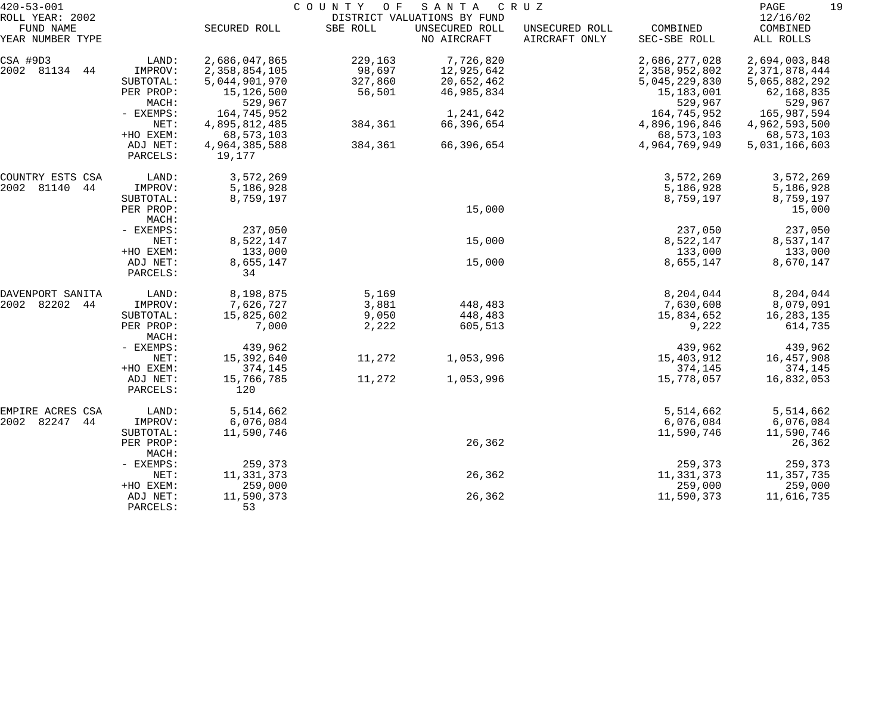| $420 - 53 - 001$              |                      |                 | COUNTY<br>O F | SANTA                         | C R U Z                         |                          | PAGE<br>19            |
|-------------------------------|----------------------|-----------------|---------------|-------------------------------|---------------------------------|--------------------------|-----------------------|
| ROLL YEAR: 2002               |                      |                 |               | DISTRICT VALUATIONS BY FUND   |                                 |                          | 12/16/02              |
| FUND NAME<br>YEAR NUMBER TYPE |                      | SECURED ROLL    | SBE ROLL      | UNSECURED ROLL<br>NO AIRCRAFT | UNSECURED ROLL<br>AIRCRAFT ONLY | COMBINED<br>SEC-SBE ROLL | COMBINED<br>ALL ROLLS |
| CSA #9D3                      | LAND:                | 2,686,047,865   | 229,163       | 7,726,820                     |                                 | 2,686,277,028            | 2,694,003,848         |
| 2002 81134<br>44              | IMPROV:              | 2,358,854,105   | 98,697        | 12,925,642                    |                                 | 2,358,952,802            | 2,371,878,444         |
|                               | SUBTOTAL:            | 5,044,901,970   | 327,860       | 20,652,462                    |                                 | 5,045,229,830            | 5,065,882,292         |
|                               | PER PROP:            | 15,126,500      | 56,501        | 46,985,834                    |                                 | 15,183,001               | 62,168,835            |
|                               | MACH:                | 529,967         |               |                               |                                 | 529,967                  | 529,967               |
|                               | - EXEMPS:            | 164,745,952     |               | 1,241,642                     |                                 | 164,745,952              | 165,987,594           |
|                               | NET:                 | 4,895,812,485   | 384,361       | 66,396,654                    |                                 | 4,896,196,846            | 4,962,593,500         |
|                               | +HO EXEM:            | 68,573,103      |               |                               |                                 | 68, 573, 103             | 68,573,103            |
|                               | ADJ NET:             | 4,964,385,588   | 384,361       | 66,396,654                    |                                 | 4,964,769,949            | 5,031,166,603         |
|                               | PARCELS:             | 19,177          |               |                               |                                 |                          |                       |
| COUNTRY ESTS CSA              | LAND:                | 3,572,269       |               |                               |                                 | 3,572,269                | 3,572,269             |
| 81140<br>2002<br>44           | IMPROV:              | 5,186,928       |               |                               |                                 | 5,186,928                | 5,186,928             |
|                               | SUBTOTAL:            | 8,759,197       |               |                               |                                 | 8,759,197                | 8,759,197             |
|                               | PER PROP:            |                 |               | 15,000                        |                                 |                          | 15,000                |
|                               | MACH:                |                 |               |                               |                                 |                          |                       |
|                               | - EXEMPS:            | 237,050         |               |                               |                                 | 237,050                  | 237,050               |
|                               | NET:                 | 8,522,147       |               | 15,000                        |                                 | 8,522,147                | 8,537,147             |
|                               | +HO EXEM:            | 133,000         |               |                               |                                 | 133,000                  | 133,000               |
|                               | ADJ NET:<br>PARCELS: | 8,655,147<br>34 |               | 15,000                        |                                 | 8,655,147                | 8,670,147             |
| DAVENPORT SANITA              | LAND:                | 8,198,875       | 5,169         |                               |                                 | 8,204,044                | 8,204,044             |
| 82202<br>2002<br>44           | IMPROV:              | 7,626,727       | 3,881         | 448,483                       |                                 | 7,630,608                | 8,079,091             |
|                               | SUBTOTAL:            | 15,825,602      | 9,050         | 448,483                       |                                 | 15,834,652               | 16,283,135            |
|                               | PER PROP:<br>MACH:   | 7,000           | 2,222         | 605,513                       |                                 | 9,222                    | 614,735               |
|                               | - EXEMPS:            | 439,962         |               |                               |                                 | 439,962                  | 439,962               |
|                               | NET:                 | 15,392,640      | 11,272        | 1,053,996                     |                                 | 15,403,912               | 16,457,908            |
|                               | +HO EXEM:            | 374,145         |               |                               |                                 | 374,145                  | 374,145               |
|                               | ADJ NET:             | 15,766,785      | 11,272        | 1,053,996                     |                                 | 15,778,057               | 16,832,053            |
|                               | PARCELS:             | 120             |               |                               |                                 |                          |                       |
| EMPIRE ACRES CSA              | LAND:                | 5,514,662       |               |                               |                                 | 5,514,662                | 5,514,662             |
| 2002<br>82247<br>44           | IMPROV:              | 6,076,084       |               |                               |                                 | 6,076,084                | 6,076,084             |
|                               | SUBTOTAL:            | 11,590,746      |               |                               |                                 | 11,590,746               | 11,590,746            |
|                               | PER PROP:<br>MACH:   |                 |               | 26,362                        |                                 |                          | 26,362                |
|                               | - EXEMPS:            | 259,373         |               |                               |                                 | 259,373                  | 259,373               |
|                               | NET:                 | 11,331,373      |               | 26,362                        |                                 | 11,331,373               | 11,357,735            |
|                               | +HO EXEM:            | 259,000         |               |                               |                                 | 259,000                  | 259,000               |
|                               | ADJ NET:             | 11,590,373      |               | 26,362                        |                                 | 11,590,373               | 11,616,735            |
|                               | PARCELS:             | 53              |               |                               |                                 |                          |                       |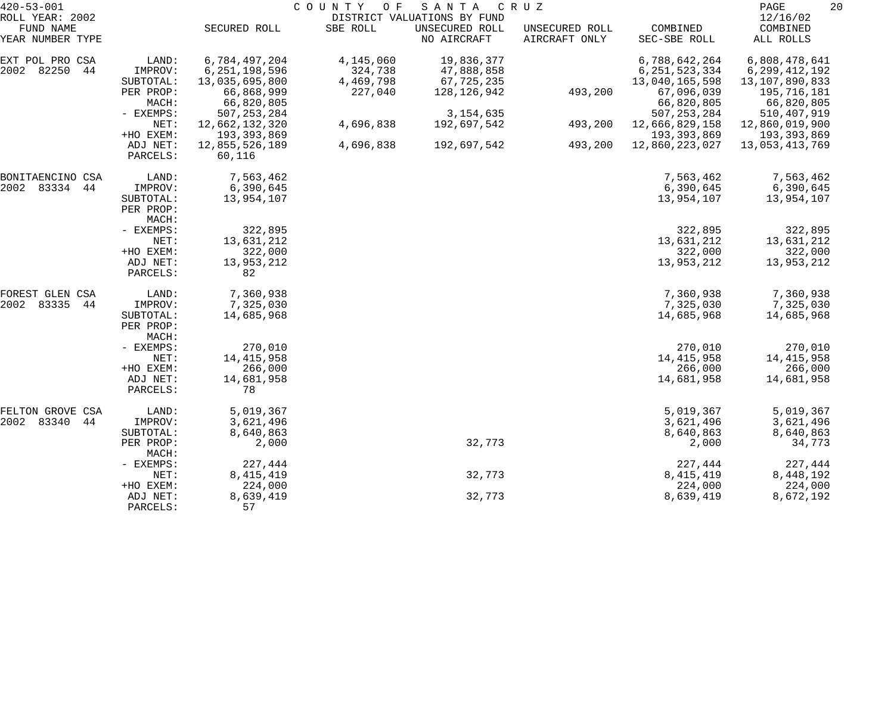| $420 - 53 - 001$              |                                 |                          | COUNTY<br>O F | SANTA                         | C R U Z                         |                          | 20<br>PAGE            |
|-------------------------------|---------------------------------|--------------------------|---------------|-------------------------------|---------------------------------|--------------------------|-----------------------|
| ROLL YEAR: 2002               |                                 |                          |               | DISTRICT VALUATIONS BY FUND   |                                 |                          | 12/16/02              |
| FUND NAME<br>YEAR NUMBER TYPE |                                 | SECURED ROLL             | SBE ROLL      | UNSECURED ROLL<br>NO AIRCRAFT | UNSECURED ROLL<br>AIRCRAFT ONLY | COMBINED<br>SEC-SBE ROLL | COMBINED<br>ALL ROLLS |
| EXT POL PRO CSA               | LAND:                           | 6,784,497,204            | 4,145,060     | 19,836,377                    |                                 | 6,788,642,264            | 6,808,478,641         |
| 2002 82250<br>44              | IMPROV:                         | 6, 251, 198, 596         | 324,738       | 47,888,858                    |                                 | 6, 251, 523, 334         | 6, 299, 412, 192      |
|                               | SUBTOTAL:                       | 13,035,695,800           | 4,469,798     | 67,725,235                    |                                 | 13,040,165,598           | 13,107,890,833        |
|                               | PER PROP:                       | 66,868,999               | 227,040       | 128,126,942                   | 493,200                         | 67,096,039               | 195,716,181           |
|                               | MACH:                           | 66,820,805               |               |                               |                                 | 66,820,805               | 66,820,805            |
|                               | - EXEMPS:                       | 507, 253, 284            |               | 3, 154, 635                   |                                 | 507, 253, 284            | 510, 407, 919         |
|                               | NET:                            | 12,662,132,320           | 4,696,838     | 192,697,542                   | 493,200                         | 12,666,829,158           | 12,860,019,900        |
|                               | +HO EXEM:                       | 193,393,869              |               |                               |                                 | 193,393,869              | 193,393,869           |
|                               | ADJ NET:<br>PARCELS:            | 12,855,526,189<br>60,116 | 4,696,838     | 192,697,542                   | 493,200                         | 12,860,223,027           | 13,053,413,769        |
| BONITAENCINO CSA              | LAND:                           | 7,563,462                |               |                               |                                 | 7,563,462                | 7,563,462             |
| 2002 83334<br>44              | IMPROV:                         | 6,390,645                |               |                               |                                 | 6,390,645                | 6,390,645             |
|                               | SUBTOTAL:                       | 13,954,107               |               |                               |                                 | 13,954,107               | 13,954,107            |
|                               | PER PROP:<br>MACH:              |                          |               |                               |                                 |                          |                       |
|                               | - EXEMPS:                       | 322,895                  |               |                               |                                 | 322,895                  | 322,895               |
|                               | NET:                            | 13,631,212               |               |                               |                                 | 13,631,212               | 13,631,212            |
|                               | +HO EXEM:                       | 322,000                  |               |                               |                                 | 322,000                  | 322,000               |
|                               | ADJ NET:<br>PARCELS:            | 13,953,212<br>82         |               |                               |                                 | 13,953,212               | 13,953,212            |
| FOREST GLEN CSA               | LAND:                           | 7,360,938                |               |                               |                                 | 7,360,938                | 7,360,938             |
| 83335<br>2002<br>-44          | IMPROV:                         | 7,325,030                |               |                               |                                 | 7,325,030                | 7,325,030             |
|                               | SUBTOTAL:<br>PER PROP:<br>MACH: | 14,685,968               |               |                               |                                 | 14,685,968               | 14,685,968            |
|                               | - EXEMPS:                       | 270,010                  |               |                               |                                 | 270,010                  | 270,010               |
|                               | NET:                            | 14, 415, 958             |               |                               |                                 | 14, 415, 958             | 14, 415, 958          |
|                               | +HO EXEM:                       | 266,000                  |               |                               |                                 | 266,000                  | 266,000               |
|                               | ADJ NET:<br>PARCELS:            | 14,681,958<br>78         |               |                               |                                 | 14,681,958               | 14,681,958            |
| FELTON GROVE CSA              | LAND:                           | 5,019,367                |               |                               |                                 | 5,019,367                | 5,019,367             |
| 2002 83340<br>44              | IMPROV:                         | 3,621,496                |               |                               |                                 | 3,621,496                | 3,621,496             |
|                               | SUBTOTAL:                       | 8,640,863                |               |                               |                                 | 8,640,863                | 8,640,863             |
|                               | PER PROP:<br>MACH:              | 2,000                    |               | 32,773                        |                                 | 2,000                    | 34,773                |
|                               | - EXEMPS:                       | 227,444                  |               |                               |                                 | 227,444                  | 227,444               |
|                               | NET:                            | 8, 415, 419              |               | 32,773                        |                                 | 8, 415, 419              | 8,448,192             |
|                               | +HO EXEM:                       | 224,000                  |               |                               |                                 | 224,000                  | 224,000               |
|                               | ADJ NET:<br>PARCELS:            | 8,639,419<br>57          |               | 32,773                        |                                 | 8,639,419                | 8,672,192             |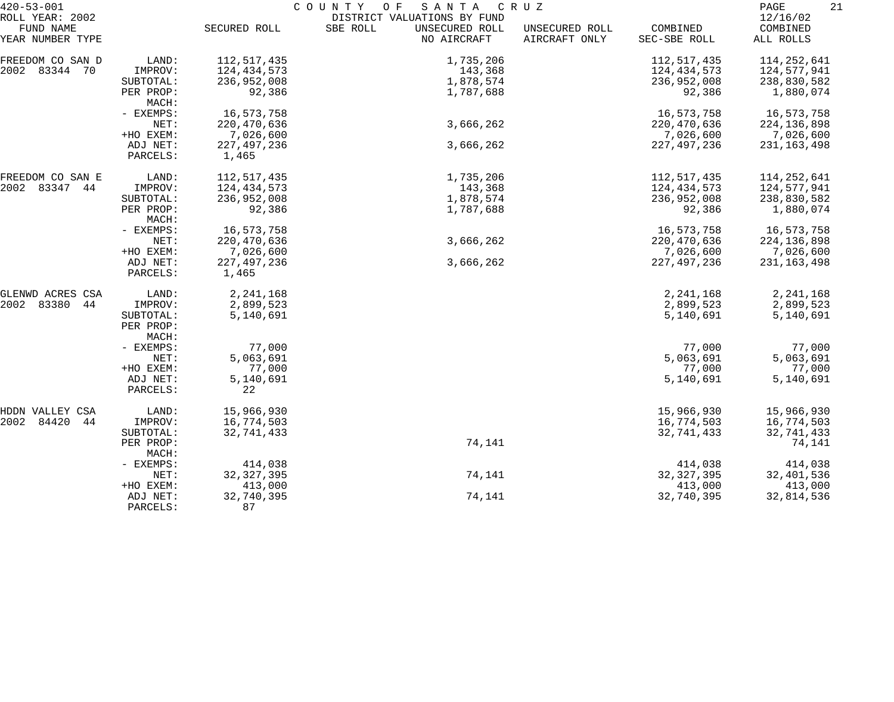| $420 - 53 - 001$              |                                 | COUNTY<br>SANTA<br>CRUZ<br>O F |                                           |                                 |                          |                       |  |  |
|-------------------------------|---------------------------------|--------------------------------|-------------------------------------------|---------------------------------|--------------------------|-----------------------|--|--|
| ROLL YEAR: 2002               |                                 |                                | DISTRICT VALUATIONS BY FUND               |                                 |                          | 12/16/02              |  |  |
| FUND NAME<br>YEAR NUMBER TYPE |                                 | SECURED ROLL                   | SBE ROLL<br>UNSECURED ROLL<br>NO AIRCRAFT | UNSECURED ROLL<br>AIRCRAFT ONLY | COMBINED<br>SEC-SBE ROLL | COMBINED<br>ALL ROLLS |  |  |
| FREEDOM CO SAN D              | LAND:                           | 112,517,435                    | 1,735,206                                 |                                 | 112,517,435              | 114, 252, 641         |  |  |
| 2002 83344 70                 | IMPROV:                         | 124,434,573                    | 143,368                                   |                                 | 124,434,573              | 124,577,941           |  |  |
|                               | SUBTOTAL:                       | 236,952,008                    | 1,878,574                                 |                                 | 236,952,008              | 238,830,582           |  |  |
|                               | PER PROP:                       | 92,386                         | 1,787,688                                 |                                 | 92,386                   | 1,880,074             |  |  |
|                               | MACH:                           |                                |                                           |                                 |                          |                       |  |  |
|                               | - EXEMPS:                       | 16,573,758                     |                                           |                                 | 16,573,758               | 16,573,758            |  |  |
|                               | NET:                            | 220,470,636                    | 3,666,262                                 |                                 | 220, 470, 636            | 224, 136, 898         |  |  |
|                               | +HO EXEM:                       | 7,026,600                      |                                           |                                 | 7,026,600                | 7,026,600             |  |  |
|                               | ADJ NET:                        | 227, 497, 236                  | 3,666,262                                 |                                 | 227, 497, 236            | 231, 163, 498         |  |  |
|                               | PARCELS:                        | 1,465                          |                                           |                                 |                          |                       |  |  |
| FREEDOM CO SAN E              | LAND:                           | 112,517,435                    | 1,735,206                                 |                                 | 112,517,435              | 114,252,641           |  |  |
| 2002 83347 44                 | IMPROV:                         | 124,434,573                    | 143,368                                   |                                 | 124,434,573              | 124,577,941           |  |  |
|                               | SUBTOTAL:                       | 236,952,008                    | 1,878,574                                 |                                 | 236,952,008              | 238,830,582           |  |  |
|                               | PER PROP:<br>MACH:              | 92,386                         | 1,787,688                                 |                                 | 92,386                   | 1,880,074             |  |  |
|                               | - EXEMPS:                       | 16,573,758                     |                                           |                                 | 16,573,758               | 16,573,758            |  |  |
|                               | NET:                            | 220, 470, 636                  | 3,666,262                                 |                                 | 220, 470, 636            | 224, 136, 898         |  |  |
|                               | +HO EXEM:                       | 7,026,600                      |                                           |                                 | 7,026,600                | 7,026,600             |  |  |
|                               | ADJ NET:<br>PARCELS:            | 227, 497, 236<br>1,465         | 3,666,262                                 |                                 | 227, 497, 236            | 231, 163, 498         |  |  |
| GLENWD ACRES CSA              | LAND:                           | 2, 241, 168                    |                                           |                                 | 2, 241, 168              | 2, 241, 168           |  |  |
| 2002 83380<br>44              | IMPROV:                         | 2,899,523                      |                                           |                                 | 2,899,523                | 2,899,523             |  |  |
|                               | SUBTOTAL:<br>PER PROP:<br>MACH: | 5,140,691                      |                                           |                                 | 5,140,691                | 5,140,691             |  |  |
|                               | - EXEMPS:                       | 77,000                         |                                           |                                 | 77,000                   | 77,000                |  |  |
|                               | NET:                            | 5,063,691                      |                                           |                                 | 5,063,691                | 5,063,691             |  |  |
|                               | +HO EXEM:                       | 77,000                         |                                           |                                 | 77,000                   | 77,000                |  |  |
|                               | ADJ NET:                        | 5,140,691                      |                                           |                                 | 5,140,691                | 5,140,691             |  |  |
|                               | PARCELS:                        | 22                             |                                           |                                 |                          |                       |  |  |
| HDDN VALLEY CSA               | LAND:                           | 15,966,930                     |                                           |                                 | 15,966,930               | 15,966,930            |  |  |
| 2002 84420<br>44              | IMPROV:                         | 16,774,503                     |                                           |                                 | 16,774,503               | 16,774,503            |  |  |
|                               | SUBTOTAL:                       | 32,741,433                     |                                           |                                 | 32,741,433               | 32,741,433            |  |  |
|                               | PER PROP:<br>MACH:              |                                | 74,141                                    |                                 |                          | 74,141                |  |  |
|                               | - EXEMPS:                       | 414,038                        |                                           |                                 | 414,038                  | 414,038               |  |  |
|                               | NET:                            | 32, 327, 395                   | 74,141                                    |                                 | 32, 327, 395             | 32,401,536            |  |  |
|                               | +HO EXEM:                       | 413,000                        |                                           |                                 | 413,000                  | 413,000               |  |  |
|                               | ADJ NET:<br>PARCELS:            | 32,740,395<br>87               | 74,141                                    |                                 | 32,740,395               | 32,814,536            |  |  |
|                               |                                 |                                |                                           |                                 |                          |                       |  |  |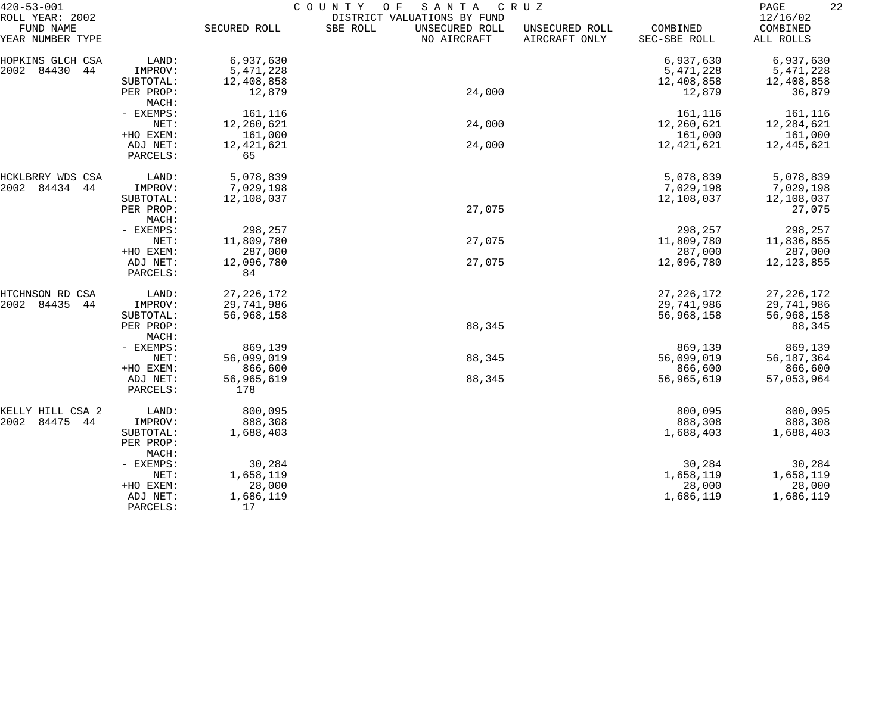| $420 - 53 - 001$                                 |                      | COUNTY<br>O F<br>SANTA<br>CRUZ |                                                                          |                                 |                          |                                   |  |  |
|--------------------------------------------------|----------------------|--------------------------------|--------------------------------------------------------------------------|---------------------------------|--------------------------|-----------------------------------|--|--|
| ROLL YEAR: 2002<br>FUND NAME<br>YEAR NUMBER TYPE |                      | SECURED ROLL                   | DISTRICT VALUATIONS BY FUND<br>SBE ROLL<br>UNSECURED ROLL<br>NO AIRCRAFT | UNSECURED ROLL<br>AIRCRAFT ONLY | COMBINED<br>SEC-SBE ROLL | 12/16/02<br>COMBINED<br>ALL ROLLS |  |  |
| HOPKINS GLCH CSA                                 | LAND:                | 6,937,630                      |                                                                          |                                 | 6,937,630                | 6,937,630                         |  |  |
| 2002<br>84430<br>44                              | IMPROV:              | 5, 471, 228                    |                                                                          |                                 | 5, 471, 228              | 5,471,228                         |  |  |
|                                                  | SUBTOTAL:            | 12,408,858                     |                                                                          |                                 | 12,408,858               | 12,408,858                        |  |  |
|                                                  | PER PROP:<br>MACH:   | 12,879                         | 24,000                                                                   |                                 | 12,879                   | 36,879                            |  |  |
|                                                  | - EXEMPS:            | 161,116                        |                                                                          |                                 | 161,116                  | 161,116                           |  |  |
|                                                  | NET:                 | 12,260,621                     | 24,000                                                                   |                                 | 12,260,621               | 12,284,621                        |  |  |
|                                                  | +HO EXEM:            | 161,000                        |                                                                          |                                 | 161,000                  | 161,000                           |  |  |
|                                                  | ADJ NET:<br>PARCELS: | 12,421,621<br>65               | 24,000                                                                   |                                 | 12,421,621               | 12,445,621                        |  |  |
| HCKLBRRY WDS CSA                                 | LAND:                | 5,078,839                      |                                                                          |                                 | 5,078,839                | 5,078,839                         |  |  |
| 2002<br>84434<br>44                              | IMPROV:              | 7,029,198                      |                                                                          |                                 | 7,029,198                | 7,029,198                         |  |  |
|                                                  | SUBTOTAL:            | 12,108,037                     |                                                                          |                                 | 12,108,037               | 12,108,037                        |  |  |
|                                                  | PER PROP:            |                                | 27,075                                                                   |                                 |                          | 27,075                            |  |  |
|                                                  | MACH:                |                                |                                                                          |                                 |                          |                                   |  |  |
|                                                  | - EXEMPS:            | 298,257                        |                                                                          |                                 | 298,257                  | 298,257                           |  |  |
|                                                  | NET:                 | 11,809,780                     | 27,075                                                                   |                                 | 11,809,780               | 11,836,855                        |  |  |
|                                                  | +HO EXEM:            | 287,000                        |                                                                          |                                 | 287,000                  | 287,000                           |  |  |
|                                                  | ADJ NET:<br>PARCELS: | 12,096,780<br>84               | 27,075                                                                   |                                 | 12,096,780               | 12, 123, 855                      |  |  |
| HTCHNSON RD CSA                                  | LAND:                | 27, 226, 172                   |                                                                          |                                 | 27, 226, 172             | 27, 226, 172                      |  |  |
| 2002<br>84435<br>44                              | IMPROV:              | 29,741,986                     |                                                                          |                                 | 29,741,986               | 29,741,986                        |  |  |
|                                                  | SUBTOTAL:            | 56,968,158                     |                                                                          |                                 | 56,968,158               | 56,968,158                        |  |  |
|                                                  | PER PROP:<br>MACH:   |                                | 88,345                                                                   |                                 |                          | 88,345                            |  |  |
|                                                  | - EXEMPS:            | 869,139                        |                                                                          |                                 | 869,139                  | 869,139                           |  |  |
|                                                  | NET:                 | 56,099,019                     | 88,345                                                                   |                                 | 56,099,019               | 56, 187, 364                      |  |  |
|                                                  | +HO EXEM:            | 866,600                        |                                                                          |                                 | 866,600                  | 866,600                           |  |  |
|                                                  | ADJ NET:<br>PARCELS: | 56,965,619<br>178              | 88,345                                                                   |                                 | 56,965,619               | 57,053,964                        |  |  |
| KELLY HILL CSA 2                                 | LAND:                | 800,095                        |                                                                          |                                 | 800,095                  | 800,095                           |  |  |
| 84475<br>2002<br>44                              | IMPROV:              | 888,308                        |                                                                          |                                 | 888,308                  | 888,308                           |  |  |
|                                                  | SUBTOTAL:            | 1,688,403                      |                                                                          |                                 | 1,688,403                | 1,688,403                         |  |  |
|                                                  | PER PROP:<br>MACH:   |                                |                                                                          |                                 |                          |                                   |  |  |
|                                                  | - EXEMPS:            | 30,284                         |                                                                          |                                 | 30,284                   | 30,284                            |  |  |
|                                                  | NET:                 | 1,658,119                      |                                                                          |                                 | 1,658,119                | 1,658,119                         |  |  |
|                                                  | +HO EXEM:            | 28,000                         |                                                                          |                                 | 28,000                   | 28,000                            |  |  |
|                                                  | ADJ NET:             | 1,686,119                      |                                                                          |                                 | 1,686,119                | 1,686,119                         |  |  |
|                                                  | PARCELS:             | 17                             |                                                                          |                                 |                          |                                   |  |  |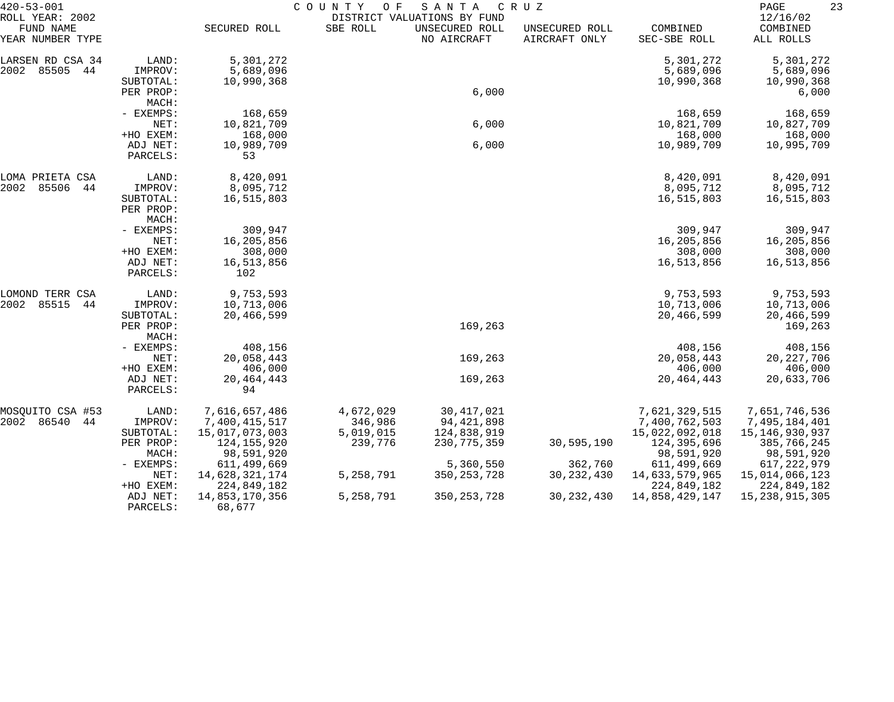| $420 - 53 - 001$                                 |                                            | COUNTY<br>SANTA<br>CRUZ<br>O F<br>DISTRICT VALUATIONS BY FUND |                      |                               |                                 |                                             |                                             |
|--------------------------------------------------|--------------------------------------------|---------------------------------------------------------------|----------------------|-------------------------------|---------------------------------|---------------------------------------------|---------------------------------------------|
| ROLL YEAR: 2002<br>FUND NAME<br>YEAR NUMBER TYPE |                                            | SECURED ROLL                                                  | SBE ROLL             | UNSECURED ROLL<br>NO AIRCRAFT | UNSECURED ROLL<br>AIRCRAFT ONLY | COMBINED<br>SEC-SBE ROLL                    | 12/16/02<br>COMBINED<br>ALL ROLLS           |
| LARSEN RD CSA 34<br>2002<br>85505<br>44          | LAND:<br>IMPROV:                           | 5,301,272<br>5,689,096                                        |                      |                               |                                 | 5,301,272<br>5,689,096                      | 5,301,272<br>5,689,096                      |
|                                                  | SUBTOTAL:<br>PER PROP:<br>MACH:            | 10,990,368                                                    |                      | 6,000                         |                                 | 10,990,368                                  | 10,990,368<br>6,000                         |
|                                                  | - EXEMPS:<br>NET:                          | 168,659<br>10,821,709                                         |                      | 6,000                         |                                 | 168,659<br>10,821,709                       | 168,659<br>10,827,709                       |
|                                                  | +HO EXEM:<br>ADJ NET:<br>PARCELS:          | 168,000<br>10,989,709<br>53                                   |                      | 6,000                         |                                 | 168,000<br>10,989,709                       | 168,000<br>10,995,709                       |
| LOMA PRIETA CSA                                  | LAND:                                      | 8,420,091                                                     |                      |                               |                                 | 8,420,091                                   | 8,420,091                                   |
| 2002<br>85506<br>44                              | IMPROV:<br>SUBTOTAL:<br>PER PROP:<br>MACH: | 8,095,712<br>16,515,803                                       |                      |                               |                                 | 8,095,712<br>16,515,803                     | 8,095,712<br>16,515,803                     |
|                                                  | - EXEMPS:<br>NET:<br>+HO EXEM:             | 309,947<br>16,205,856<br>308,000                              |                      |                               |                                 | 309,947<br>16,205,856<br>308,000            | 309,947<br>16,205,856<br>308,000            |
|                                                  | ADJ NET:<br>PARCELS:                       | 16,513,856<br>102                                             |                      |                               |                                 | 16,513,856                                  | 16,513,856                                  |
| LOMOND TERR CSA<br>2002<br>85515<br>44           | LAND:<br>IMPROV:                           | 9,753,593<br>10,713,006                                       |                      |                               |                                 | 9,753,593<br>10,713,006                     | 9,753,593<br>10,713,006                     |
|                                                  | SUBTOTAL:<br>PER PROP:<br>MACH:            | 20,466,599                                                    |                      | 169,263                       |                                 | 20,466,599                                  | 20,466,599<br>169,263                       |
|                                                  | - EXEMPS:<br>NET:                          | 408,156<br>20,058,443                                         |                      | 169,263                       |                                 | 408,156<br>20,058,443                       | 408,156<br>20, 227, 706<br>406,000          |
|                                                  | +HO EXEM:<br>ADJ NET:<br>PARCELS:          | 406,000<br>20, 464, 443<br>94                                 |                      | 169,263                       |                                 | 406,000<br>20, 464, 443                     | 20,633,706                                  |
| MOSQUITO CSA #53<br>2002 86540<br>44             | LAND:<br>IMPROV:                           | 7,616,657,486<br>7,400,415,517                                | 4,672,029<br>346,986 | 30, 417, 021<br>94, 421, 898  |                                 | 7,621,329,515<br>7,400,762,503              | 7,651,746,536<br>7,495,184,401              |
|                                                  | SUBTOTAL:<br>PER PROP:<br>MACH:            | 15,017,073,003<br>124,155,920<br>98,591,920                   | 5,019,015<br>239,776 | 124,838,919<br>230, 775, 359  | 30,595,190                      | 15,022,092,018<br>124,395,696<br>98,591,920 | 15,146,930,937<br>385,766,245<br>98,591,920 |
|                                                  | $-$ EXEMPS:<br>NET:                        | 611,499,669<br>14,628,321,174                                 | 5, 258, 791          | 5,360,550<br>350, 253, 728    | 362,760<br>30, 232, 430         | 611, 499, 669<br>14,633,579,965             | 617, 222, 979<br>15,014,066,123             |
|                                                  | +HO EXEM:<br>ADJ NET:<br>PARCELS:          | 224,849,182<br>14,853,170,356<br>68,677                       | 5,258,791            | 350, 253, 728                 | 30, 232, 430                    | 224,849,182<br>14,858,429,147               | 224,849,182<br>15, 238, 915, 305            |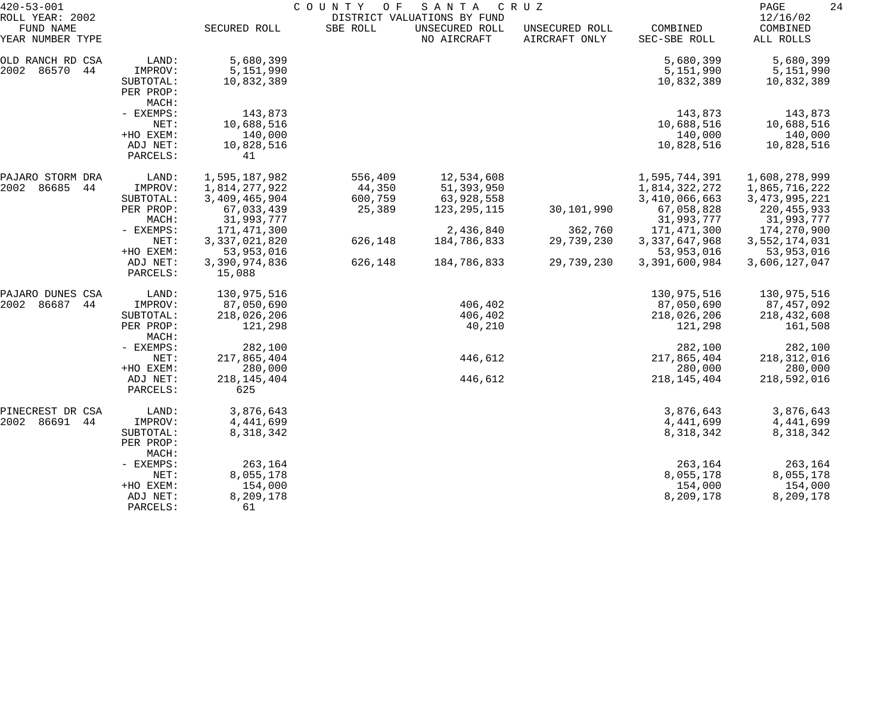| $420 - 53 - 001$             |                      | COUNTY OF<br>SANTA<br>C R U Z |          |                                               |                |                  |                      |  |
|------------------------------|----------------------|-------------------------------|----------|-----------------------------------------------|----------------|------------------|----------------------|--|
| ROLL YEAR: 2002<br>FUND NAME |                      | SECURED ROLL                  | SBE ROLL | DISTRICT VALUATIONS BY FUND<br>UNSECURED ROLL | UNSECURED ROLL | COMBINED         | 12/16/02<br>COMBINED |  |
| YEAR NUMBER TYPE             |                      |                               |          | NO AIRCRAFT                                   | AIRCRAFT ONLY  | SEC-SBE ROLL     | ALL ROLLS            |  |
| OLD RANCH RD CSA             | LAND:                | 5,680,399                     |          |                                               |                | 5,680,399        | 5,680,399            |  |
| 86570<br>2002<br>44          | IMPROV:              | 5,151,990                     |          |                                               |                | 5,151,990        | 5,151,990            |  |
|                              | SUBTOTAL:            | 10,832,389                    |          |                                               |                | 10,832,389       | 10,832,389           |  |
|                              | PER PROP:            |                               |          |                                               |                |                  |                      |  |
|                              | MACH:                |                               |          |                                               |                |                  |                      |  |
|                              | - EXEMPS:            | 143,873                       |          |                                               |                | 143,873          | 143,873              |  |
|                              | NET:                 | 10,688,516                    |          |                                               |                | 10,688,516       | 10,688,516           |  |
|                              | +HO EXEM:            | 140,000                       |          |                                               |                | 140,000          | 140,000              |  |
|                              | ADJ NET:             | 10,828,516                    |          |                                               |                | 10,828,516       | 10,828,516           |  |
|                              | PARCELS:             | 41                            |          |                                               |                |                  |                      |  |
| PAJARO STORM DRA             | LAND:                | 1,595,187,982                 | 556,409  | 12,534,608                                    |                | 1,595,744,391    | 1,608,278,999        |  |
| 86685<br>2002<br>44          | IMPROV:              | 1,814,277,922                 | 44,350   | 51,393,950                                    |                | 1,814,322,272    | 1,865,716,222        |  |
|                              | SUBTOTAL:            | 3,409,465,904                 | 600,759  | 63,928,558                                    |                | 3,410,066,663    | 3, 473, 995, 221     |  |
|                              | PER PROP:            | 67,033,439                    | 25,389   | 123, 295, 115                                 | 30,101,990     | 67,058,828       | 220, 455, 933        |  |
|                              | MACH:                | 31,993,777                    |          |                                               |                | 31,993,777       | 31,993,777           |  |
|                              | - EXEMPS:            | 171,471,300                   |          | 2,436,840                                     | 362,760        | 171,471,300      | 174,270,900          |  |
|                              | NET:                 | 3,337,021,820                 | 626,148  | 184,786,833                                   | 29,739,230     | 3, 337, 647, 968 | 3,552,174,031        |  |
|                              | +HO EXEM:            | 53,953,016                    |          |                                               |                | 53,953,016       | 53,953,016           |  |
|                              | ADJ NET:<br>PARCELS: | 3,390,974,836<br>15,088       | 626,148  | 184,786,833                                   | 29,739,230     | 3,391,600,984    | 3,606,127,047        |  |
| PAJARO DUNES CSA             | LAND:                | 130,975,516                   |          |                                               |                | 130,975,516      | 130,975,516          |  |
| 2002<br>86687<br>44          | IMPROV:              | 87,050,690                    |          | 406,402                                       |                | 87,050,690       | 87,457,092           |  |
|                              | SUBTOTAL:            | 218,026,206                   |          | 406,402                                       |                | 218,026,206      | 218,432,608          |  |
|                              | PER PROP:<br>MACH:   | 121,298                       |          | 40,210                                        |                | 121,298          | 161,508              |  |
|                              | - EXEMPS:            | 282,100                       |          |                                               |                | 282,100          | 282,100              |  |
|                              | NET:                 | 217,865,404                   |          | 446,612                                       |                | 217,865,404      | 218, 312, 016        |  |
|                              | +HO EXEM:            | 280,000                       |          |                                               |                | 280,000          | 280,000              |  |
|                              | ADJ NET:             | 218, 145, 404                 |          | 446,612                                       |                | 218, 145, 404    | 218,592,016          |  |
|                              | PARCELS:             | 625                           |          |                                               |                |                  |                      |  |
| PINECREST DR CSA             | LAND:                | 3,876,643                     |          |                                               |                | 3,876,643        | 3,876,643            |  |
| 2002 86691<br>44             | IMPROV:              | 4,441,699                     |          |                                               |                | 4,441,699        | 4,441,699            |  |
|                              | SUBTOTAL:            | 8,318,342                     |          |                                               |                | 8,318,342        | 8,318,342            |  |
|                              | PER PROP:<br>MACH:   |                               |          |                                               |                |                  |                      |  |
|                              | - EXEMPS:            | 263,164                       |          |                                               |                | 263,164          | 263,164              |  |
|                              | NET:                 | 8,055,178                     |          |                                               |                | 8,055,178        | 8,055,178            |  |
|                              | +HO EXEM:            | 154,000                       |          |                                               |                | 154,000          | 154,000              |  |
|                              | ADJ NET:             | 8,209,178                     |          |                                               |                | 8,209,178        | 8,209,178            |  |
|                              | PARCELS:             | 61                            |          |                                               |                |                  |                      |  |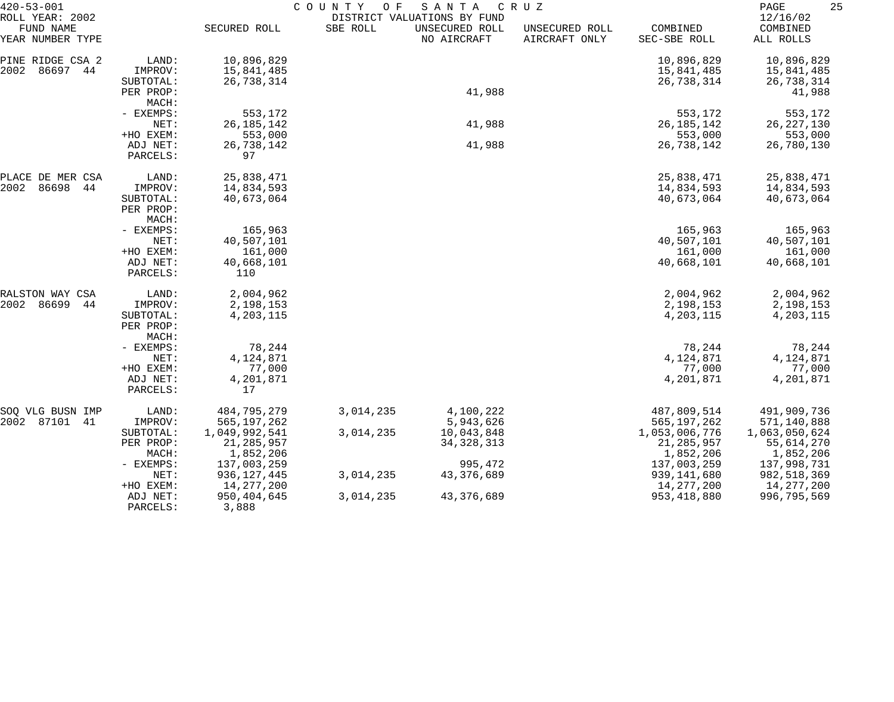| $420 - 53 - 001$                                 |                                            | COUNTY<br>SANTA<br>O F<br>C R U Z<br>DISTRICT VALUATIONS BY FUND |           |                                         |                                 |                                                |                                            |
|--------------------------------------------------|--------------------------------------------|------------------------------------------------------------------|-----------|-----------------------------------------|---------------------------------|------------------------------------------------|--------------------------------------------|
| ROLL YEAR: 2002<br>FUND NAME<br>YEAR NUMBER TYPE |                                            | SECURED ROLL                                                     | SBE ROLL  | UNSECURED ROLL<br>NO AIRCRAFT           | UNSECURED ROLL<br>AIRCRAFT ONLY | COMBINED<br>SEC-SBE ROLL                       | 12/16/02<br>COMBINED<br>ALL ROLLS          |
| PINE RIDGE CSA 2<br>2002<br>86697 44             | LAND:<br>IMPROV:<br>SUBTOTAL:              | 10,896,829<br>15,841,485<br>26,738,314                           |           |                                         |                                 | 10,896,829<br>15,841,485<br>26,738,314         | 10,896,829<br>15,841,485<br>26,738,314     |
|                                                  | PER PROP:<br>MACH:                         |                                                                  |           | 41,988                                  |                                 |                                                | 41,988                                     |
|                                                  | - EXEMPS:<br>NET:<br>+HO EXEM:             | 553,172<br>26, 185, 142<br>553,000                               |           | 41,988                                  |                                 | 553,172<br>26, 185, 142<br>553,000             | 553,172<br>26, 227, 130<br>553,000         |
|                                                  | ADJ NET:<br>PARCELS:                       | 26,738,142<br>97                                                 |           | 41,988                                  |                                 | 26,738,142                                     | 26,780,130                                 |
| PLACE DE MER CSA<br>2002<br>86698<br>44          | LAND:<br>IMPROV:                           | 25,838,471<br>14,834,593                                         |           |                                         |                                 | 25,838,471<br>14,834,593                       | 25,838,471<br>14,834,593                   |
|                                                  | SUBTOTAL:<br>PER PROP:<br>MACH:            | 40,673,064                                                       |           |                                         |                                 | 40,673,064                                     | 40,673,064                                 |
|                                                  | - EXEMPS:<br>NET:                          | 165,963<br>40,507,101                                            |           |                                         |                                 | 165,963<br>40,507,101                          | 165,963<br>40,507,101                      |
|                                                  | +HO EXEM:<br>ADJ NET:<br>PARCELS:          | 161,000<br>40,668,101<br>110                                     |           |                                         |                                 | 161,000<br>40,668,101                          | 161,000<br>40,668,101                      |
| RALSTON WAY CSA<br>2002<br>86699<br>44           | LAND:                                      | 2,004,962                                                        |           |                                         |                                 | 2,004,962                                      | 2,004,962                                  |
|                                                  | IMPROV:<br>SUBTOTAL:<br>PER PROP:<br>MACH: | 2,198,153<br>4,203,115                                           |           |                                         |                                 | 2,198,153<br>4,203,115                         | 2,198,153<br>4,203,115                     |
|                                                  | - EXEMPS:<br>NET:                          | 78,244<br>4,124,871                                              |           |                                         |                                 | 78,244<br>4,124,871                            | 78,244<br>4,124,871                        |
|                                                  | +HO EXEM:<br>ADJ NET:<br>PARCELS:          | 77,000<br>4,201,871<br>17                                        |           |                                         |                                 | 77,000<br>4,201,871                            | 77,000<br>4,201,871                        |
| SOQ VLG BUSN IMP                                 | LAND:                                      | 484,795,279                                                      | 3,014,235 | 4,100,222                               |                                 | 487,809,514                                    | 491,909,736                                |
| 2002 87101 41                                    | IMPROV:<br>SUBTOTAL:<br>PER PROP:          | 565, 197, 262<br>1,049,992,541<br>21, 285, 957                   | 3,014,235 | 5,943,626<br>10,043,848<br>34, 328, 313 |                                 | 565, 197, 262<br>1,053,006,776<br>21, 285, 957 | 571,140,888<br>1,063,050,624<br>55,614,270 |
|                                                  | MACH:<br>- EXEMPS:                         | 1,852,206<br>137,003,259                                         |           | 995,472                                 |                                 | 1,852,206<br>137,003,259                       | 1,852,206<br>137,998,731                   |
|                                                  | NET:<br>+HO EXEM:                          | 936, 127, 445<br>14,277,200                                      | 3,014,235 | 43,376,689                              |                                 | 939,141,680<br>14,277,200                      | 982,518,369<br>14,277,200                  |
|                                                  | ADJ NET:<br>PARCELS:                       | 950,404,645<br>3,888                                             | 3,014,235 | 43,376,689                              |                                 | 953, 418, 880                                  | 996,795,569                                |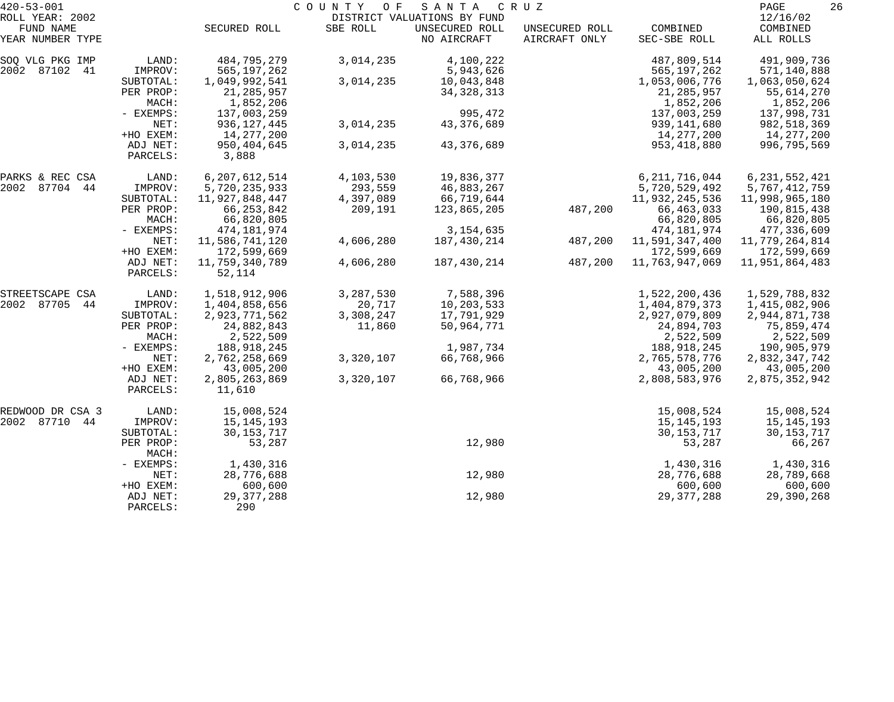| $420 - 53 - 001$              |                      | COUNTY<br>O F<br>S A N T A<br>C R U Z |           |                               |                                 |                          |                       |  |  |
|-------------------------------|----------------------|---------------------------------------|-----------|-------------------------------|---------------------------------|--------------------------|-----------------------|--|--|
| ROLL YEAR: 2002               |                      |                                       |           | DISTRICT VALUATIONS BY FUND   |                                 |                          | 12/16/02              |  |  |
| FUND NAME<br>YEAR NUMBER TYPE |                      | SECURED ROLL                          | SBE ROLL  | UNSECURED ROLL<br>NO AIRCRAFT | UNSECURED ROLL<br>AIRCRAFT ONLY | COMBINED<br>SEC-SBE ROLL | COMBINED<br>ALL ROLLS |  |  |
| SOQ VLG PKG IMP               | LAND:                | 484,795,279                           | 3,014,235 | 4,100,222                     |                                 | 487,809,514              | 491,909,736           |  |  |
| 2002 87102 41                 | IMPROV:              | 565, 197, 262                         |           | 5,943,626                     |                                 | 565, 197, 262            | 571,140,888           |  |  |
|                               | SUBTOTAL:            | 1,049,992,541                         | 3,014,235 | 10,043,848                    |                                 | 1,053,006,776            | 1,063,050,624         |  |  |
|                               | PER PROP:            | 21, 285, 957                          |           | 34, 328, 313                  |                                 | 21, 285, 957             | 55,614,270            |  |  |
|                               | MACH:                | 1,852,206                             |           |                               |                                 | 1,852,206                | 1,852,206             |  |  |
|                               | - EXEMPS:            | 137,003,259                           |           | 995,472                       |                                 | 137,003,259              | 137,998,731           |  |  |
|                               | NET:                 | 936, 127, 445                         | 3,014,235 | 43,376,689                    |                                 | 939,141,680              | 982,518,369           |  |  |
|                               | +HO EXEM:            | 14,277,200                            |           |                               |                                 | 14,277,200               | 14,277,200            |  |  |
|                               | ADJ NET:<br>PARCELS: | 950,404,645<br>3,888                  | 3,014,235 | 43,376,689                    |                                 | 953, 418, 880            | 996,795,569           |  |  |
| PARKS & REC CSA               | LAND:                | 6, 207, 612, 514                      | 4,103,530 | 19,836,377                    |                                 | 6, 211, 716, 044         | 6, 231, 552, 421      |  |  |
| 2002 87704 44                 | IMPROV:              | 5,720,235,933                         | 293,559   | 46,883,267                    |                                 | 5,720,529,492            | 5,767,412,759         |  |  |
|                               | SUBTOTAL:            | 11,927,848,447                        | 4,397,089 | 66,719,644                    |                                 | 11,932,245,536           | 11,998,965,180        |  |  |
|                               | PER PROP:            | 66, 253, 842                          | 209,191   | 123,865,205                   | 487,200                         | 66, 463, 033             | 190,815,438           |  |  |
|                               | MACH:                | 66,820,805                            |           |                               |                                 | 66,820,805               | 66,820,805            |  |  |
|                               | - EXEMPS:            | 474,181,974                           |           | 3, 154, 635                   |                                 | 474, 181, 974            | 477,336,609           |  |  |
|                               | NET:                 | 11,586,741,120                        | 4,606,280 | 187,430,214                   | 487,200                         | 11,591,347,400           | 11,779,264,814        |  |  |
|                               | +HO EXEM:            | 172,599,669                           |           |                               |                                 | 172,599,669              | 172,599,669           |  |  |
|                               | ADJ NET:<br>PARCELS: | 11,759,340,789<br>52,114              | 4,606,280 | 187,430,214                   | 487,200                         | 11,763,947,069           | 11,951,864,483        |  |  |
| STREETSCAPE CSA               | LAND:                | 1,518,912,906                         | 3,287,530 | 7,588,396                     |                                 | 1,522,200,436            | 1,529,788,832         |  |  |
| 2002 87705<br>44              | IMPROV:              | 1,404,858,656                         | 20,717    | 10,203,533                    |                                 | 1,404,879,373            | 1,415,082,906         |  |  |
|                               | SUBTOTAL:            | 2,923,771,562                         | 3,308,247 | 17,791,929                    |                                 | 2,927,079,809            | 2,944,871,738         |  |  |
|                               | PER PROP:            | 24,882,843                            | 11,860    | 50,964,771                    |                                 | 24,894,703               | 75,859,474            |  |  |
|                               | MACH:                | 2,522,509                             |           |                               |                                 | 2,522,509                | 2,522,509             |  |  |
|                               | - EXEMPS:            | 188,918,245                           |           | 1,987,734                     |                                 | 188,918,245              | 190,905,979           |  |  |
|                               | NET:                 | 2,762,258,669                         | 3,320,107 | 66,768,966                    |                                 | 2,765,578,776            | 2,832,347,742         |  |  |
|                               | +HO EXEM:            | 43,005,200                            |           |                               |                                 | 43,005,200               | 43,005,200            |  |  |
|                               | ADJ NET:<br>PARCELS: | 2,805,263,869<br>11,610               | 3,320,107 | 66,768,966                    |                                 | 2,808,583,976            | 2,875,352,942         |  |  |
| REDWOOD DR CSA 3              | LAND:                | 15,008,524                            |           |                               |                                 | 15,008,524               | 15,008,524            |  |  |
| 2002 87710 44                 | IMPROV:              | 15, 145, 193                          |           |                               |                                 | 15, 145, 193             | 15,145,193            |  |  |
|                               | SUBTOTAL:            | 30, 153, 717                          |           |                               |                                 | 30, 153, 717             | 30, 153, 717          |  |  |
|                               | PER PROP:<br>MACH:   | 53,287                                |           | 12,980                        |                                 | 53,287                   | 66,267                |  |  |
|                               | - EXEMPS:            | 1,430,316                             |           |                               |                                 | 1,430,316                | 1,430,316             |  |  |
|                               | NET:                 | 28,776,688                            |           | 12,980                        |                                 | 28,776,688               | 28,789,668            |  |  |
|                               | +HO EXEM:            | 600,600                               |           |                               |                                 | 600,600                  | 600,600               |  |  |
|                               | ADJ NET:<br>PARCELS: | 29, 377, 288<br>290                   |           | 12,980                        |                                 | 29, 377, 288             | 29,390,268            |  |  |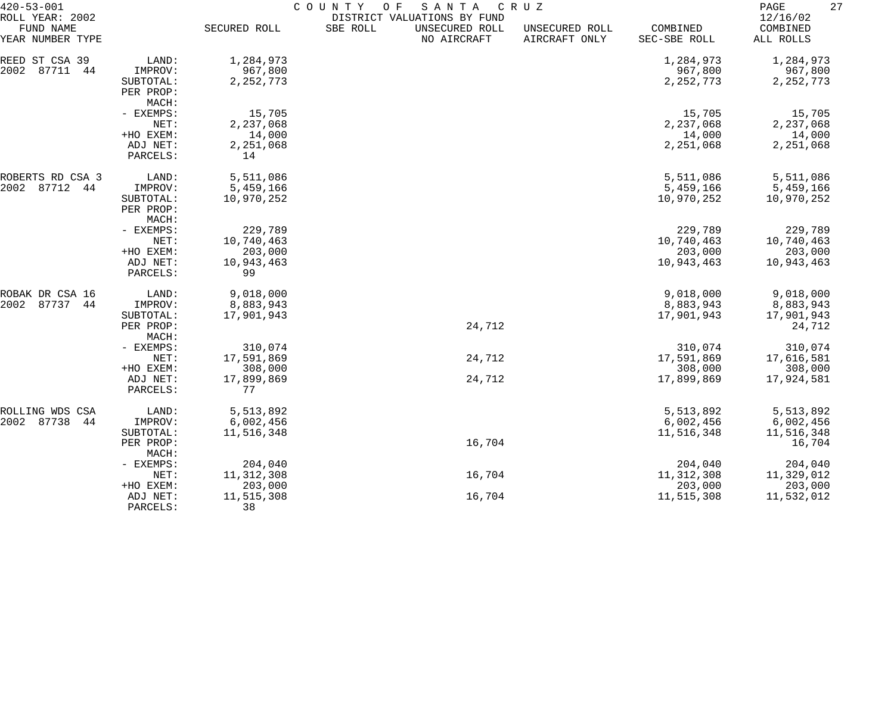| $420 - 53 - 001$                                 |                                            | COUNTY<br>O F<br>SANTA<br>C R U Z<br>DISTRICT VALUATIONS BY FUND |          |                               |                                 |                                     |                                     |  |  |
|--------------------------------------------------|--------------------------------------------|------------------------------------------------------------------|----------|-------------------------------|---------------------------------|-------------------------------------|-------------------------------------|--|--|
| ROLL YEAR: 2002<br>FUND NAME<br>YEAR NUMBER TYPE |                                            | SECURED ROLL                                                     | SBE ROLL | UNSECURED ROLL<br>NO AIRCRAFT | UNSECURED ROLL<br>AIRCRAFT ONLY | COMBINED<br>SEC-SBE ROLL            | 12/16/02<br>COMBINED<br>ALL ROLLS   |  |  |
| REED ST CSA 39<br>2002<br>87711<br>44            | LAND:<br>IMPROV:<br>SUBTOTAL:              | 1,284,973<br>967,800<br>2, 252, 773                              |          |                               |                                 | 1,284,973<br>967,800<br>2, 252, 773 | 1,284,973<br>967,800<br>2, 252, 773 |  |  |
|                                                  | PER PROP:<br>MACH:                         |                                                                  |          |                               |                                 |                                     |                                     |  |  |
|                                                  | - EXEMPS:<br>NET:                          | 15,705<br>2,237,068                                              |          |                               |                                 | 15,705<br>2,237,068                 | 15,705<br>2,237,068                 |  |  |
|                                                  | +HO EXEM:                                  | 14,000                                                           |          |                               |                                 | 14,000                              | 14,000                              |  |  |
|                                                  | ADJ NET:<br>PARCELS:                       | 2,251,068<br>14                                                  |          |                               |                                 | 2,251,068                           | 2,251,068                           |  |  |
| ROBERTS RD CSA 3                                 | LAND:                                      | 5,511,086                                                        |          |                               |                                 | 5,511,086                           | 5,511,086                           |  |  |
| 87712<br>2002<br>44                              | IMPROV:<br>SUBTOTAL:<br>PER PROP:<br>MACH: | 5,459,166<br>10,970,252                                          |          |                               |                                 | 5,459,166<br>10,970,252             | 5,459,166<br>10,970,252             |  |  |
|                                                  | - EXEMPS:                                  | 229,789                                                          |          |                               |                                 | 229,789                             | 229,789                             |  |  |
|                                                  | NET:<br>+HO EXEM:                          | 10,740,463<br>203,000                                            |          |                               |                                 | 10,740,463<br>203,000               | 10,740,463<br>203,000               |  |  |
|                                                  | ADJ NET:<br>PARCELS:                       | 10,943,463<br>99                                                 |          |                               |                                 | 10,943,463                          | 10,943,463                          |  |  |
| ROBAK DR CSA 16                                  | LAND:                                      | 9,018,000                                                        |          |                               |                                 | 9,018,000                           | 9,018,000                           |  |  |
| 87737<br>2002<br>44                              | IMPROV:<br>SUBTOTAL:                       | 8,883,943<br>17,901,943                                          |          |                               |                                 | 8,883,943<br>17,901,943             | 8,883,943<br>17,901,943             |  |  |
|                                                  | PER PROP:<br>MACH:                         |                                                                  |          | 24,712                        |                                 |                                     | 24,712                              |  |  |
|                                                  | - EXEMPS:                                  | 310,074                                                          |          |                               |                                 | 310,074                             | 310,074                             |  |  |
|                                                  | NET:<br>+HO EXEM:                          | 17,591,869<br>308,000                                            |          | 24,712                        |                                 | 17,591,869<br>308,000               | 17,616,581<br>308,000               |  |  |
|                                                  | ADJ NET:<br>PARCELS:                       | 17,899,869<br>77                                                 |          | 24,712                        |                                 | 17,899,869                          | 17,924,581                          |  |  |
| ROLLING WDS CSA                                  | LAND:                                      | 5,513,892                                                        |          |                               |                                 | 5,513,892                           | 5,513,892                           |  |  |
| 2002 87738<br>44                                 | IMPROV:<br>SUBTOTAL:                       | 6,002,456<br>11,516,348                                          |          |                               |                                 | 6,002,456<br>11,516,348             | 6,002,456<br>11,516,348             |  |  |
|                                                  | PER PROP:<br>MACH:                         |                                                                  |          | 16,704                        |                                 |                                     | 16,704                              |  |  |
|                                                  | - EXEMPS:                                  | 204,040                                                          |          |                               |                                 | 204,040                             | 204,040                             |  |  |
|                                                  | NET:<br>+HO EXEM:                          | 11, 312, 308<br>203,000                                          |          | 16,704                        |                                 | 11, 312, 308<br>203,000             | 11,329,012<br>203,000               |  |  |
|                                                  | ADJ NET:<br>PARCELS:                       | 11,515,308<br>38                                                 |          | 16,704                        |                                 | 11,515,308                          | 11,532,012                          |  |  |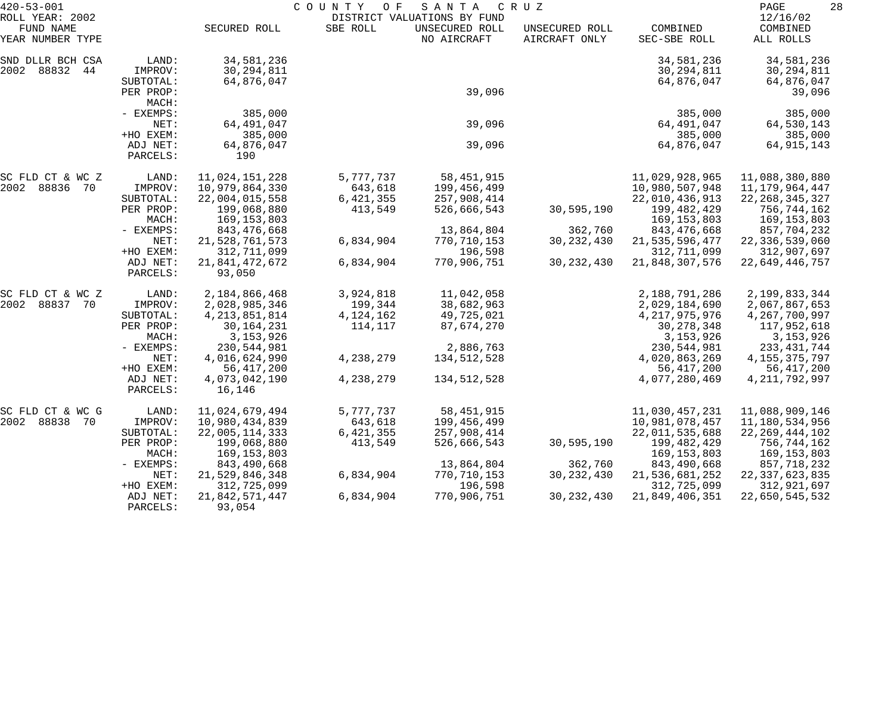| $420 - 53 - 001$                                 |                                                                  | COUNTY OF<br>SANTA<br>C R U Z<br>DISTRICT VALUATIONS BY FUND                                     |                                                |                                                                   |                                 |                                                                                                  |                                                                                                |  |
|--------------------------------------------------|------------------------------------------------------------------|--------------------------------------------------------------------------------------------------|------------------------------------------------|-------------------------------------------------------------------|---------------------------------|--------------------------------------------------------------------------------------------------|------------------------------------------------------------------------------------------------|--|
| ROLL YEAR: 2002<br>FUND NAME<br>YEAR NUMBER TYPE |                                                                  | SECURED ROLL                                                                                     | SBE ROLL                                       | UNSECURED ROLL<br>NO AIRCRAFT                                     | UNSECURED ROLL<br>AIRCRAFT ONLY | COMBINED<br>SEC-SBE ROLL                                                                         | 12/16/02<br>COMBINED<br>ALL ROLLS                                                              |  |
| SND DLLR BCH CSA<br>2002 88832 44                | LAND:<br>IMPROV:<br>SUBTOTAL:<br>PER PROP:<br>MACH:              | 34,581,236<br>30, 294, 811<br>64,876,047                                                         |                                                | 39,096                                                            |                                 | 34,581,236<br>30, 294, 811<br>64,876,047                                                         | 34,581,236<br>30, 294, 811<br>64,876,047<br>39,096                                             |  |
|                                                  | - EXEMPS:<br>NET:<br>+HO EXEM:                                   | 385,000<br>64,491,047<br>385,000                                                                 |                                                | 39,096                                                            |                                 | 385,000<br>64,491,047<br>385,000                                                                 | 385,000<br>64,530,143<br>385,000                                                               |  |
|                                                  | ADJ NET:<br>PARCELS:                                             | 64,876,047<br>190                                                                                |                                                | 39,096                                                            |                                 | 64,876,047                                                                                       | 64, 915, 143                                                                                   |  |
| SC FLD CT & WC Z<br>2002 88836<br>70             | LAND:<br>IMPROV:<br>SUBTOTAL:                                    | 11,024,151,228<br>10,979,864,330<br>22,004,015,558                                               | 5,777,737<br>643,618<br>6, 421, 355            | 58, 451, 915<br>199,456,499<br>257,908,414                        |                                 | 11,029,928,965<br>10,980,507,948<br>22,010,436,913                                               | 11,088,380,880<br>11,179,964,447<br>22, 268, 345, 327                                          |  |
|                                                  | PER PROP:<br>MACH:<br>- EXEMPS:                                  | 199,068,880<br>169, 153, 803<br>843,476,668                                                      | 413,549                                        | 526,666,543<br>13,864,804                                         | 30,595,190<br>362,760           | 199,482,429<br>169, 153, 803<br>843, 476, 668                                                    | 756,744,162<br>169,153,803<br>857,704,232                                                      |  |
|                                                  | NET:<br>+HO EXEM:                                                | 21,528,761,573<br>312,711,099                                                                    | 6,834,904                                      | 770,710,153<br>196,598                                            | 30, 232, 430                    | 21, 535, 596, 477<br>312,711,099                                                                 | 22,336,539,060<br>312,907,697                                                                  |  |
|                                                  | ADJ NET:<br>PARCELS:                                             | 21,841,472,672<br>93,050                                                                         | 6,834,904                                      | 770,906,751                                                       | 30, 232, 430                    | 21,848,307,576                                                                                   | 22,649,446,757                                                                                 |  |
| SC FLD CT & WC Z<br>2002 88837<br>70             | LAND:<br>IMPROV:<br>SUBTOTAL:<br>PER PROP:<br>MACH:<br>- EXEMPS: | 2,184,866,468<br>2,028,985,346<br>4, 213, 851, 814<br>30, 164, 231<br>3, 153, 926<br>230,544,981 | 3,924,818<br>199,344<br>4, 124, 162<br>114,117 | 11,042,058<br>38,682,963<br>49,725,021<br>87,674,270<br>2,886,763 |                                 | 2,188,791,286<br>2,029,184,690<br>4, 217, 975, 976<br>30, 278, 348<br>3, 153, 926<br>230,544,981 | 2,199,833,344<br>2,067,867,653<br>4,267,700,997<br>117,952,618<br>3, 153, 926<br>233, 431, 744 |  |
|                                                  | NET:<br>+HO EXEM:<br>ADJ NET:<br>PARCELS:                        | 4,016,624,990<br>56, 417, 200<br>4,073,042,190<br>16,146                                         | 4,238,279<br>4,238,279                         | 134,512,528<br>134,512,528                                        |                                 | 4,020,863,269<br>56,417,200<br>4,077,280,469                                                     | 4, 155, 375, 797<br>56,417,200<br>4, 211, 792, 997                                             |  |
| SC FLD CT & WC G<br>2002 88838<br>70             | LAND:<br>IMPROV:<br>SUBTOTAL:<br>PER PROP:                       | 11,024,679,494<br>10,980,434,839<br>22,005,114,333<br>199,068,880                                | 5,777,737<br>643,618<br>6, 421, 355<br>413,549 | 58,451,915<br>199,456,499<br>257,908,414<br>526,666,543           | 30,595,190                      | 11,030,457,231<br>10,981,078,457<br>22,011,535,688<br>199,482,429                                | 11,088,909,146<br>11,180,534,956<br>22, 269, 444, 102<br>756,744,162                           |  |
|                                                  | MACH:<br>$-$ EXEMPS:<br>NET:                                     | 169, 153, 803<br>843,490,668<br>21,529,846,348                                                   | 6,834,904                                      | 13,864,804<br>770,710,153                                         | 362,760<br>30, 232, 430         | 169, 153, 803<br>843,490,668<br>21,536,681,252                                                   | 169,153,803<br>857,718,232<br>22, 337, 623, 835                                                |  |
|                                                  | +HO EXEM:<br>ADJ NET:<br>PARCELS:                                | 312,725,099<br>21,842,571,447<br>93,054                                                          | 6,834,904                                      | 196,598<br>770,906,751                                            | 30, 232, 430                    | 312,725,099<br>21,849,406,351                                                                    | 312,921,697<br>22,650,545,532                                                                  |  |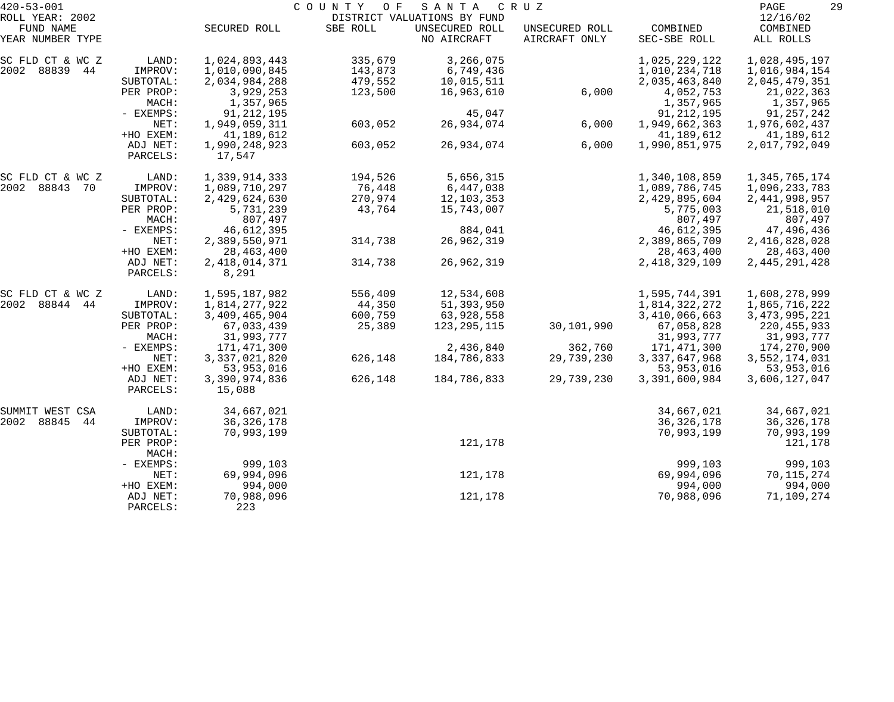| $420 - 53 - 001$              |           | COUNTY<br>O F<br>SANTA<br>C R U Z |          |                               |                                 |                          |                       |  |
|-------------------------------|-----------|-----------------------------------|----------|-------------------------------|---------------------------------|--------------------------|-----------------------|--|
| ROLL YEAR: 2002               |           |                                   |          | DISTRICT VALUATIONS BY FUND   |                                 |                          | 12/16/02              |  |
| FUND NAME<br>YEAR NUMBER TYPE |           | SECURED ROLL                      | SBE ROLL | UNSECURED ROLL<br>NO AIRCRAFT | UNSECURED ROLL<br>AIRCRAFT ONLY | COMBINED<br>SEC-SBE ROLL | COMBINED<br>ALL ROLLS |  |
|                               |           |                                   |          |                               |                                 |                          |                       |  |
| SC FLD CT & WC Z              | LAND:     | 1,024,893,443                     | 335,679  | 3,266,075                     |                                 | 1,025,229,122            | 1,028,495,197         |  |
| 2002 88839 44                 | IMPROV:   | 1,010,090,845                     | 143,873  | 6,749,436                     |                                 | 1,010,234,718            | 1,016,984,154         |  |
|                               | SUBTOTAL: | 2,034,984,288                     | 479,552  | 10,015,511                    |                                 | 2,035,463,840            | 2,045,479,351         |  |
|                               | PER PROP: | 3,929,253                         | 123,500  | 16,963,610                    | 6,000                           | 4,052,753                | 21,022,363            |  |
|                               | MACH:     | 1,357,965                         |          |                               |                                 | 1,357,965                | 1,357,965             |  |
|                               | - EXEMPS: | 91, 212, 195                      |          | 45,047                        |                                 | 91, 212, 195             | 91,257,242            |  |
|                               | NET:      | 1,949,059,311                     | 603,052  | 26,934,074                    | 6,000                           | 1,949,662,363            | 1,976,602,437         |  |
|                               | +HO EXEM: | 41,189,612                        |          |                               |                                 | 41,189,612               | 41,189,612            |  |
|                               | ADJ NET:  | 1,990,248,923                     | 603,052  | 26,934,074                    | 6,000                           | 1,990,851,975            | 2,017,792,049         |  |
|                               | PARCELS:  | 17,547                            |          |                               |                                 |                          |                       |  |
| SC FLD CT & WC Z              | LAND:     | 1,339,914,333                     | 194,526  | 5,656,315                     |                                 | 1,340,108,859            | 1,345,765,174         |  |
| 2002 88843 70                 | IMPROV:   | 1,089,710,297                     | 76,448   | 6,447,038                     |                                 | 1,089,786,745            | 1,096,233,783         |  |
|                               | SUBTOTAL: | 2,429,624,630                     | 270,974  | 12,103,353                    |                                 | 2,429,895,604            | 2, 441, 998, 957      |  |
|                               | PER PROP: | 5,731,239                         | 43,764   | 15,743,007                    |                                 | 5,775,003                | 21,518,010            |  |
|                               | MACH:     | 807,497                           |          |                               |                                 | 807,497                  | 807,497               |  |
|                               | - EXEMPS: | 46,612,395                        |          | 884,041                       |                                 | 46,612,395               | 47,496,436            |  |
|                               | NET:      | 2,389,550,971                     | 314,738  | 26,962,319                    |                                 | 2,389,865,709            | 2,416,828,028         |  |
|                               | +HO EXEM: | 28, 463, 400                      |          |                               |                                 | 28, 463, 400             | 28,463,400            |  |
|                               | ADJ NET:  | 2, 418, 014, 371                  | 314,738  | 26,962,319                    |                                 | 2, 418, 329, 109         | 2, 445, 291, 428      |  |
|                               | PARCELS:  | 8,291                             |          |                               |                                 |                          |                       |  |
| SC FLD CT & WC Z              | LAND:     | 1,595,187,982                     | 556,409  | 12,534,608                    |                                 | 1,595,744,391            | 1,608,278,999         |  |
| 2002 88844 44                 | IMPROV:   | 1,814,277,922                     | 44,350   | 51,393,950                    |                                 | 1,814,322,272            | 1,865,716,222         |  |
|                               | SUBTOTAL: | 3,409,465,904                     | 600,759  | 63,928,558                    |                                 | 3,410,066,663            | 3, 473, 995, 221      |  |
|                               | PER PROP: | 67,033,439                        | 25,389   | 123,295,115                   | 30,101,990                      | 67,058,828               | 220, 455, 933         |  |
|                               | MACH:     | 31,993,777                        |          |                               |                                 | 31,993,777               | 31,993,777            |  |
|                               | - EXEMPS: | 171,471,300                       |          | 2,436,840                     | 362,760                         | 171,471,300              | 174,270,900           |  |
|                               | NET:      | 3, 337, 021, 820                  | 626,148  | 184,786,833                   | 29,739,230                      | 3, 337, 647, 968         | 3,552,174,031         |  |
|                               | +HO EXEM: | 53,953,016                        |          |                               |                                 | 53,953,016               | 53,953,016            |  |
|                               | ADJ NET:  | 3,390,974,836                     | 626,148  | 184,786,833                   | 29,739,230                      | 3,391,600,984            | 3,606,127,047         |  |
|                               | PARCELS:  | 15,088                            |          |                               |                                 |                          |                       |  |
| SUMMIT WEST CSA               | LAND:     | 34,667,021                        |          |                               |                                 | 34,667,021               | 34,667,021            |  |
| 2002<br>88845<br>44           | IMPROV:   | 36, 326, 178                      |          |                               |                                 | 36, 326, 178             | 36, 326, 178          |  |
|                               | SUBTOTAL: | 70,993,199                        |          |                               |                                 | 70,993,199               | 70,993,199            |  |
|                               | PER PROP: |                                   |          | 121,178                       |                                 |                          | 121,178               |  |
|                               | MACH:     |                                   |          |                               |                                 |                          |                       |  |
|                               | - EXEMPS: | 999,103                           |          |                               |                                 | 999,103                  | 999,103               |  |
|                               | NET:      | 69,994,096                        |          | 121,178                       |                                 | 69,994,096               | 70, 115, 274          |  |
|                               | +HO EXEM: | 994,000                           |          |                               |                                 | 994,000                  | 994,000               |  |
|                               | ADJ NET:  | 70,988,096                        |          | 121,178                       |                                 | 70,988,096               | 71,109,274            |  |
|                               | PARCELS:  | 223                               |          |                               |                                 |                          |                       |  |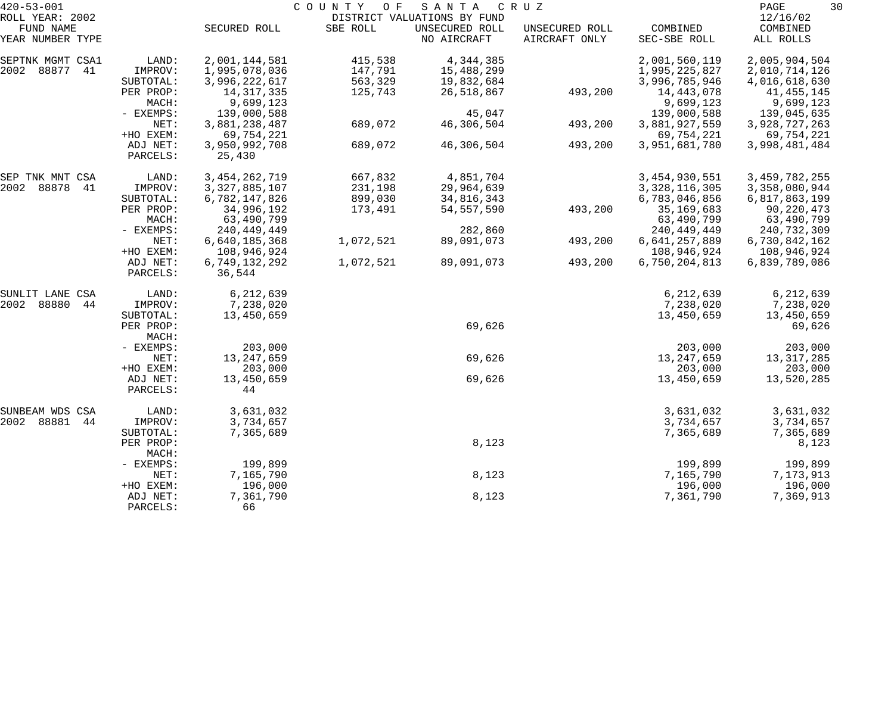| $420 - 53 - 001$    |           |                  | COUNTY OF | SANTA                       | C R U Z        |                  | 30<br>PAGE       |
|---------------------|-----------|------------------|-----------|-----------------------------|----------------|------------------|------------------|
| ROLL YEAR: 2002     |           |                  |           | DISTRICT VALUATIONS BY FUND |                |                  | 12/16/02         |
| FUND NAME           |           | SECURED ROLL     | SBE ROLL  | UNSECURED ROLL              | UNSECURED ROLL | COMBINED         | COMBINED         |
| YEAR NUMBER TYPE    |           |                  |           | NO AIRCRAFT                 | AIRCRAFT ONLY  | SEC-SBE ROLL     | ALL ROLLS        |
| SEPTNK MGMT CSA1    | LAND:     | 2,001,144,581    | 415,538   | 4,344,385                   |                | 2,001,560,119    | 2,005,904,504    |
| 2002<br>88877<br>41 | IMPROV:   | 1,995,078,036    | 147,791   | 15,488,299                  |                | 1,995,225,827    | 2,010,714,126    |
|                     | SUBTOTAL: | 3,996,222,617    | 563,329   | 19,832,684                  |                | 3,996,785,946    | 4,016,618,630    |
|                     | PER PROP: | 14, 317, 335     | 125,743   | 26,518,867                  | 493,200        | 14,443,078       | 41, 455, 145     |
|                     | MACH:     | 9,699,123        |           |                             |                | 9,699,123        | 9,699,123        |
|                     | - EXEMPS: | 139,000,588      |           | 45,047                      |                | 139,000,588      | 139,045,635      |
|                     | NET:      | 3,881,238,487    | 689,072   | 46,306,504                  | 493,200        | 3,881,927,559    | 3,928,727,263    |
|                     | +HO EXEM: | 69,754,221       |           |                             |                | 69,754,221       | 69,754,221       |
|                     | ADJ NET:  | 3,950,992,708    | 689,072   | 46,306,504                  | 493,200        | 3,951,681,780    | 3,998,481,484    |
|                     | PARCELS:  | 25,430           |           |                             |                |                  |                  |
|                     |           |                  |           |                             |                |                  |                  |
| SEP TNK MNT CSA     | LAND:     | 3, 454, 262, 719 | 667,832   | 4,851,704                   |                | 3, 454, 930, 551 | 3, 459, 782, 255 |
| 2002<br>88878<br>41 | IMPROV:   | 3, 327, 885, 107 | 231,198   | 29,964,639                  |                | 3, 328, 116, 305 | 3,358,080,944    |
|                     | SUBTOTAL: | 6,782,147,826    | 899,030   | 34,816,343                  |                | 6,783,046,856    | 6,817,863,199    |
|                     | PER PROP: | 34,996,192       | 173,491   | 54, 557, 590                | 493,200        | 35,169,683       | 90,220,473       |
|                     | MACH:     | 63,490,799       |           |                             |                | 63,490,799       | 63,490,799       |
|                     | - EXEMPS: | 240,449,449      |           | 282,860                     |                | 240, 449, 449    | 240,732,309      |
|                     | NET:      | 6,640,185,368    | 1,072,521 | 89,091,073                  | 493,200        | 6,641,257,889    | 6,730,842,162    |
|                     | +HO EXEM: | 108,946,924      |           |                             |                | 108,946,924      | 108,946,924      |
|                     | ADJ NET:  | 6,749,132,292    | 1,072,521 | 89,091,073                  | 493,200        | 6,750,204,813    | 6,839,789,086    |
|                     | PARCELS:  | 36,544           |           |                             |                |                  |                  |
| SUNLIT LANE CSA     | LAND:     | 6,212,639        |           |                             |                | 6,212,639        | 6,212,639        |
| 2002<br>88880<br>44 | IMPROV:   | 7,238,020        |           |                             |                | 7,238,020        | 7,238,020        |
|                     | SUBTOTAL: | 13,450,659       |           |                             |                | 13,450,659       | 13,450,659       |
|                     | PER PROP: |                  |           | 69,626                      |                |                  | 69,626           |
|                     | MACH:     |                  |           |                             |                |                  |                  |
|                     | - EXEMPS: | 203,000          |           |                             |                | 203,000          | 203,000          |
|                     | NET:      | 13, 247, 659     |           | 69,626                      |                | 13, 247, 659     | 13, 317, 285     |
|                     | +HO EXEM: | 203,000          |           |                             |                | 203,000          | 203,000          |
|                     | ADJ NET:  | 13,450,659       |           | 69,626                      |                | 13,450,659       | 13,520,285       |
|                     | PARCELS:  | 44               |           |                             |                |                  |                  |
| SUNBEAM WDS CSA     | LAND:     | 3,631,032        |           |                             |                | 3,631,032        | 3,631,032        |
| 2002<br>88881<br>44 | IMPROV:   | 3,734,657        |           |                             |                | 3,734,657        | 3,734,657        |
|                     | SUBTOTAL: | 7,365,689        |           |                             |                | 7,365,689        | 7,365,689        |
|                     | PER PROP: |                  |           | 8,123                       |                |                  | 8,123            |
|                     | MACH:     |                  |           |                             |                |                  |                  |
|                     | - EXEMPS: | 199,899          |           |                             |                | 199,899          | 199,899          |
|                     | NET:      | 7,165,790        |           | 8,123                       |                | 7,165,790        | 7,173,913        |
|                     | +HO EXEM: | 196,000          |           |                             |                | 196,000          | 196,000          |
|                     | ADJ NET:  | 7,361,790        |           | 8,123                       |                | 7,361,790        | 7,369,913        |
|                     | PARCELS:  | 66               |           |                             |                |                  |                  |
|                     |           |                  |           |                             |                |                  |                  |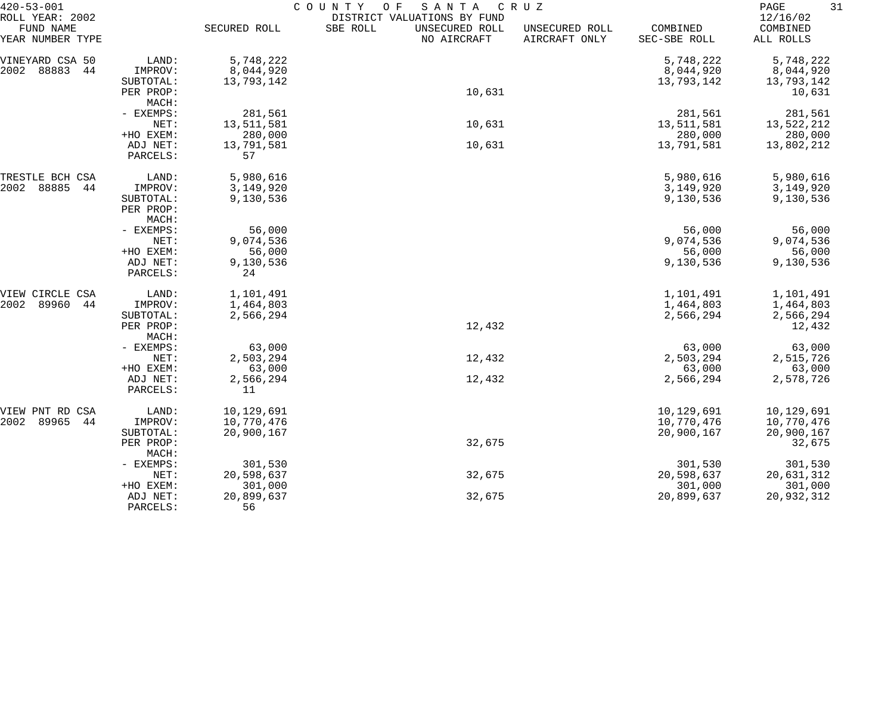| $420 - 53 - 001$                                 |                                 | COUNTY<br>O F<br>SANTA<br>CRUZ |                                                                          |                                 |                          |                                   |  |  |
|--------------------------------------------------|---------------------------------|--------------------------------|--------------------------------------------------------------------------|---------------------------------|--------------------------|-----------------------------------|--|--|
| ROLL YEAR: 2002<br>FUND NAME<br>YEAR NUMBER TYPE |                                 | SECURED ROLL                   | DISTRICT VALUATIONS BY FUND<br>SBE ROLL<br>UNSECURED ROLL<br>NO AIRCRAFT | UNSECURED ROLL<br>AIRCRAFT ONLY | COMBINED<br>SEC-SBE ROLL | 12/16/02<br>COMBINED<br>ALL ROLLS |  |  |
| VINEYARD CSA 50                                  | LAND:                           | 5,748,222                      |                                                                          |                                 | 5,748,222                | 5,748,222                         |  |  |
| 88883<br>2002<br>44                              | IMPROV:                         | 8,044,920                      |                                                                          |                                 | 8,044,920                | 8,044,920                         |  |  |
|                                                  | SUBTOTAL:<br>PER PROP:<br>MACH: | 13,793,142                     | 10,631                                                                   |                                 | 13,793,142               | 13,793,142<br>10,631              |  |  |
|                                                  | - EXEMPS:                       | 281,561                        |                                                                          |                                 | 281,561                  | 281,561                           |  |  |
|                                                  | NET:                            | 13,511,581                     | 10,631                                                                   |                                 | 13,511,581               | 13,522,212                        |  |  |
|                                                  | +HO EXEM:                       | 280,000                        |                                                                          |                                 | 280,000                  | 280,000                           |  |  |
|                                                  | ADJ NET:<br>PARCELS:            | 13,791,581<br>57               | 10,631                                                                   |                                 | 13,791,581               | 13,802,212                        |  |  |
| TRESTLE BCH CSA                                  | LAND:                           | 5,980,616                      |                                                                          |                                 | 5,980,616                | 5,980,616                         |  |  |
| 88885<br>2002<br>44                              | IMPROV:                         | 3,149,920                      |                                                                          |                                 | 3,149,920                | 3,149,920                         |  |  |
|                                                  | SUBTOTAL:<br>PER PROP:<br>MACH: | 9,130,536                      |                                                                          |                                 | 9,130,536                | 9,130,536                         |  |  |
|                                                  | - EXEMPS:                       | 56,000                         |                                                                          |                                 | 56,000                   | 56,000                            |  |  |
|                                                  | NET:                            | 9,074,536                      |                                                                          |                                 | 9,074,536                | 9,074,536                         |  |  |
|                                                  | +HO EXEM:                       | 56,000                         |                                                                          |                                 | 56,000                   | 56,000                            |  |  |
|                                                  | ADJ NET:<br>PARCELS:            | 9,130,536<br>24                |                                                                          |                                 | 9,130,536                | 9,130,536                         |  |  |
| VIEW CIRCLE CSA                                  | LAND:                           | 1,101,491                      |                                                                          |                                 | 1,101,491                | 1,101,491                         |  |  |
| 2002<br>89960<br>44                              | IMPROV:                         | 1,464,803                      |                                                                          |                                 | 1,464,803                | 1,464,803                         |  |  |
|                                                  | SUBTOTAL:                       | 2,566,294                      |                                                                          |                                 | 2,566,294                | 2,566,294                         |  |  |
|                                                  | PER PROP:<br>MACH:              |                                | 12,432                                                                   |                                 |                          | 12,432                            |  |  |
|                                                  | - EXEMPS:<br>NET:               | 63,000<br>2,503,294            |                                                                          |                                 | 63,000<br>2,503,294      | 63,000<br>2,515,726               |  |  |
|                                                  | +HO EXEM:                       | 63,000                         | 12,432                                                                   |                                 | 63,000                   | 63,000                            |  |  |
|                                                  | ADJ NET:                        | 2,566,294                      | 12,432                                                                   |                                 | 2,566,294                | 2,578,726                         |  |  |
|                                                  | PARCELS:                        | 11                             |                                                                          |                                 |                          |                                   |  |  |
| VIEW PNT RD<br>CSA                               | LAND:                           | 10,129,691                     |                                                                          |                                 | 10,129,691               | 10,129,691                        |  |  |
| 89965<br>2002<br>44                              | IMPROV:                         | 10,770,476                     |                                                                          |                                 | 10,770,476               | 10,770,476                        |  |  |
|                                                  | SUBTOTAL:                       | 20,900,167                     |                                                                          |                                 | 20,900,167               | 20,900,167                        |  |  |
|                                                  | PER PROP:<br>MACH:              |                                | 32,675                                                                   |                                 |                          | 32,675                            |  |  |
|                                                  | - EXEMPS:                       | 301,530                        |                                                                          |                                 | 301,530                  | 301,530                           |  |  |
|                                                  | NET:                            | 20,598,637                     | 32,675                                                                   |                                 | 20,598,637               | 20,631,312                        |  |  |
|                                                  | +HO EXEM:                       | 301,000                        |                                                                          |                                 | 301,000                  | 301,000                           |  |  |
|                                                  | ADJ NET:                        | 20,899,637                     | 32,675                                                                   |                                 | 20,899,637               | 20,932,312                        |  |  |
|                                                  | PARCELS:                        | 56                             |                                                                          |                                 |                          |                                   |  |  |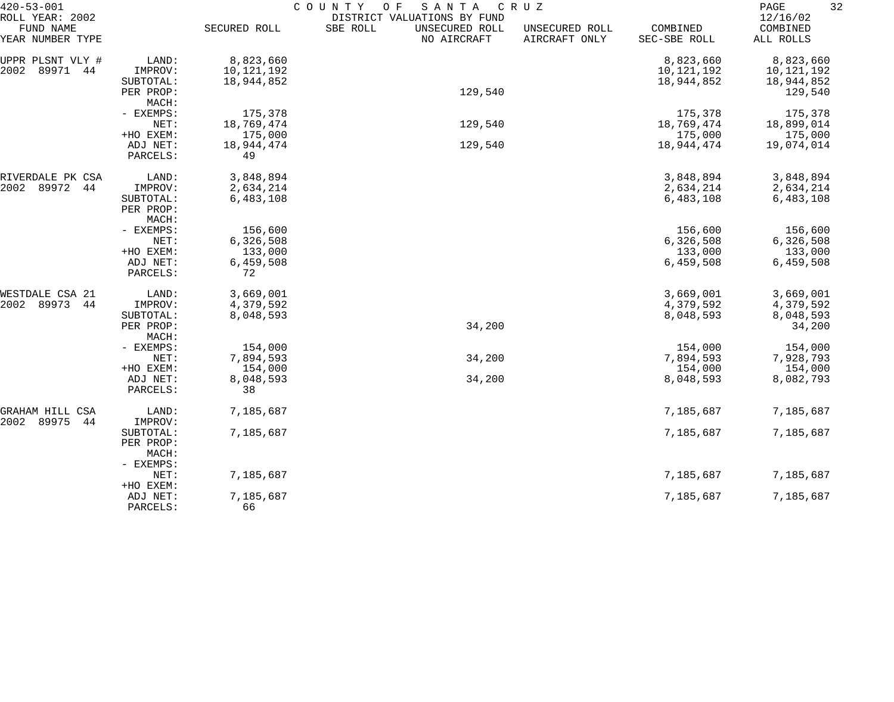| $420 - 53 - 001$                                 |                    | COUNTY<br>SANTA<br>C R U Z<br>O F |                                                                          |                                 |                          |                                   |  |  |
|--------------------------------------------------|--------------------|-----------------------------------|--------------------------------------------------------------------------|---------------------------------|--------------------------|-----------------------------------|--|--|
| ROLL YEAR: 2002<br>FUND NAME<br>YEAR NUMBER TYPE |                    | SECURED ROLL                      | DISTRICT VALUATIONS BY FUND<br>SBE ROLL<br>UNSECURED ROLL<br>NO AIRCRAFT | UNSECURED ROLL<br>AIRCRAFT ONLY | COMBINED<br>SEC-SBE ROLL | 12/16/02<br>COMBINED<br>ALL ROLLS |  |  |
| UPPR PLSNT VLY #                                 | LAND:              | 8,823,660                         |                                                                          |                                 | 8,823,660                | 8,823,660                         |  |  |
| 2002<br>89971<br>44                              | IMPROV:            | 10,121,192                        |                                                                          |                                 | 10,121,192               | 10,121,192                        |  |  |
|                                                  | SUBTOTAL:          | 18,944,852                        |                                                                          |                                 | 18,944,852               | 18,944,852                        |  |  |
|                                                  | PER PROP:          |                                   | 129,540                                                                  |                                 |                          | 129,540                           |  |  |
|                                                  | MACH:              |                                   |                                                                          |                                 |                          |                                   |  |  |
|                                                  | - EXEMPS:          | 175,378                           |                                                                          |                                 | 175,378                  | 175,378                           |  |  |
|                                                  | NET:               | 18,769,474                        | 129,540                                                                  |                                 | 18,769,474               | 18,899,014                        |  |  |
|                                                  | +HO EXEM:          | 175,000                           |                                                                          |                                 | 175,000                  | 175,000                           |  |  |
|                                                  | ADJ NET:           | 18,944,474                        | 129,540                                                                  |                                 | 18,944,474               | 19,074,014                        |  |  |
|                                                  | PARCELS:           | 49                                |                                                                          |                                 |                          |                                   |  |  |
| RIVERDALE PK CSA                                 | LAND:              | 3,848,894                         |                                                                          |                                 | 3,848,894                | 3,848,894                         |  |  |
| 2002<br>89972<br>44                              | IMPROV:            | 2,634,214                         |                                                                          |                                 | 2,634,214                | 2,634,214                         |  |  |
|                                                  | SUBTOTAL:          | 6,483,108                         |                                                                          |                                 | 6,483,108                | 6,483,108                         |  |  |
|                                                  | PER PROP:<br>MACH: |                                   |                                                                          |                                 |                          |                                   |  |  |
|                                                  | - EXEMPS:          | 156,600                           |                                                                          |                                 | 156,600                  | 156,600                           |  |  |
|                                                  | NET:               | 6,326,508                         |                                                                          |                                 | 6,326,508                | 6,326,508                         |  |  |
|                                                  | +HO EXEM:          | 133,000                           |                                                                          |                                 | 133,000                  | 133,000                           |  |  |
|                                                  | ADJ NET:           | 6,459,508                         |                                                                          |                                 | 6,459,508                | 6,459,508                         |  |  |
|                                                  | PARCELS:           | 72                                |                                                                          |                                 |                          |                                   |  |  |
| WESTDALE CSA 21                                  | LAND:              | 3,669,001                         |                                                                          |                                 | 3,669,001                | 3,669,001                         |  |  |
| 2002<br>89973<br>44                              | IMPROV:            | 4,379,592                         |                                                                          |                                 | 4,379,592                | 4,379,592                         |  |  |
|                                                  | SUBTOTAL:          | 8,048,593                         |                                                                          |                                 | 8,048,593                | 8,048,593                         |  |  |
|                                                  | PER PROP:          |                                   | 34,200                                                                   |                                 |                          | 34,200                            |  |  |
|                                                  | MACH:              |                                   |                                                                          |                                 |                          |                                   |  |  |
|                                                  | - EXEMPS:          | 154,000                           |                                                                          |                                 | 154,000                  | 154,000                           |  |  |
|                                                  | NET:               | 7,894,593                         | 34,200                                                                   |                                 | 7,894,593                | 7,928,793                         |  |  |
|                                                  | +HO EXEM:          | 154,000                           |                                                                          |                                 | 154,000                  | 154,000                           |  |  |
|                                                  | ADJ NET:           | 8,048,593                         | 34,200                                                                   |                                 | 8,048,593                | 8,082,793                         |  |  |
|                                                  | PARCELS:           | 38                                |                                                                          |                                 |                          |                                   |  |  |
| GRAHAM HILL CSA                                  | LAND:              | 7,185,687                         |                                                                          |                                 | 7,185,687                | 7,185,687                         |  |  |
| 2002<br>89975<br>44                              | IMPROV:            |                                   |                                                                          |                                 |                          |                                   |  |  |
|                                                  | SUBTOTAL:          | 7,185,687                         |                                                                          |                                 | 7,185,687                | 7,185,687                         |  |  |
|                                                  | PER PROP:          |                                   |                                                                          |                                 |                          |                                   |  |  |
|                                                  | MACH:              |                                   |                                                                          |                                 |                          |                                   |  |  |
|                                                  | - EXEMPS:          |                                   |                                                                          |                                 |                          |                                   |  |  |
|                                                  | NET:               | 7,185,687                         |                                                                          |                                 | 7,185,687                | 7,185,687                         |  |  |
|                                                  | +HO EXEM:          |                                   |                                                                          |                                 |                          |                                   |  |  |
|                                                  | ADJ NET:           | 7,185,687                         |                                                                          |                                 | 7,185,687                | 7,185,687                         |  |  |
|                                                  | PARCELS:           | 66                                |                                                                          |                                 |                          |                                   |  |  |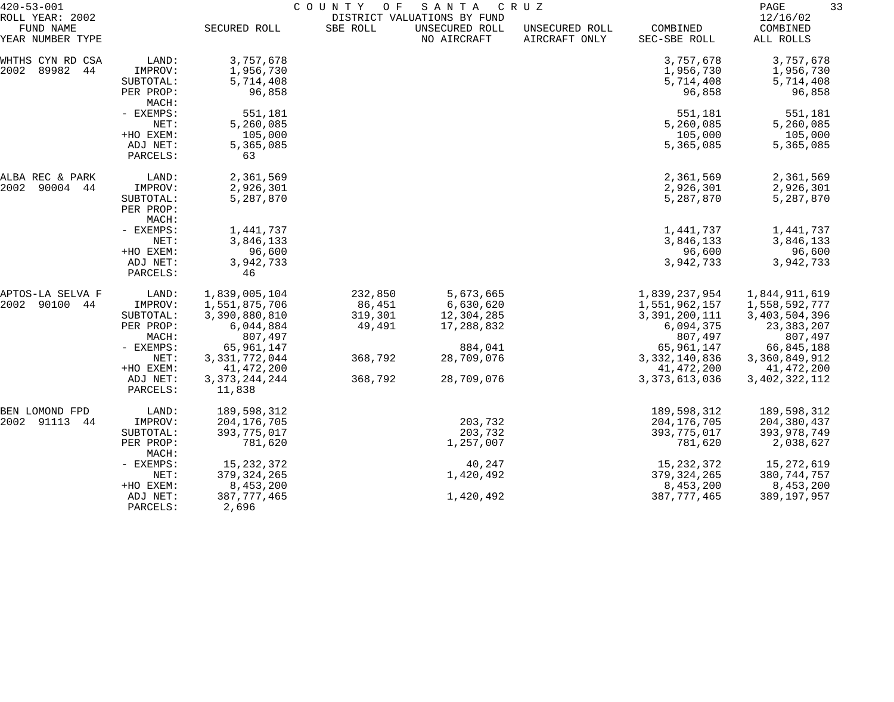| $420 - 53 - 001$<br>ROLL YEAR: 2002  |                                                                                       | COUNTY<br>SANTA<br>C R U Z<br>O F<br>DISTRICT VALUATIONS BY FUND                                                          |                                                   |                                                                             |                                 |                                                                                                                           |                                                                                                                         |
|--------------------------------------|---------------------------------------------------------------------------------------|---------------------------------------------------------------------------------------------------------------------------|---------------------------------------------------|-----------------------------------------------------------------------------|---------------------------------|---------------------------------------------------------------------------------------------------------------------------|-------------------------------------------------------------------------------------------------------------------------|
| FUND NAME<br>YEAR NUMBER TYPE        |                                                                                       | SECURED ROLL                                                                                                              | SBE ROLL                                          | UNSECURED ROLL<br>NO AIRCRAFT                                               | UNSECURED ROLL<br>AIRCRAFT ONLY | COMBINED<br>SEC-SBE ROLL                                                                                                  | 12/16/02<br>COMBINED<br>ALL ROLLS                                                                                       |
| WHTHS CYN RD CSA<br>2002<br>89982 44 | LAND:<br>IMPROV:<br>SUBTOTAL:<br>PER PROP:<br>MACH:                                   | 3,757,678<br>1,956,730<br>5,714,408<br>96,858                                                                             |                                                   |                                                                             |                                 | 3,757,678<br>1,956,730<br>5,714,408<br>96,858                                                                             | 3,757,678<br>1,956,730<br>5,714,408<br>96,858                                                                           |
|                                      | - EXEMPS:<br>NET:<br>+HO EXEM:<br>ADJ NET:<br>PARCELS:                                | 551,181<br>5,260,085<br>105,000<br>5,365,085<br>63                                                                        |                                                   |                                                                             |                                 | 551,181<br>5,260,085<br>105,000<br>5,365,085                                                                              | 551,181<br>5,260,085<br>105,000<br>5,365,085                                                                            |
| ALBA REC & PARK<br>2002<br>90004 44  | LAND:<br>IMPROV:<br>SUBTOTAL:<br>PER PROP:<br>MACH:                                   | 2,361,569<br>2,926,301<br>5,287,870                                                                                       |                                                   |                                                                             |                                 | 2,361,569<br>2,926,301<br>5,287,870                                                                                       | 2,361,569<br>2,926,301<br>5,287,870                                                                                     |
|                                      | - EXEMPS:<br>NET:<br>+HO EXEM:<br>ADJ NET:<br>PARCELS:                                | 1,441,737<br>3,846,133<br>96,600<br>3,942,733<br>46                                                                       |                                                   |                                                                             |                                 | 1,441,737<br>3,846,133<br>96,600<br>3,942,733                                                                             | 1,441,737<br>3,846,133<br>96,600<br>3,942,733                                                                           |
| APTOS-LA SELVA F<br>2002<br>90100 44 | LAND:<br>IMPROV:<br>SUBTOTAL:<br>PER PROP:<br>MACH:<br>- EXEMPS:<br>NET:<br>+HO EXEM: | 1,839,005,104<br>1,551,875,706<br>3,390,880,810<br>6,044,884<br>807,497<br>65,961,147<br>3, 331, 772, 044<br>41, 472, 200 | 232,850<br>86,451<br>319,301<br>49,491<br>368,792 | 5,673,665<br>6,630,620<br>12,304,285<br>17,288,832<br>884,041<br>28,709,076 |                                 | 1,839,237,954<br>1,551,962,157<br>3,391,200,111<br>6,094,375<br>807,497<br>65,961,147<br>3, 332, 140, 836<br>41, 472, 200 | 1,844,911,619<br>1,558,592,777<br>3,403,504,396<br>23, 383, 207<br>807,497<br>66,845,188<br>3,360,849,912<br>41,472,200 |
|                                      | ADJ NET:<br>PARCELS:                                                                  | 3, 373, 244, 244<br>11,838                                                                                                | 368,792                                           | 28,709,076                                                                  |                                 | 3, 373, 613, 036                                                                                                          | 3, 402, 322, 112                                                                                                        |
| BEN LOMOND FPD<br>2002 91113<br>44   | LAND:<br>IMPROV:<br>SUBTOTAL:<br>PER PROP:<br>MACH:                                   | 189,598,312<br>204, 176, 705<br>393,775,017<br>781,620                                                                    |                                                   | 203,732<br>203,732<br>1,257,007                                             |                                 | 189,598,312<br>204, 176, 705<br>393,775,017<br>781,620                                                                    | 189,598,312<br>204, 380, 437<br>393,978,749<br>2,038,627                                                                |
|                                      | - EXEMPS:<br>NET:<br>+HO EXEM:<br>ADJ NET:                                            | 15, 232, 372<br>379, 324, 265<br>8,453,200<br>387, 777, 465                                                               |                                                   | 40,247<br>1,420,492<br>1,420,492                                            |                                 | 15, 232, 372<br>379, 324, 265<br>8,453,200<br>387, 777, 465                                                               | 15,272,619<br>380,744,757<br>8,453,200<br>389, 197, 957                                                                 |
|                                      | PARCELS:                                                                              | 2,696                                                                                                                     |                                                   |                                                                             |                                 |                                                                                                                           |                                                                                                                         |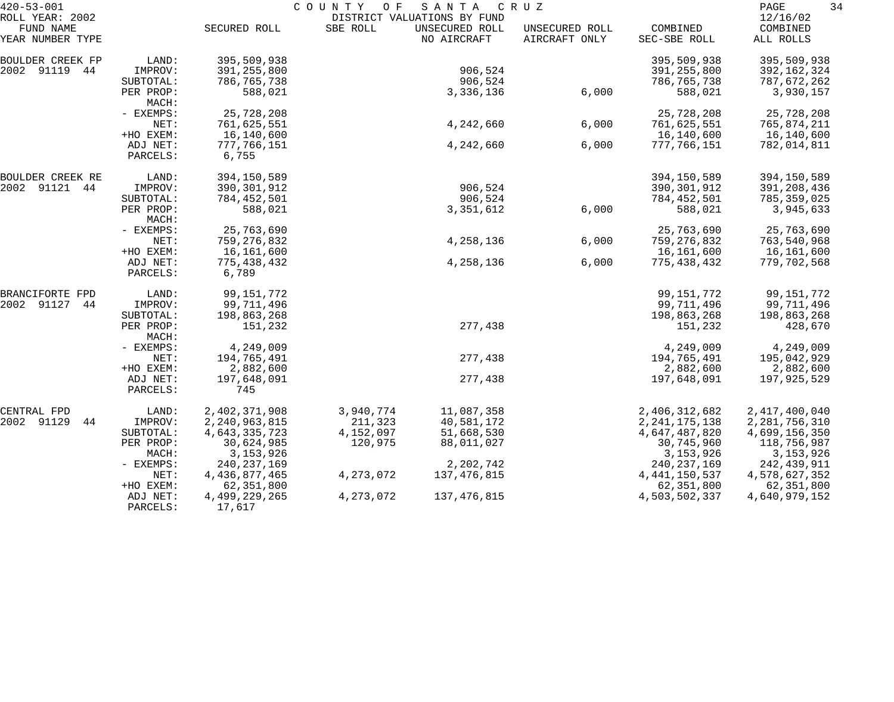| $420 - 53 - 001$                                 |                                   | COUNTY<br>O F<br>SANTA<br>C R U Z<br>DISTRICT VALUATIONS BY FUND |                      |                               |                                 |                             |                                   |  |
|--------------------------------------------------|-----------------------------------|------------------------------------------------------------------|----------------------|-------------------------------|---------------------------------|-----------------------------|-----------------------------------|--|
| ROLL YEAR: 2002<br>FUND NAME<br>YEAR NUMBER TYPE |                                   | SECURED ROLL                                                     | SBE ROLL             | UNSECURED ROLL<br>NO AIRCRAFT | UNSECURED ROLL<br>AIRCRAFT ONLY | COMBINED<br>SEC-SBE ROLL    | 12/16/02<br>COMBINED<br>ALL ROLLS |  |
|                                                  |                                   |                                                                  |                      |                               |                                 |                             |                                   |  |
| BOULDER CREEK FP<br>2002 91119 44                | LAND:<br>IMPROV:                  | 395,509,938<br>391,255,800                                       |                      | 906,524                       |                                 | 395,509,938<br>391,255,800  | 395,509,938<br>392,162,324        |  |
|                                                  | SUBTOTAL:<br>PER PROP:<br>MACH:   | 786,765,738<br>588,021                                           |                      | 906,524<br>3,336,136          | 6,000                           | 786,765,738<br>588,021      | 787,672,262<br>3,930,157          |  |
|                                                  | - EXEMPS:                         | 25,728,208                                                       |                      |                               |                                 | 25,728,208                  | 25,728,208                        |  |
|                                                  | NET:                              | 761,625,551                                                      |                      | 4,242,660                     | 6,000                           | 761,625,551                 | 765,874,211                       |  |
|                                                  | +HO EXEM:<br>ADJ NET:<br>PARCELS: | 16,140,600<br>777,766,151<br>6,755                               |                      | 4,242,660                     | 6,000                           | 16,140,600<br>777,766,151   | 16,140,600<br>782,014,811         |  |
| BOULDER CREEK RE                                 | LAND:                             | 394,150,589                                                      |                      |                               |                                 | 394,150,589                 | 394,150,589                       |  |
| 2002 91121 44                                    | IMPROV:                           | 390,301,912                                                      |                      | 906,524                       |                                 | 390,301,912                 | 391,208,436                       |  |
|                                                  | SUBTOTAL:                         | 784,452,501                                                      |                      | 906,524                       |                                 | 784,452,501                 | 785,359,025                       |  |
|                                                  | PER PROP:<br>MACH:                | 588,021                                                          |                      | 3,351,612                     | 6,000                           | 588,021                     | 3,945,633                         |  |
|                                                  | - EXEMPS:                         | 25,763,690                                                       |                      |                               |                                 | 25,763,690                  | 25,763,690                        |  |
|                                                  | NET:                              | 759,276,832                                                      |                      | 4,258,136                     | 6,000                           | 759,276,832                 | 763,540,968                       |  |
|                                                  | +HO EXEM:<br>ADJ NET:<br>PARCELS: | 16,161,600<br>775,438,432<br>6,789                               |                      | 4,258,136                     | 6,000                           | 16,161,600<br>775,438,432   | 16,161,600<br>779,702,568         |  |
| BRANCIFORTE FPD                                  | LAND:                             | 99, 151, 772                                                     |                      |                               |                                 | 99,151,772                  | 99, 151, 772                      |  |
| 2002 91127<br>44                                 | IMPROV:                           | 99,711,496                                                       |                      |                               |                                 | 99,711,496                  | 99,711,496                        |  |
|                                                  | SUBTOTAL:                         | 198,863,268                                                      |                      |                               |                                 | 198,863,268                 | 198,863,268                       |  |
|                                                  | PER PROP:<br>MACH:                | 151,232                                                          |                      | 277,438                       |                                 | 151,232                     | 428,670                           |  |
|                                                  | - EXEMPS:                         | 4,249,009                                                        |                      |                               |                                 | 4,249,009                   | 4,249,009                         |  |
|                                                  | NET:<br>+HO EXEM:                 | 194,765,491<br>2,882,600                                         |                      | 277,438                       |                                 | 194,765,491<br>2,882,600    | 195,042,929<br>2,882,600          |  |
|                                                  | ADJ NET:<br>PARCELS:              | 197,648,091<br>745                                               |                      | 277,438                       |                                 | 197,648,091                 | 197,925,529                       |  |
| CENTRAL FPD                                      | LAND:                             | 2,402,371,908                                                    | 3,940,774            | 11,087,358                    |                                 | 2,406,312,682               | 2, 417, 400, 040                  |  |
| 2002 91129<br>44                                 | IMPROV:                           | 2, 240, 963, 815                                                 | 211,323              | 40,581,172                    |                                 | 2, 241, 175, 138            | 2, 281, 756, 310                  |  |
|                                                  | SUBTOTAL:<br>PER PROP:            | 4,643,335,723<br>30,624,985                                      | 4,152,097<br>120,975 | 51,668,530<br>88,011,027      |                                 | 4,647,487,820<br>30,745,960 | 4,699,156,350<br>118,756,987      |  |
|                                                  | MACH:                             | 3, 153, 926                                                      |                      |                               |                                 | 3, 153, 926                 | 3, 153, 926                       |  |
|                                                  | - EXEMPS:                         | 240, 237, 169                                                    |                      | 2,202,742                     |                                 | 240, 237, 169               | 242,439,911                       |  |
|                                                  | NET:                              | 4,436,877,465                                                    | 4, 273, 072          | 137,476,815                   |                                 | 4, 441, 150, 537            | 4,578,627,352                     |  |
|                                                  | +HO EXEM:<br>ADJ NET:             | 62,351,800<br>4,499,229,265                                      | 4, 273, 072          | 137,476,815                   |                                 | 62,351,800<br>4,503,502,337 | 62,351,800<br>4,640,979,152       |  |
|                                                  | PARCELS:                          | 17,617                                                           |                      |                               |                                 |                             |                                   |  |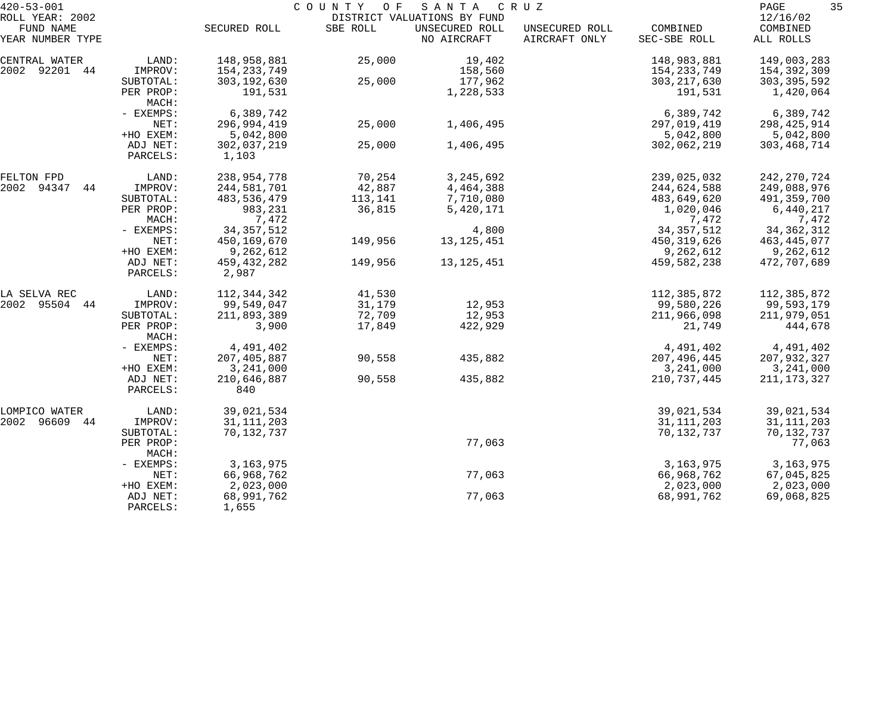| $420 - 53 - 001$              |                      |                      | COUNTY OF | SANTA                         | C R U Z                         |                          | 35<br>PAGE            |
|-------------------------------|----------------------|----------------------|-----------|-------------------------------|---------------------------------|--------------------------|-----------------------|
| ROLL YEAR: 2002               |                      |                      |           | DISTRICT VALUATIONS BY FUND   |                                 |                          | 12/16/02              |
| FUND NAME<br>YEAR NUMBER TYPE |                      | SECURED ROLL         | SBE ROLL  | UNSECURED ROLL<br>NO AIRCRAFT | UNSECURED ROLL<br>AIRCRAFT ONLY | COMBINED<br>SEC-SBE ROLL | COMBINED<br>ALL ROLLS |
| CENTRAL WATER                 | LAND:                | 148,958,881          | 25,000    | 19,402                        |                                 | 148,983,881              | 149,003,283           |
| 2002 92201 44                 | IMPROV:              | 154, 233, 749        |           | 158,560                       |                                 | 154,233,749              | 154,392,309           |
|                               | SUBTOTAL:            | 303, 192, 630        | 25,000    | 177,962                       |                                 | 303, 217, 630            | 303, 395, 592         |
|                               | PER PROP:<br>MACH:   | 191,531              |           | 1,228,533                     |                                 | 191,531                  | 1,420,064             |
|                               | - EXEMPS:            | 6,389,742            |           |                               |                                 | 6,389,742                | 6,389,742             |
|                               | NET:                 | 296,994,419          | 25,000    | 1,406,495                     |                                 | 297,019,419              | 298, 425, 914         |
|                               | +HO EXEM:            | 5,042,800            |           |                               |                                 | 5,042,800                | 5,042,800             |
|                               | ADJ NET:<br>PARCELS: | 302,037,219<br>1,103 | 25,000    | 1,406,495                     |                                 | 302,062,219              | 303, 468, 714         |
| FELTON FPD                    | LAND:                | 238,954,778          | 70,254    | 3, 245, 692                   |                                 | 239,025,032              | 242, 270, 724         |
| 2002 94347<br>44              | IMPROV:              | 244,581,701          | 42,887    | 4,464,388                     |                                 | 244,624,588              | 249,088,976           |
|                               | SUBTOTAL:            | 483,536,479          | 113,141   | 7,710,080                     |                                 | 483,649,620              | 491,359,700           |
|                               | PER PROP:            | 983,231              | 36,815    | 5,420,171                     |                                 | 1,020,046                | 6,440,217             |
|                               | MACH:                | 7,472                |           |                               |                                 | 7,472                    | 7,472                 |
|                               | - EXEMPS:            | 34, 357, 512         |           | 4,800                         |                                 | 34, 357, 512             | 34, 362, 312          |
|                               | NET:                 | 450,169,670          | 149,956   | 13, 125, 451                  |                                 | 450, 319, 626            | 463,445,077           |
|                               | +HO EXEM:            | 9,262,612            |           |                               |                                 | 9,262,612                | 9,262,612             |
|                               | ADJ NET:             | 459, 432, 282        | 149,956   | 13, 125, 451                  |                                 | 459,582,238              | 472,707,689           |
|                               | PARCELS:             | 2,987                |           |                               |                                 |                          |                       |
| LA SELVA REC                  | LAND:                | 112,344,342          | 41,530    |                               |                                 | 112,385,872              | 112,385,872           |
| 2002 95504 44                 | IMPROV:              | 99,549,047           | 31,179    | 12,953                        |                                 | 99,580,226               | 99,593,179            |
|                               | SUBTOTAL:            | 211,893,389          | 72,709    | 12,953                        |                                 | 211,966,098              | 211,979,051           |
|                               | PER PROP:<br>MACH:   | 3,900                | 17,849    | 422,929                       |                                 | 21,749                   | 444,678               |
|                               | - EXEMPS:            | 4,491,402            |           |                               |                                 | 4,491,402                | 4,491,402             |
|                               | NET:                 | 207,405,887          | 90,558    | 435,882                       |                                 | 207,496,445              | 207,932,327           |
|                               | +HO EXEM:            | 3,241,000            |           |                               |                                 | 3,241,000                | 3,241,000             |
|                               | ADJ NET:             | 210,646,887          | 90,558    | 435,882                       |                                 | 210, 737, 445            | 211, 173, 327         |
|                               | PARCELS:             | 840                  |           |                               |                                 |                          |                       |
| LOMPICO WATER                 | LAND:                | 39,021,534           |           |                               |                                 | 39,021,534               | 39,021,534            |
| 2002<br>96609<br>44           | IMPROV:              | 31, 111, 203         |           |                               |                                 | 31, 111, 203             | 31, 111, 203          |
|                               | SUBTOTAL:            | 70,132,737           |           |                               |                                 | 70,132,737               | 70,132,737            |
|                               | PER PROP:<br>MACH:   |                      |           | 77,063                        |                                 |                          | 77,063                |
|                               | - EXEMPS:            | 3, 163, 975          |           |                               |                                 | 3, 163, 975              | 3, 163, 975           |
|                               | NET:                 | 66,968,762           |           | 77,063                        |                                 | 66,968,762               | 67,045,825            |
|                               | +HO EXEM:            | 2,023,000            |           |                               |                                 | 2,023,000                | 2,023,000             |
|                               | ADJ NET:<br>PARCELS: | 68,991,762<br>1,655  |           | 77,063                        |                                 | 68,991,762               | 69,068,825            |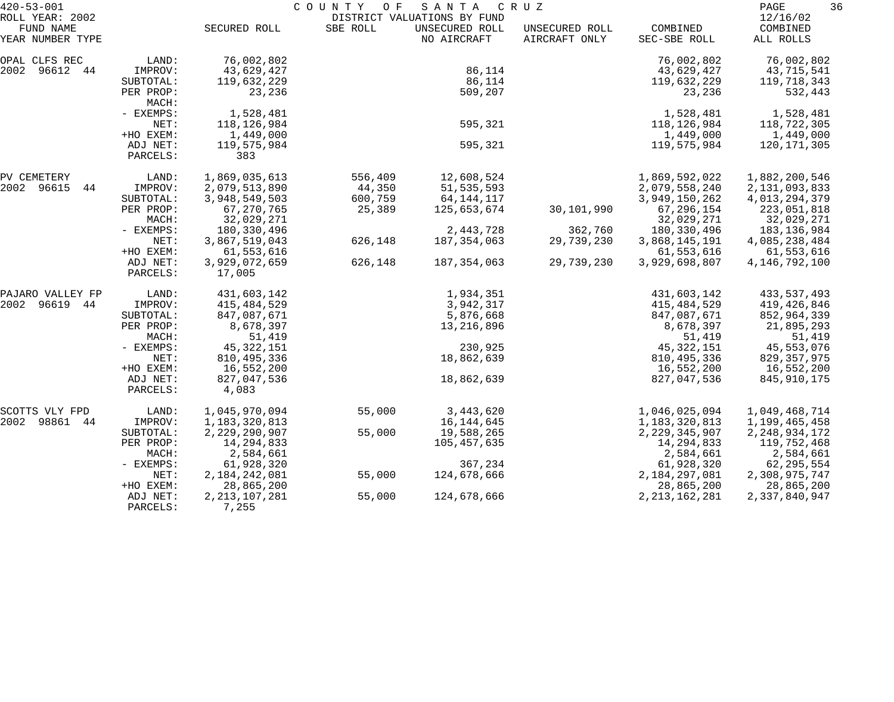| $420 - 53 - 001$                                 |                      | C O U N T Y<br>O F<br>SANTA<br>C R U Z |          |                                                              |                                 |                          |                                   |  |
|--------------------------------------------------|----------------------|----------------------------------------|----------|--------------------------------------------------------------|---------------------------------|--------------------------|-----------------------------------|--|
| ROLL YEAR: 2002<br>FUND NAME<br>YEAR NUMBER TYPE |                      | SECURED ROLL                           | SBE ROLL | DISTRICT VALUATIONS BY FUND<br>UNSECURED ROLL<br>NO AIRCRAFT | UNSECURED ROLL<br>AIRCRAFT ONLY | COMBINED<br>SEC-SBE ROLL | 12/16/02<br>COMBINED<br>ALL ROLLS |  |
|                                                  |                      |                                        |          |                                                              |                                 |                          |                                   |  |
| OPAL CLFS REC<br>2002 96612 44                   | LAND:<br>IMPROV:     | 76,002,802<br>43,629,427               |          | 86,114                                                       |                                 | 76,002,802<br>43,629,427 | 76,002,802<br>43,715,541          |  |
|                                                  | SUBTOTAL:            | 119,632,229                            |          | 86,114                                                       |                                 | 119,632,229              | 119,718,343                       |  |
|                                                  | PER PROP:            | 23,236                                 |          | 509,207                                                      |                                 | 23,236                   | 532,443                           |  |
|                                                  | MACH:                |                                        |          |                                                              |                                 |                          |                                   |  |
|                                                  | - EXEMPS:            | 1,528,481                              |          |                                                              |                                 | 1,528,481                | 1,528,481                         |  |
|                                                  | NET:                 | 118, 126, 984                          |          | 595,321                                                      |                                 | 118,126,984              | 118,722,305                       |  |
|                                                  | +HO EXEM:            | 1,449,000                              |          |                                                              |                                 | 1,449,000                | 1,449,000                         |  |
|                                                  | ADJ NET:             | 119,575,984                            |          | 595,321                                                      |                                 | 119,575,984              | 120,171,305                       |  |
|                                                  | PARCELS:             | 383                                    |          |                                                              |                                 |                          |                                   |  |
| PV CEMETERY                                      | LAND:                | 1,869,035,613                          | 556,409  | 12,608,524                                                   |                                 | 1,869,592,022            | 1,882,200,546                     |  |
| 2002 96615<br>44                                 | IMPROV:              | 2,079,513,890                          | 44,350   | 51, 535, 593                                                 |                                 | 2,079,558,240            | 2, 131, 093, 833                  |  |
|                                                  | SUBTOTAL:            | 3,948,549,503                          | 600,759  | 64, 144, 117                                                 |                                 | 3,949,150,262            | 4,013,294,379                     |  |
|                                                  | PER PROP:            | 67, 270, 765                           | 25,389   | 125,653,674                                                  | 30,101,990                      | 67,296,154               | 223,051,818                       |  |
|                                                  | MACH:                | 32,029,271                             |          |                                                              |                                 | 32,029,271               | 32,029,271                        |  |
|                                                  | - EXEMPS:            | 180,330,496                            |          | 2,443,728                                                    | 362,760                         | 180,330,496              | 183, 136, 984                     |  |
|                                                  | NET:                 | 3,867,519,043                          | 626,148  | 187,354,063                                                  | 29,739,230                      | 3,868,145,191            | 4,085,238,484                     |  |
|                                                  | +HO EXEM:            | 61,553,616                             |          |                                                              |                                 | 61,553,616               | 61,553,616                        |  |
|                                                  | ADJ NET:<br>PARCELS: | 3,929,072,659<br>17,005                | 626,148  | 187,354,063                                                  | 29,739,230                      | 3,929,698,807            | 4, 146, 792, 100                  |  |
| PAJARO VALLEY FP                                 | LAND:                | 431,603,142                            |          | 1,934,351                                                    |                                 | 431,603,142              | 433, 537, 493                     |  |
| 2002<br>96619 44                                 | IMPROV:              | 415,484,529                            |          | 3,942,317                                                    |                                 | 415,484,529              | 419,426,846                       |  |
|                                                  | SUBTOTAL:            | 847,087,671                            |          | 5,876,668                                                    |                                 | 847,087,671              | 852,964,339                       |  |
|                                                  | PER PROP:            | 8,678,397                              |          | 13,216,896                                                   |                                 | 8,678,397                | 21,895,293                        |  |
|                                                  | MACH:                | 51,419                                 |          |                                                              |                                 | 51,419                   | 51,419                            |  |
|                                                  | - EXEMPS:            | 45, 322, 151                           |          | 230,925                                                      |                                 | 45, 322, 151             | 45,553,076                        |  |
|                                                  | NET:                 | 810, 495, 336                          |          | 18,862,639                                                   |                                 | 810, 495, 336            | 829,357,975                       |  |
|                                                  | +HO EXEM:            | 16,552,200                             |          |                                                              |                                 | 16,552,200               | 16,552,200                        |  |
|                                                  | ADJ NET:<br>PARCELS: | 827,047,536<br>4,083                   |          | 18,862,639                                                   |                                 | 827,047,536              | 845,910,175                       |  |
| SCOTTS VLY FPD                                   | LAND:                | 1,045,970,094                          | 55,000   | 3,443,620                                                    |                                 | 1,046,025,094            | 1,049,468,714                     |  |
| 2002<br>98861<br>44                              | IMPROV:              | 1,183,320,813                          |          | 16,144,645                                                   |                                 | 1,183,320,813            | 1,199,465,458                     |  |
|                                                  | SUBTOTAL:            | 2,229,290,907                          | 55,000   | 19,588,265                                                   |                                 | 2, 229, 345, 907         | 2, 248, 934, 172                  |  |
|                                                  | PER PROP:            | 14, 294, 833                           |          | 105,457,635                                                  |                                 | 14,294,833               | 119,752,468                       |  |
|                                                  | MACH:                | 2,584,661                              |          |                                                              |                                 | 2,584,661                | 2,584,661                         |  |
|                                                  | $-$ EXEMPS:          | 61,928,320                             |          | 367,234                                                      |                                 | 61,928,320               | 62,295,554                        |  |
|                                                  | NET:                 | 2,184,242,081                          | 55,000   | 124,678,666                                                  |                                 | 2,184,297,081            | 2,308,975,747                     |  |
|                                                  | +HO EXEM:            | 28,865,200                             |          |                                                              |                                 | 28,865,200               | 28,865,200                        |  |
|                                                  | ADJ NET:<br>PARCELS: | 2, 213, 107, 281<br>7,255              | 55,000   | 124,678,666                                                  |                                 | 2, 213, 162, 281         | 2,337,840,947                     |  |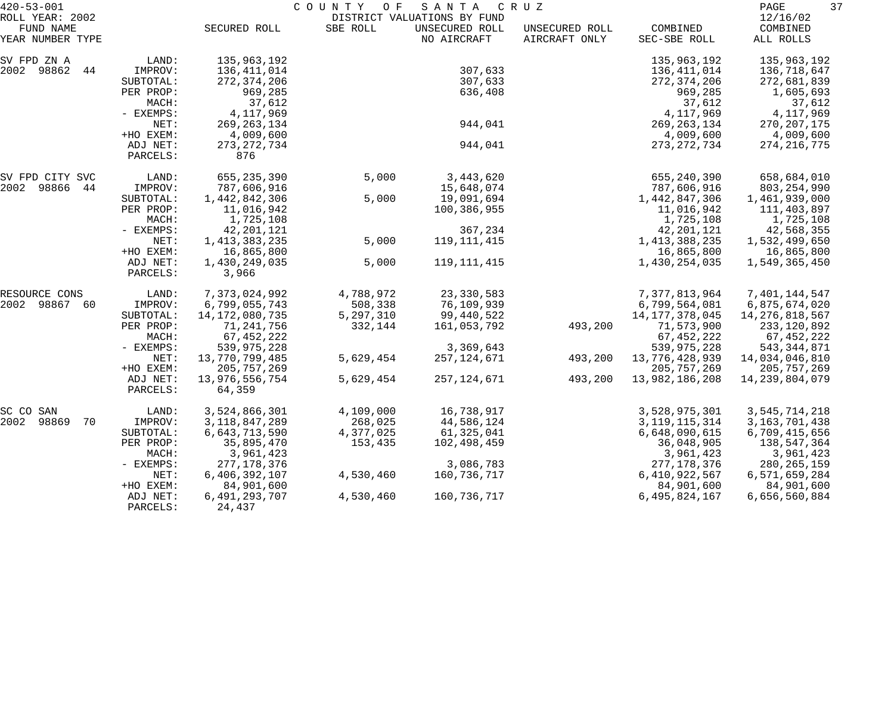| $420 - 53 - 001$                                 |                                   |                                             | COUNTY OF | SANTA                                                        | C R U Z                         |                                             | 37<br>PAGE                              |
|--------------------------------------------------|-----------------------------------|---------------------------------------------|-----------|--------------------------------------------------------------|---------------------------------|---------------------------------------------|-----------------------------------------|
| ROLL YEAR: 2002<br>FUND NAME<br>YEAR NUMBER TYPE |                                   | SECURED ROLL                                | SBE ROLL  | DISTRICT VALUATIONS BY FUND<br>UNSECURED ROLL<br>NO AIRCRAFT | UNSECURED ROLL<br>AIRCRAFT ONLY | COMBINED<br>SEC-SBE ROLL                    | 12/16/02<br>COMBINED<br>ALL ROLLS       |
| SV FPD ZN A                                      | LAND:                             | 135,963,192                                 |           |                                                              |                                 | 135,963,192                                 | 135,963,192                             |
| 2002 98862<br>44                                 | IMPROV:<br>SUBTOTAL:<br>PER PROP: | 136,411,014<br>272, 374, 206<br>969,285     |           | 307,633<br>307,633<br>636,408                                |                                 | 136,411,014<br>272, 374, 206<br>969,285     | 136,718,647<br>272,681,839<br>1,605,693 |
|                                                  | MACH:<br>- EXEMPS:<br>NET:        | 37,612<br>4, 117, 969                       |           | 944,041                                                      |                                 | 37,612<br>4,117,969                         | 37,612<br>4,117,969                     |
|                                                  | +HO EXEM:<br>ADJ NET:             | 269, 263, 134<br>4,009,600<br>273, 272, 734 |           | 944,041                                                      |                                 | 269, 263, 134<br>4,009,600<br>273, 272, 734 | 270, 207, 175<br>4,009,600              |
|                                                  | PARCELS:                          | 876                                         |           |                                                              |                                 |                                             | 274, 216, 775                           |
| SV FPD CITY SVC                                  | LAND:                             | 655,235,390                                 | 5,000     | 3,443,620                                                    |                                 | 655, 240, 390                               | 658,684,010                             |
| 2002 98866<br>44                                 | IMPROV:                           | 787,606,916                                 |           | 15,648,074                                                   |                                 | 787,606,916                                 | 803, 254, 990                           |
|                                                  | SUBTOTAL:                         | 1,442,842,306                               | 5,000     | 19,091,694                                                   |                                 | 1,442,847,306                               | 1,461,939,000                           |
|                                                  | PER PROP:                         | 11,016,942                                  |           | 100,386,955                                                  |                                 | 11,016,942                                  | 111,403,897                             |
|                                                  | MACH:                             | 1,725,108<br>42, 201, 121                   |           | 367,234                                                      |                                 | 1,725,108                                   | 1,725,108                               |
|                                                  | - EXEMPS:<br>NET:                 | 1, 413, 383, 235                            | 5,000     | 119, 111, 415                                                |                                 | 42, 201, 121<br>1, 413, 388, 235            | 42,568,355<br>1,532,499,650             |
|                                                  | +HO EXEM:                         | 16,865,800                                  |           |                                                              |                                 | 16,865,800                                  | 16,865,800                              |
|                                                  | ADJ NET:<br>PARCELS:              | 1,430,249,035<br>3,966                      | 5,000     | 119, 111, 415                                                |                                 | 1,430,254,035                               | 1,549,365,450                           |
|                                                  |                                   |                                             |           |                                                              |                                 |                                             |                                         |
| RESOURCE CONS                                    | LAND:                             | 7,373,024,992                               | 4,788,972 | 23, 330, 583                                                 |                                 | 7,377,813,964                               | 7,401,144,547                           |
| 2002 98867<br>60                                 | IMPROV:                           | 6,799,055,743                               | 508,338   | 76,109,939                                                   |                                 | 6,799,564,081                               | 6,875,674,020                           |
|                                                  | SUBTOTAL:                         | 14, 172, 080, 735                           | 5,297,310 | 99,440,522                                                   |                                 | 14, 177, 378, 045                           | 14, 276, 818, 567                       |
|                                                  | PER PROP:                         | 71,241,756                                  | 332,144   | 161,053,792                                                  | 493,200                         | 71,573,900                                  | 233,120,892                             |
|                                                  | MACH:                             | 67, 452, 222                                |           |                                                              |                                 | 67, 452, 222                                | 67,452,222                              |
|                                                  | - EXEMPS:                         | 539,975,228                                 |           | 3,369,643                                                    |                                 | 539,975,228                                 | 543,344,871                             |
|                                                  | NET:                              | 13,770,799,485                              | 5,629,454 | 257,124,671                                                  | 493,200                         | 13,776,428,939                              | 14,034,046,810                          |
|                                                  | +HO EXEM:                         | 205, 757, 269                               |           |                                                              |                                 | 205, 757, 269                               | 205,757,269                             |
|                                                  | ADJ NET:<br>PARCELS:              | 13,976,556,754<br>64,359                    | 5,629,454 | 257, 124, 671                                                | 493,200                         | 13,982,186,208                              | 14, 239, 804, 079                       |
| SC CO<br>SAN                                     | LAND:                             | 3,524,866,301                               | 4,109,000 | 16,738,917                                                   |                                 | 3,528,975,301                               | 3,545,714,218                           |
| 2002<br>98869<br>70                              | IMPROV:                           | 3, 118, 847, 289                            | 268,025   | 44,586,124                                                   |                                 | 3, 119, 115, 314                            | 3, 163, 701, 438                        |
|                                                  | SUBTOTAL:                         | 6,643,713,590                               | 4,377,025 | 61,325,041                                                   |                                 | 6,648,090,615                               | 6,709,415,656                           |
|                                                  | PER PROP:                         | 35,895,470                                  | 153,435   | 102,498,459                                                  |                                 | 36,048,905                                  | 138,547,364                             |
|                                                  | MACH:                             | 3,961,423                                   |           |                                                              |                                 | 3,961,423                                   | 3,961,423                               |
|                                                  | $-$ EXEMPS:                       | 277, 178, 376                               |           | 3,086,783                                                    |                                 | 277, 178, 376                               | 280, 265, 159                           |
|                                                  | NET:                              | 6,406,392,107                               | 4,530,460 | 160,736,717                                                  |                                 | 6,410,922,567                               | 6,571,659,284                           |
|                                                  | +HO EXEM:                         | 84,901,600                                  |           |                                                              |                                 | 84,901,600                                  | 84,901,600                              |
|                                                  | ADJ NET:<br>PARCELS:              | 6, 491, 293, 707<br>24,437                  | 4,530,460 | 160,736,717                                                  |                                 | 6,495,824,167                               | 6,656,560,884                           |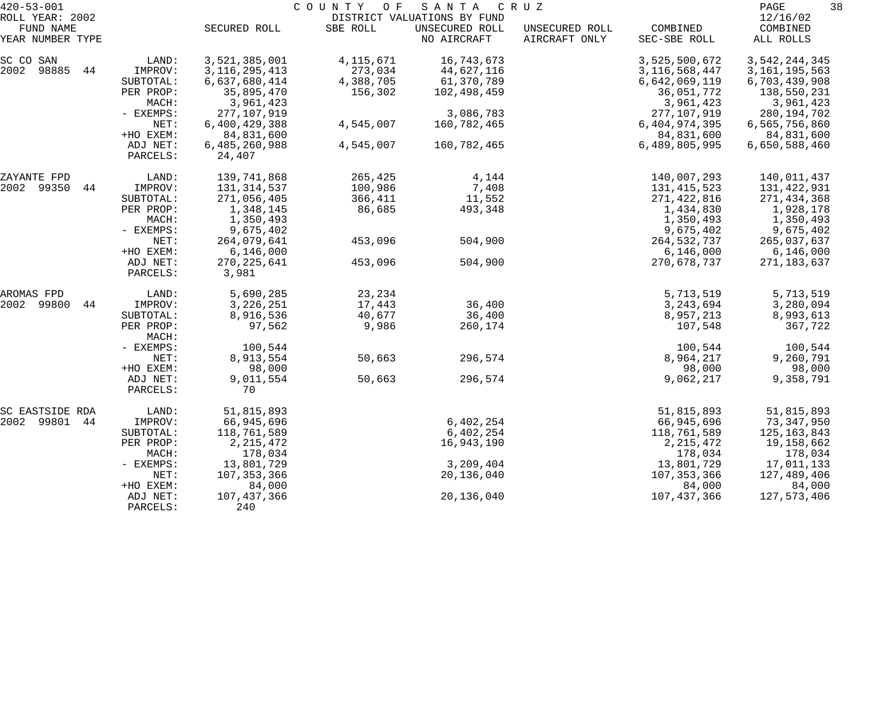| $420 - 53 - 001$<br>ROLL YEAR: 2002<br>FUND NAME |                      | SECURED ROLL            | COUNTY<br>O F<br>SBE ROLL | SANTA<br>DISTRICT VALUATIONS BY FUND<br>UNSECURED ROLL | C R U Z<br>UNSECURED ROLL | COMBINED         | 38<br>PAGE<br>12/16/02<br>COMBINED |
|--------------------------------------------------|----------------------|-------------------------|---------------------------|--------------------------------------------------------|---------------------------|------------------|------------------------------------|
| YEAR NUMBER TYPE                                 |                      |                         |                           | NO AIRCRAFT                                            | AIRCRAFT ONLY             | SEC-SBE ROLL     | ALL ROLLS                          |
| SC CO SAN                                        | LAND:                | 3,521,385,001           | 4, 115, 671               | 16,743,673                                             |                           | 3,525,500,672    | 3,542,244,345                      |
| 2002 98885<br>44                                 | IMPROV:              | 3, 116, 295, 413        | 273,034                   | 44,627,116                                             |                           | 3, 116, 568, 447 | 3, 161, 195, 563                   |
|                                                  | SUBTOTAL:            | 6,637,680,414           | 4,388,705                 | 61,370,789                                             |                           | 6,642,069,119    | 6,703,439,908                      |
|                                                  | PER PROP:            | 35,895,470              | 156,302                   | 102,498,459                                            |                           | 36,051,772       | 138,550,231                        |
|                                                  | MACH:                | 3,961,423               |                           |                                                        |                           | 3,961,423        | 3,961,423                          |
|                                                  | $-$ EXEMPS:          | 277,107,919             |                           | 3,086,783                                              |                           | 277,107,919      | 280,194,702                        |
|                                                  | NET:                 | 6,400,429,388           | 4,545,007                 | 160,782,465                                            |                           | 6,404,974,395    | 6,565,756,860                      |
|                                                  | +HO EXEM:            | 84,831,600              |                           |                                                        |                           | 84,831,600       | 84,831,600                         |
|                                                  | ADJ NET:<br>PARCELS: | 6,485,260,988<br>24,407 | 4,545,007                 | 160,782,465                                            |                           | 6,489,805,995    | 6,650,588,460                      |
| ZAYANTE FPD                                      | LAND:                | 139,741,868             | 265,425                   | 4,144                                                  |                           | 140,007,293      | 140,011,437                        |
| 2002 99350 44                                    | IMPROV:              | 131, 314, 537           | 100,986                   | 7,408                                                  |                           | 131, 415, 523    | 131,422,931                        |
|                                                  | SUBTOTAL:            | 271,056,405             | 366,411                   | 11,552                                                 |                           | 271,422,816      | 271,434,368                        |
|                                                  | PER PROP:            | 1,348,145               | 86,685                    | 493,348                                                |                           | 1,434,830        | 1,928,178                          |
|                                                  | MACH:                | 1,350,493               |                           |                                                        |                           | 1,350,493        | 1,350,493                          |
|                                                  | - EXEMPS:            | 9,675,402               |                           |                                                        |                           | 9,675,402        | 9,675,402                          |
|                                                  | NET:                 | 264,079,641             | 453,096                   | 504,900                                                |                           | 264,532,737      | 265,037,637                        |
|                                                  | +HO EXEM:            | 6,146,000               |                           |                                                        |                           | 6,146,000        | 6,146,000                          |
|                                                  | ADJ NET:<br>PARCELS: | 270, 225, 641<br>3,981  | 453,096                   | 504,900                                                |                           | 270,678,737      | 271,183,637                        |
| AROMAS FPD                                       | LAND:                | 5,690,285               | 23,234                    |                                                        |                           | 5,713,519        | 5,713,519                          |
| 2002<br>99800<br>44                              | IMPROV:              | 3, 226, 251             | 17,443                    | 36,400                                                 |                           | 3,243,694        | 3,280,094                          |
|                                                  | SUBTOTAL:            | 8,916,536               | 40,677                    | 36,400                                                 |                           | 8,957,213        | 8,993,613                          |
|                                                  | PER PROP:<br>MACH:   | 97,562                  | 9,986                     | 260,174                                                |                           | 107,548          | 367,722                            |
|                                                  | - EXEMPS:            | 100,544                 |                           |                                                        |                           | 100,544          | 100,544                            |
|                                                  | NET:                 | 8,913,554               | 50,663                    | 296,574                                                |                           | 8,964,217        | 9,260,791                          |
|                                                  | +HO EXEM:            | 98,000                  |                           |                                                        |                           | 98,000           | 98,000                             |
|                                                  | ADJ NET:<br>PARCELS: | 9,011,554<br>70         | 50,663                    | 296,574                                                |                           | 9,062,217        | 9,358,791                          |
| SC EASTSIDE RDA                                  | LAND:                | 51,815,893              |                           |                                                        |                           | 51,815,893       | 51,815,893                         |
| 2002 99801<br>44                                 | IMPROV:              | 66,945,696              |                           | 6,402,254                                              |                           | 66,945,696       | 73,347,950                         |
|                                                  | SUBTOTAL:            | 118,761,589             |                           | 6,402,254                                              |                           | 118,761,589      | 125,163,843                        |
|                                                  | PER PROP:            | 2, 215, 472             |                           | 16,943,190                                             |                           | 2, 215, 472      | 19,158,662                         |
|                                                  | MACH:                | 178,034                 |                           |                                                        |                           | 178,034          | 178,034                            |
|                                                  | - EXEMPS:            | 13,801,729              |                           | 3,209,404                                              |                           | 13,801,729       | 17,011,133                         |
|                                                  | NET:                 | 107,353,366             |                           | 20,136,040                                             |                           | 107, 353, 366    | 127,489,406                        |
|                                                  | +HO EXEM:            | 84,000                  |                           |                                                        |                           | 84,000           | 84,000                             |
|                                                  | ADJ NET:<br>PARCELS: | 107,437,366<br>240      |                           | 20,136,040                                             |                           | 107, 437, 366    | 127,573,406                        |
|                                                  |                      |                         |                           |                                                        |                           |                  |                                    |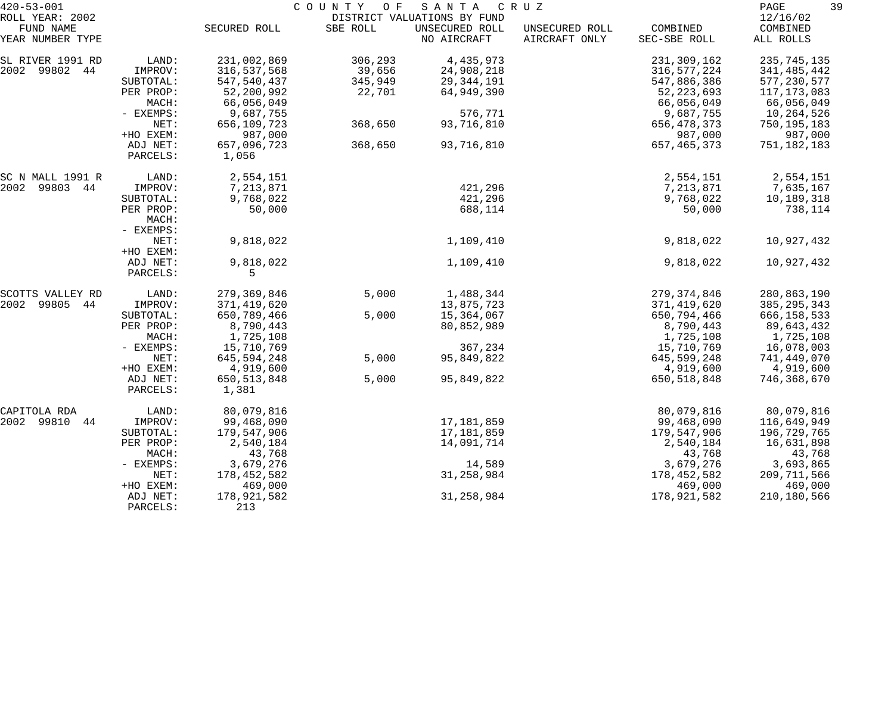| $420 - 53 - 001$              |                      |                        | C O U N T Y<br>O F | SANTA                         | C R U Z                         |                          | 39<br>PAGE            |
|-------------------------------|----------------------|------------------------|--------------------|-------------------------------|---------------------------------|--------------------------|-----------------------|
| ROLL YEAR: 2002               |                      |                        |                    | DISTRICT VALUATIONS BY FUND   |                                 |                          | 12/16/02              |
| FUND NAME<br>YEAR NUMBER TYPE |                      | SECURED ROLL           | SBE ROLL           | UNSECURED ROLL<br>NO AIRCRAFT | UNSECURED ROLL<br>AIRCRAFT ONLY | COMBINED<br>SEC-SBE ROLL | COMBINED<br>ALL ROLLS |
| SL RIVER 1991 RD              | LAND:                | 231,002,869            | 306,293            | 4,435,973                     |                                 | 231,309,162              | 235,745,135           |
| 2002 99802 44                 | IMPROV:              | 316,537,568            | 39,656             | 24,908,218                    |                                 | 316, 577, 224            | 341,485,442           |
|                               | SUBTOTAL:            | 547, 540, 437          | 345,949            | 29, 344, 191                  |                                 | 547,886,386              | 577, 230, 577         |
|                               | PER PROP:            | 52,200,992             | 22,701             | 64,949,390                    |                                 | 52, 223, 693             | 117,173,083           |
|                               | MACH:                | 66,056,049             |                    |                               |                                 | 66,056,049               | 66,056,049            |
|                               | - EXEMPS:            | 9,687,755              |                    | 576,771                       |                                 | 9,687,755                | 10,264,526            |
|                               | NET:                 | 656,109,723            | 368,650            | 93,716,810                    |                                 | 656, 478, 373            | 750,195,183           |
|                               | +HO EXEM:            | 987,000                |                    |                               |                                 | 987,000                  | 987,000               |
|                               | ADJ NET:<br>PARCELS: | 657,096,723<br>1,056   | 368,650            | 93,716,810                    |                                 | 657, 465, 373            | 751,182,183           |
| SC N MALL 1991 R              | LAND:                | 2,554,151              |                    |                               |                                 | 2,554,151                | 2,554,151             |
| 2002<br>99803 44              | IMPROV:              | 7,213,871              |                    | 421,296                       |                                 | 7,213,871                | 7,635,167             |
|                               | SUBTOTAL:            | 9,768,022              |                    | 421,296                       |                                 | 9,768,022                | 10,189,318            |
|                               | PER PROP:<br>MACH:   | 50,000                 |                    | 688,114                       |                                 | 50,000                   | 738,114               |
|                               | - EXEMPS:            |                        |                    |                               |                                 |                          |                       |
|                               | NET:<br>+HO EXEM:    | 9,818,022              |                    | 1,109,410                     |                                 | 9,818,022                | 10,927,432            |
|                               | ADJ NET:<br>PARCELS: | 9,818,022<br>5         |                    | 1,109,410                     |                                 | 9,818,022                | 10,927,432            |
| SCOTTS VALLEY RD              | LAND:                | 279,369,846            | 5,000              | 1,488,344                     |                                 | 279, 374, 846            | 280,863,190           |
| 2002<br>99805 44              | IMPROV:              | 371,419,620            |                    | 13,875,723                    |                                 | 371,419,620              | 385, 295, 343         |
|                               | SUBTOTAL:            | 650,789,466            | 5,000              | 15,364,067                    |                                 | 650,794,466              | 666, 158, 533         |
|                               | PER PROP:            | 8,790,443              |                    | 80,852,989                    |                                 | 8,790,443                | 89,643,432            |
|                               | MACH:                | 1,725,108              |                    |                               |                                 | 1,725,108                | 1,725,108             |
|                               | - EXEMPS:            | 15,710,769             |                    | 367,234                       |                                 | 15,710,769               | 16,078,003            |
|                               | NET:                 | 645,594,248            | 5,000              | 95,849,822                    |                                 | 645,599,248              | 741,449,070           |
|                               | +HO EXEM:            | 4,919,600              |                    |                               |                                 | 4,919,600                | 4,919,600             |
|                               | ADJ NET:<br>PARCELS: | 650, 513, 848<br>1,381 | 5,000              | 95,849,822                    |                                 | 650, 518, 848            | 746,368,670           |
| CAPITOLA RDA                  | LAND:                | 80,079,816             |                    |                               |                                 | 80,079,816               | 80,079,816            |
| 2002 99810<br>44              | IMPROV:              | 99,468,090             |                    | 17,181,859                    |                                 | 99,468,090               | 116,649,949           |
|                               | SUBTOTAL:            | 179,547,906            |                    | 17,181,859                    |                                 | 179,547,906              | 196,729,765           |
|                               | PER PROP:            | 2,540,184              |                    | 14,091,714                    |                                 | 2,540,184                | 16,631,898            |
|                               | MACH:                | 43,768                 |                    |                               |                                 | 43,768                   | 43,768                |
|                               | - EXEMPS:            | 3,679,276              |                    | 14,589                        |                                 | 3,679,276                | 3,693,865             |
|                               | NET:                 | 178,452,582            |                    | 31,258,984                    |                                 | 178,452,582              | 209,711,566           |
|                               | +HO EXEM:            | 469,000                |                    |                               |                                 | 469,000                  | 469,000               |
|                               | ADJ NET:<br>PARCELS: | 178,921,582<br>213     |                    | 31,258,984                    |                                 | 178,921,582              | 210,180,566           |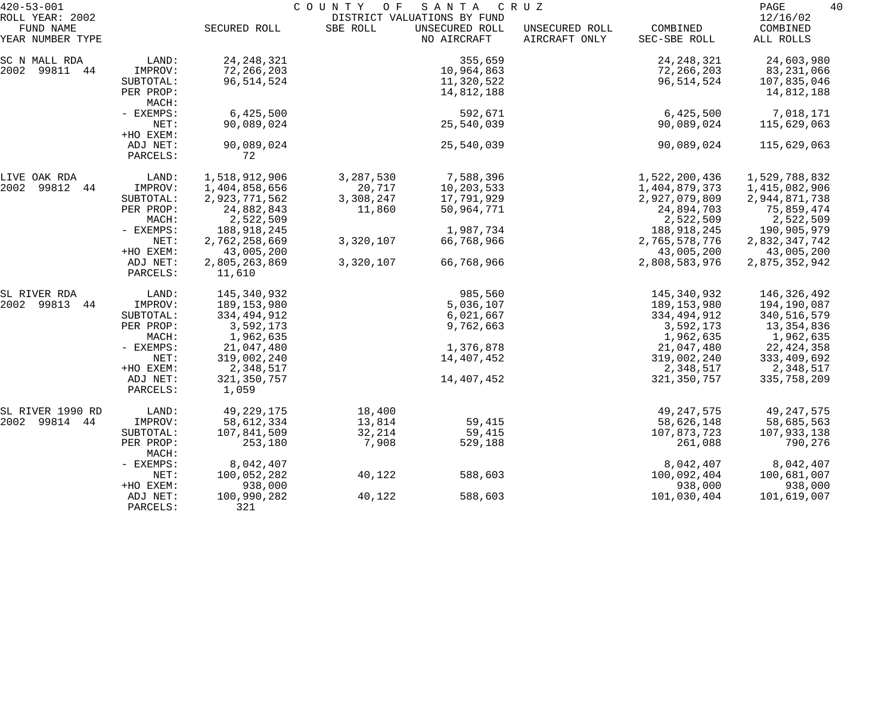| $420 - 53 - 001$                                 |                                                                                                               | COUNTY<br>O F<br>SANTA<br>C R U Z                                                                                                       |                                            |                                                                                         |                                 |                                                                                                                                |                                                                                                                                 |
|--------------------------------------------------|---------------------------------------------------------------------------------------------------------------|-----------------------------------------------------------------------------------------------------------------------------------------|--------------------------------------------|-----------------------------------------------------------------------------------------|---------------------------------|--------------------------------------------------------------------------------------------------------------------------------|---------------------------------------------------------------------------------------------------------------------------------|
| ROLL YEAR: 2002<br>FUND NAME<br>YEAR NUMBER TYPE |                                                                                                               | SECURED ROLL                                                                                                                            | SBE ROLL                                   | DISTRICT VALUATIONS BY FUND<br>UNSECURED ROLL<br>NO AIRCRAFT                            | UNSECURED ROLL<br>AIRCRAFT ONLY | COMBINED<br>SEC-SBE ROLL                                                                                                       | 12/16/02<br>COMBINED<br>ALL ROLLS                                                                                               |
| SC N MALL RDA<br>2002 99811 44                   | LAND:<br>IMPROV:<br>SUBTOTAL:<br>PER PROP:                                                                    | 24, 248, 321<br>72,266,203<br>96, 514, 524                                                                                              |                                            | 355,659<br>10,964,863<br>11,320,522<br>14,812,188                                       |                                 | 24, 248, 321<br>72,266,203<br>96, 514, 524                                                                                     | 24,603,980<br>83,231,066<br>107,835,046<br>14,812,188                                                                           |
|                                                  | MACH:<br>- EXEMPS:<br>NET:<br>+HO EXEM:                                                                       | 6,425,500<br>90,089,024                                                                                                                 |                                            | 592,671<br>25,540,039                                                                   |                                 | 6,425,500<br>90,089,024                                                                                                        | 7,018,171<br>115,629,063                                                                                                        |
|                                                  | ADJ NET:<br>PARCELS:                                                                                          | 90,089,024<br>72                                                                                                                        |                                            | 25,540,039                                                                              |                                 | 90,089,024                                                                                                                     | 115,629,063                                                                                                                     |
| LIVE OAK RDA<br>2002 99812 44                    | LAND:<br>IMPROV:<br>SUBTOTAL:<br>PER PROP:<br>MACH:<br>- EXEMPS:                                              | 1,518,912,906<br>1,404,858,656<br>2,923,771,562<br>24,882,843<br>2,522,509<br>188,918,245                                               | 3,287,530<br>20,717<br>3,308,247<br>11,860 | 7,588,396<br>10,203,533<br>17,791,929<br>50,964,771<br>1,987,734                        |                                 | 1,522,200,436<br>1,404,879,373<br>2,927,079,809<br>24,894,703<br>2,522,509<br>188,918,245                                      | 1,529,788,832<br>1,415,082,906<br>2,944,871,738<br>75,859,474<br>2,522,509<br>190,905,979                                       |
|                                                  | NET:<br>+HO EXEM:<br>ADJ NET:<br>PARCELS:                                                                     | 2,762,258,669<br>43,005,200<br>2,805,263,869<br>11,610                                                                                  | 3,320,107<br>3,320,107                     | 66,768,966<br>66,768,966                                                                |                                 | 2,765,578,776<br>43,005,200<br>2,808,583,976                                                                                   | 2,832,347,742<br>43,005,200<br>2,875,352,942                                                                                    |
| SL RIVER RDA<br>2002 99813 44                    | LAND:<br>IMPROV:<br>SUBTOTAL:<br>PER PROP:<br>MACH:<br>- EXEMPS:<br>NET:<br>+HO EXEM:<br>ADJ NET:<br>PARCELS: | 145,340,932<br>189,153,980<br>334,494,912<br>3,592,173<br>1,962,635<br>21,047,480<br>319,002,240<br>2,348,517<br>321, 350, 757<br>1,059 |                                            | 985,560<br>5,036,107<br>6,021,667<br>9,762,663<br>1,376,878<br>14,407,452<br>14,407,452 |                                 | 145,340,932<br>189,153,980<br>334,494,912<br>3,592,173<br>1,962,635<br>21,047,480<br>319,002,240<br>2,348,517<br>321, 350, 757 | 146,326,492<br>194,190,087<br>340,516,579<br>13,354,836<br>1,962,635<br>22, 424, 358<br>333,409,692<br>2,348,517<br>335,758,209 |
| SL RIVER 1990 RD<br>2002 99814 44                | LAND:<br>IMPROV:<br>SUBTOTAL:<br>PER PROP:<br>MACH:                                                           | 49, 229, 175<br>58,612,334<br>107,841,509<br>253,180                                                                                    | 18,400<br>13,814<br>32,214<br>7,908        | 59,415<br>59,415<br>529,188                                                             |                                 | 49, 247, 575<br>58,626,148<br>107,873,723<br>261,088                                                                           | 49, 247, 575<br>58,685,563<br>107,933,138<br>790,276<br>8,042,407                                                               |
|                                                  | - EXEMPS:<br>NET:<br>+HO EXEM:                                                                                | 8,042,407<br>100,052,282<br>938,000                                                                                                     | 40,122                                     | 588,603<br>588,603                                                                      |                                 | 8,042,407<br>100,092,404<br>938,000                                                                                            | 100,681,007<br>938,000                                                                                                          |
|                                                  | ADJ NET:<br>PARCELS:                                                                                          | 100,990,282<br>321                                                                                                                      | 40,122                                     |                                                                                         |                                 | 101,030,404                                                                                                                    | 101,619,007                                                                                                                     |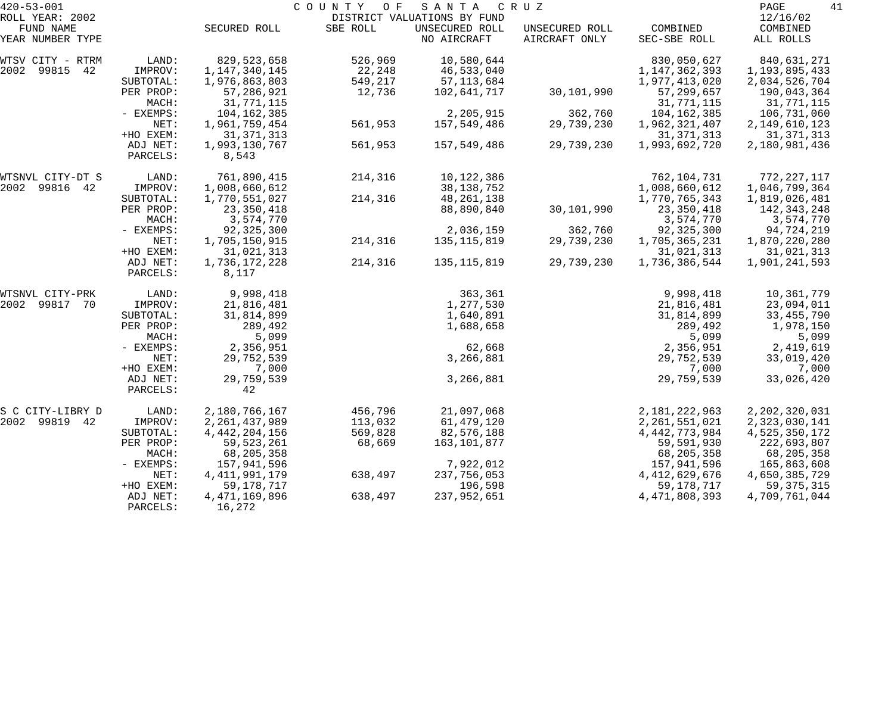| $420 - 53 - 001$              |                      |                            | COUNTY<br>O F | SANTA                         | C R U Z                         |                          | 41<br>PAGE                |
|-------------------------------|----------------------|----------------------------|---------------|-------------------------------|---------------------------------|--------------------------|---------------------------|
| ROLL YEAR: 2002               |                      |                            |               | DISTRICT VALUATIONS BY FUND   |                                 |                          | 12/16/02                  |
| FUND NAME<br>YEAR NUMBER TYPE |                      | SECURED ROLL               | SBE ROLL      | UNSECURED ROLL<br>NO AIRCRAFT | UNSECURED ROLL<br>AIRCRAFT ONLY | COMBINED<br>SEC-SBE ROLL | COMBINED<br>ALL ROLLS     |
| WTSV CITY - RTRM              | LAND:                | 829,523,658                | 526,969       | 10,580,644                    |                                 | 830,050,627              | 840,631,271               |
| 2002 99815<br>42              | IMPROV:              | 1,147,340,145              | 22,248        | 46,533,040                    |                                 | 1, 147, 362, 393         | 1,193,895,433             |
|                               | SUBTOTAL:            | 1,976,863,803              | 549,217       | 57, 113, 684                  |                                 | 1,977,413,020            | 2,034,526,704             |
|                               | PER PROP:<br>MACH:   | 57,286,921<br>31,771,115   | 12,736        | 102,641,717                   | 30,101,990                      | 57,299,657<br>31,771,115 | 190,043,364<br>31,771,115 |
|                               | - EXEMPS:            | 104,162,385                |               | 2,205,915                     | 362,760                         | 104,162,385              | 106,731,060               |
|                               | NET:                 | 1,961,759,454              | 561,953       | 157,549,486                   | 29,739,230                      | 1,962,321,407            | 2,149,610,123             |
|                               | +HO EXEM:            | 31, 371, 313               |               |                               |                                 | 31, 371, 313             | 31, 371, 313              |
|                               | ADJ NET:<br>PARCELS: | 1,993,130,767<br>8,543     | 561,953       | 157,549,486                   | 29,739,230                      | 1,993,692,720            | 2,180,981,436             |
| WTSNVL CITY-DT S              | LAND:                | 761,890,415                | 214,316       | 10,122,386                    |                                 | 762,104,731              | 772,227,117               |
| 2002<br>99816 42              | IMPROV:              | 1,008,660,612              |               | 38, 138, 752                  |                                 | 1,008,660,612            | 1,046,799,364             |
|                               | SUBTOTAL:            | 1,770,551,027              | 214,316       | 48,261,138                    |                                 | 1,770,765,343            | 1,819,026,481             |
|                               | PER PROP:            | 23,350,418                 |               | 88,890,840                    | 30,101,990                      | 23,350,418               | 142,343,248               |
|                               | MACH:                | 3,574,770                  |               |                               |                                 | 3,574,770                | 3,574,770                 |
|                               | - EXEMPS:            | 92,325,300                 |               | 2,036,159                     | 362,760                         | 92, 325, 300             | 94,724,219                |
|                               | NET:                 | 1,705,150,915              | 214,316       | 135, 115, 819                 | 29,739,230                      | 1,705,365,231            | 1,870,220,280             |
|                               | +HO EXEM:            | 31,021,313                 |               |                               |                                 | 31,021,313               | 31,021,313                |
|                               | ADJ NET:<br>PARCELS: | 1,736,172,228<br>8,117     | 214,316       | 135,115,819                   | 29,739,230                      | 1,736,386,544            | 1,901,241,593             |
| WTSNVL CITY-PRK               | LAND:                | 9,998,418                  |               | 363,361                       |                                 | 9,998,418                | 10,361,779                |
| 2002<br>99817 70              | IMPROV:              | 21,816,481                 |               | 1,277,530                     |                                 | 21,816,481               | 23,094,011                |
|                               | SUBTOTAL:            | 31,814,899                 |               | 1,640,891                     |                                 | 31,814,899               | 33, 455, 790              |
|                               | PER PROP:            | 289,492                    |               | 1,688,658                     |                                 | 289,492                  | 1,978,150                 |
|                               | MACH:                | 5,099                      |               |                               |                                 | 5,099                    | 5,099                     |
|                               | - EXEMPS:            | 2,356,951                  |               | 62,668                        |                                 | 2,356,951                | 2,419,619                 |
|                               | NET:                 | 29,752,539                 |               | 3,266,881                     |                                 | 29,752,539               | 33,019,420                |
|                               | +HO EXEM:            | 7,000                      |               |                               |                                 | 7,000                    | 7,000                     |
|                               | ADJ NET:             | 29,759,539                 |               | 3,266,881                     |                                 | 29,759,539               | 33,026,420                |
|                               | PARCELS:             | 42                         |               |                               |                                 |                          |                           |
| S C CITY-LIBRY D              | LAND:                | 2,180,766,167              | 456,796       | 21,097,068                    |                                 | 2,181,222,963            | 2,202,320,031             |
| 2002 99819<br>42              | IMPROV:              | 2, 261, 437, 989           | 113,032       | 61,479,120                    |                                 | 2, 261, 551, 021         | 2,323,030,141             |
|                               | SUBTOTAL:            | 4, 442, 204, 156           | 569,828       | 82,576,188                    |                                 | 4, 442, 773, 984         | 4,525,350,172             |
|                               | PER PROP:            | 59, 523, 261               | 68,669        | 163,101,877                   |                                 | 59,591,930               | 222,693,807               |
|                               | MACH:                | 68,205,358                 |               |                               |                                 | 68, 205, 358             | 68,205,358                |
|                               | - EXEMPS:            | 157,941,596                |               | 7,922,012                     |                                 | 157,941,596              | 165,863,608               |
|                               | NET:                 | 4, 411, 991, 179           | 638,497       | 237,756,053                   |                                 | 4, 412, 629, 676         | 4,650,385,729             |
|                               | +HO EXEM:            | 59, 178, 717               |               | 196,598                       |                                 | 59,178,717               | 59, 375, 315              |
|                               | ADJ NET:<br>PARCELS: | 4, 471, 169, 896<br>16,272 | 638,497       | 237,952,651                   |                                 | 4, 471, 808, 393         | 4,709,761,044             |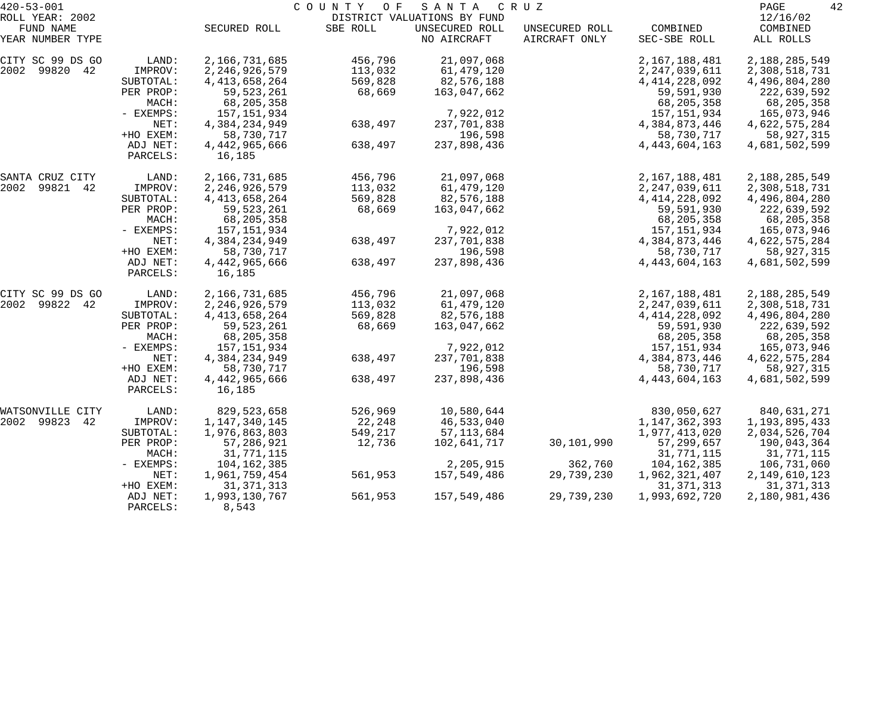| $420 - 53 - 001$              |                      |                         | COUNTY OF | S A N T A                     | C R U Z                         |                          | 42<br>PAGE            |
|-------------------------------|----------------------|-------------------------|-----------|-------------------------------|---------------------------------|--------------------------|-----------------------|
| ROLL YEAR: 2002               |                      |                         |           | DISTRICT VALUATIONS BY FUND   |                                 |                          | 12/16/02              |
| FUND NAME<br>YEAR NUMBER TYPE |                      | SECURED ROLL            | SBE ROLL  | UNSECURED ROLL<br>NO AIRCRAFT | UNSECURED ROLL<br>AIRCRAFT ONLY | COMBINED<br>SEC-SBE ROLL | COMBINED<br>ALL ROLLS |
| CITY SC 99 DS GO              | LAND:                | 2,166,731,685           | 456,796   | 21,097,068                    |                                 | 2,167,188,481            | 2,188,285,549         |
| 99820 42<br>2002              | IMPROV:              | 2, 246, 926, 579        | 113,032   | 61,479,120                    |                                 | 2,247,039,611            | 2,308,518,731         |
|                               | SUBTOTAL:            | 4, 413, 658, 264        | 569,828   | 82,576,188                    |                                 | 4, 414, 228, 092         | 4,496,804,280         |
|                               | PER PROP:            | 59, 523, 261            | 68,669    | 163,047,662                   |                                 | 59,591,930               | 222,639,592           |
|                               | MACH:                | 68,205,358              |           |                               |                                 | 68,205,358               | 68,205,358            |
|                               | - EXEMPS:            | 157, 151, 934           |           | 7,922,012                     |                                 | 157, 151, 934            | 165,073,946           |
|                               | NET:                 | 4,384,234,949           | 638,497   | 237,701,838                   |                                 | 4,384,873,446            | 4,622,575,284         |
|                               | +HO EXEM:            | 58,730,717              |           | 196,598                       |                                 | 58,730,717               | 58,927,315            |
|                               | ADJ NET:<br>PARCELS: | 4,442,965,666<br>16,185 | 638,497   | 237,898,436                   |                                 | 4, 443, 604, 163         | 4,681,502,599         |
| SANTA CRUZ CITY               | LAND:                | 2,166,731,685           | 456,796   | 21,097,068                    |                                 | 2,167,188,481            | 2,188,285,549         |
| 2002<br>99821 42              | IMPROV:              | 2, 246, 926, 579        | 113,032   | 61,479,120                    |                                 | 2, 247, 039, 611         | 2,308,518,731         |
|                               | SUBTOTAL:            | 4, 413, 658, 264        | 569,828   | 82,576,188                    |                                 | 4, 414, 228, 092         | 4,496,804,280         |
|                               | PER PROP:            | 59,523,261              | 68,669    | 163,047,662                   |                                 | 59,591,930               | 222,639,592           |
|                               | MACH:                | 68,205,358              |           |                               |                                 | 68,205,358               | 68,205,358            |
|                               | - EXEMPS:            | 157, 151, 934           |           | 7,922,012                     |                                 | 157, 151, 934            | 165,073,946           |
|                               | NET:                 | 4,384,234,949           | 638,497   | 237,701,838                   |                                 | 4,384,873,446            | 4,622,575,284         |
|                               | +HO EXEM:            | 58,730,717              |           | 196,598                       |                                 | 58,730,717               | 58,927,315            |
|                               | ADJ NET:<br>PARCELS: | 4,442,965,666<br>16,185 | 638,497   | 237,898,436                   |                                 | 4, 443, 604, 163         | 4,681,502,599         |
| CITY SC 99 DS GO              | LAND:                | 2,166,731,685           | 456,796   | 21,097,068                    |                                 | 2,167,188,481            | 2,188,285,549         |
| 99822 42<br>2002              | IMPROV:              | 2, 246, 926, 579        | 113,032   | 61,479,120                    |                                 | 2,247,039,611            | 2,308,518,731         |
|                               | SUBTOTAL:            | 4, 413, 658, 264        | 569,828   | 82,576,188                    |                                 | 4, 414, 228, 092         | 4,496,804,280         |
|                               | PER PROP:            | 59, 523, 261            | 68,669    | 163,047,662                   |                                 | 59,591,930               | 222,639,592           |
|                               | MACH:                | 68,205,358              |           |                               |                                 | 68,205,358               | 68,205,358            |
|                               | - EXEMPS:            | 157, 151, 934           |           | 7,922,012                     |                                 | 157, 151, 934            | 165,073,946           |
|                               | NET:                 | 4,384,234,949           | 638,497   | 237,701,838                   |                                 | 4,384,873,446            | 4,622,575,284         |
|                               | +HO EXEM:            | 58,730,717              |           | 196,598                       |                                 | 58,730,717               | 58,927,315            |
|                               | ADJ NET:<br>PARCELS: | 4,442,965,666<br>16,185 | 638,497   | 237,898,436                   |                                 | 4, 443, 604, 163         | 4,681,502,599         |
| WATSONVILLE<br>CITY           | LAND:                | 829,523,658             | 526,969   | 10,580,644                    |                                 | 830,050,627              | 840,631,271           |
| 2002 99823<br>42              | IMPROV:              | 1, 147, 340, 145        | 22,248    | 46,533,040                    |                                 | 1, 147, 362, 393         | 1, 193, 895, 433      |
|                               | SUBTOTAL:            | 1,976,863,803           | 549,217   | 57, 113, 684                  |                                 | 1,977,413,020            | 2,034,526,704         |
|                               | PER PROP:            | 57,286,921              | 12,736    | 102,641,717                   | 30,101,990                      | 57,299,657               | 190,043,364           |
|                               | MACH:                | 31,771,115              |           |                               |                                 | 31,771,115               | 31,771,115            |
|                               | $-$ EXEMPS:          | 104,162,385             |           | 2,205,915                     | 362,760                         | 104, 162, 385            | 106,731,060           |
|                               | NET:                 | 1,961,759,454           | 561,953   | 157,549,486                   | 29,739,230                      | 1,962,321,407            | 2, 149, 610, 123      |
|                               | +HO EXEM:            | 31, 371, 313            |           |                               |                                 | 31, 371, 313             | 31, 371, 313          |
|                               | ADJ NET:<br>PARCELS: | 1,993,130,767<br>8,543  | 561,953   | 157,549,486                   | 29,739,230                      | 1,993,692,720            | 2,180,981,436         |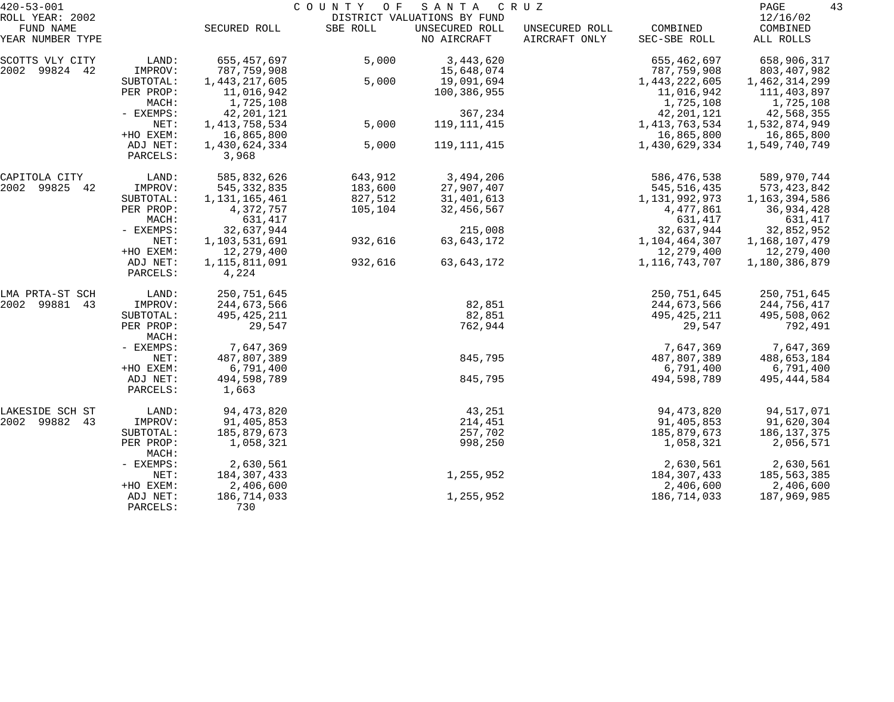| $420 - 53 - 001$              |                      |                        | COUNTY<br>O F | SANTA                         | C R U Z                         |                          | 43<br>PAGE            |
|-------------------------------|----------------------|------------------------|---------------|-------------------------------|---------------------------------|--------------------------|-----------------------|
| ROLL YEAR: 2002               |                      |                        |               | DISTRICT VALUATIONS BY FUND   |                                 |                          | 12/16/02              |
| FUND NAME<br>YEAR NUMBER TYPE |                      | SECURED ROLL           | SBE ROLL      | UNSECURED ROLL<br>NO AIRCRAFT | UNSECURED ROLL<br>AIRCRAFT ONLY | COMBINED<br>SEC-SBE ROLL | COMBINED<br>ALL ROLLS |
| SCOTTS VLY CITY               | LAND:                | 655,457,697            | 5,000         | 3, 443, 620                   |                                 | 655,462,697              | 658,906,317           |
| 2002 99824 42                 | IMPROV:              | 787,759,908            |               | 15,648,074                    |                                 | 787,759,908              | 803,407,982           |
|                               | SUBTOTAL:            | 1,443,217,605          | 5,000         | 19,091,694                    |                                 | 1,443,222,605            | 1,462,314,299         |
|                               | PER PROP:            | 11,016,942             |               | 100,386,955                   |                                 | 11,016,942               | 111,403,897           |
|                               | MACH:                | 1,725,108              |               |                               |                                 | 1,725,108                | 1,725,108             |
|                               | - EXEMPS:            | 42, 201, 121           |               | 367,234                       |                                 | 42, 201, 121             | 42,568,355            |
|                               | NET:                 | 1, 413, 758, 534       | 5,000         | 119, 111, 415                 |                                 | 1, 413, 763, 534         | 1,532,874,949         |
|                               | +HO EXEM:            | 16,865,800             |               |                               |                                 | 16,865,800               | 16,865,800            |
|                               | ADJ NET:<br>PARCELS: | 1,430,624,334<br>3,968 | 5,000         | 119, 111, 415                 |                                 | 1,430,629,334            | 1,549,740,749         |
| CAPITOLA CITY                 | LAND:                | 585,832,626            | 643,912       | 3,494,206                     |                                 | 586, 476, 538            | 589,970,744           |
| 2002 99825<br>42              | IMPROV:              | 545, 332, 835          | 183,600       | 27,907,407                    |                                 | 545, 516, 435            | 573, 423, 842         |
|                               | SUBTOTAL:            | 1,131,165,461          | 827,512       | 31,401,613                    |                                 | 1,131,992,973            | 1,163,394,586         |
|                               | PER PROP:            | 4,372,757              | 105,104       | 32,456,567                    |                                 | 4,477,861                | 36,934,428            |
|                               | MACH:                | 631,417                |               |                               |                                 | 631,417                  | 631,417               |
|                               | - EXEMPS:            | 32,637,944             |               | 215,008                       |                                 | 32,637,944               | 32,852,952            |
|                               | NET:                 | 1,103,531,691          | 932,616       | 63,643,172                    |                                 | 1,104,464,307            | 1,168,107,479         |
|                               | +HO EXEM:            | 12,279,400             |               |                               |                                 | 12,279,400               | 12,279,400            |
|                               | ADJ NET:<br>PARCELS: | 1,115,811,091<br>4,224 | 932,616       | 63,643,172                    |                                 | 1,116,743,707            | 1,180,386,879         |
| LMA PRTA-ST SCH               | LAND:                | 250,751,645            |               |                               |                                 | 250,751,645              | 250,751,645           |
| 2002 99881<br>43              | IMPROV:              | 244,673,566            |               | 82,851                        |                                 | 244,673,566              | 244,756,417           |
|                               | SUBTOTAL:            | 495, 425, 211          |               | 82,851                        |                                 | 495, 425, 211            | 495,508,062           |
|                               | PER PROP:<br>MACH:   | 29,547                 |               | 762,944                       |                                 | 29,547                   | 792,491               |
|                               | - EXEMPS:            | 7,647,369              |               |                               |                                 | 7,647,369                | 7,647,369             |
|                               | NET:                 | 487,807,389            |               | 845,795                       |                                 | 487,807,389              | 488,653,184           |
|                               | +HO EXEM:            | 6,791,400              |               |                               |                                 | 6,791,400                | 6,791,400             |
|                               | ADJ NET:<br>PARCELS: | 494,598,789<br>1,663   |               | 845,795                       |                                 | 494,598,789              | 495, 444, 584         |
| LAKESIDE SCH ST               | LAND:                | 94, 473, 820           |               | 43,251                        |                                 | 94, 473, 820             | 94,517,071            |
| 2002 99882<br>43              | IMPROV:              | 91,405,853             |               | 214,451                       |                                 | 91,405,853               | 91,620,304            |
|                               | SUBTOTAL:            | 185,879,673            |               | 257,702                       |                                 | 185,879,673              | 186, 137, 375         |
|                               | PER PROP:<br>MACH:   | 1,058,321              |               | 998,250                       |                                 | 1,058,321                | 2,056,571             |
|                               | - EXEMPS:            | 2,630,561              |               |                               |                                 | 2,630,561                | 2,630,561             |
|                               | NET:                 | 184, 307, 433          |               | 1,255,952                     |                                 | 184,307,433              | 185,563,385           |
|                               | +HO EXEM:            | 2,406,600              |               |                               |                                 | 2,406,600                | 2,406,600             |
|                               | ADJ NET:<br>PARCELS: | 186,714,033<br>730     |               | 1,255,952                     |                                 | 186,714,033              | 187,969,985           |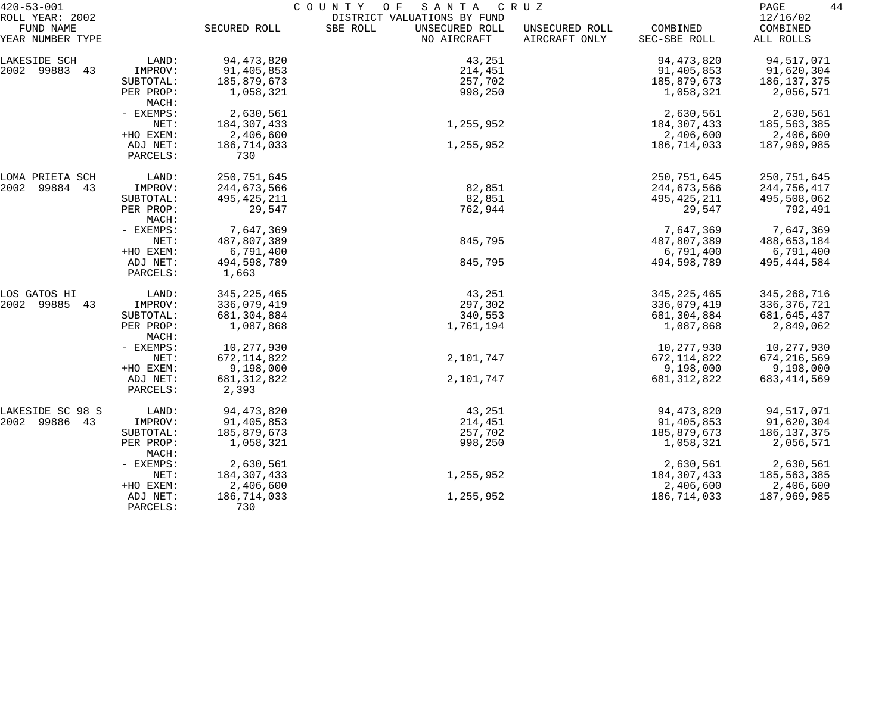| $420 - 53 - 001$             | COUNTY<br>O F<br>SANTA<br>C R U Z |                        |                                                           |                |               |                      |
|------------------------------|-----------------------------------|------------------------|-----------------------------------------------------------|----------------|---------------|----------------------|
| ROLL YEAR: 2002<br>FUND NAME |                                   | SECURED ROLL           | DISTRICT VALUATIONS BY FUND<br>SBE ROLL<br>UNSECURED ROLL | UNSECURED ROLL | COMBINED      | 12/16/02<br>COMBINED |
| YEAR NUMBER TYPE             |                                   |                        | NO AIRCRAFT                                               | AIRCRAFT ONLY  | SEC-SBE ROLL  | ALL ROLLS            |
| LAKESIDE SCH                 | LAND:                             | 94, 473, 820           | 43,251                                                    |                | 94, 473, 820  | 94,517,071           |
| 2002 99883 43                | IMPROV:                           | 91,405,853             | 214,451                                                   |                | 91,405,853    | 91,620,304           |
|                              | SUBTOTAL:                         | 185,879,673            | 257,702                                                   |                | 185,879,673   | 186,137,375          |
|                              | PER PROP:<br>MACH:                | 1,058,321              | 998,250                                                   |                | 1,058,321     | 2,056,571            |
|                              | - EXEMPS:                         | 2,630,561              |                                                           |                | 2,630,561     | 2,630,561            |
|                              | NET:                              | 184,307,433            | 1,255,952                                                 |                | 184,307,433   | 185,563,385          |
|                              | +HO EXEM:                         | 2,406,600              |                                                           |                | 2,406,600     | 2,406,600            |
|                              | ADJ NET:<br>PARCELS:              | 186,714,033<br>730     | 1,255,952                                                 |                | 186,714,033   | 187,969,985          |
| LOMA PRIETA SCH              | LAND:                             | 250,751,645            |                                                           |                | 250,751,645   | 250,751,645          |
| 2002<br>99884 43             | IMPROV:                           | 244,673,566            | 82,851                                                    |                | 244,673,566   | 244,756,417          |
|                              | SUBTOTAL:                         | 495, 425, 211          | 82,851                                                    |                | 495, 425, 211 | 495,508,062          |
|                              | PER PROP:<br>MACH:                | 29,547                 | 762,944                                                   |                | 29,547        | 792,491              |
|                              | - EXEMPS:                         | 7,647,369              |                                                           |                | 7,647,369     | 7,647,369            |
|                              | NET:                              | 487,807,389            | 845,795                                                   |                | 487,807,389   | 488,653,184          |
|                              | +HO EXEM:                         | 6,791,400              |                                                           |                | 6,791,400     | 6,791,400            |
|                              | ADJ NET:<br>PARCELS:              | 494,598,789<br>1,663   | 845,795                                                   |                | 494,598,789   | 495, 444, 584        |
| LOS GATOS HI                 | LAND:                             | 345, 225, 465          | 43,251                                                    |                | 345, 225, 465 | 345, 268, 716        |
| 2002<br>99885<br>43          | IMPROV:                           | 336,079,419            | 297,302                                                   |                | 336,079,419   | 336,376,721          |
|                              | SUBTOTAL:                         | 681,304,884            | 340,553                                                   |                | 681,304,884   | 681,645,437          |
|                              | PER PROP:<br>MACH:                | 1,087,868              | 1,761,194                                                 |                | 1,087,868     | 2,849,062            |
|                              | - EXEMPS:                         | 10,277,930             |                                                           |                | 10,277,930    | 10,277,930           |
|                              | NET:                              | 672, 114, 822          | 2,101,747                                                 |                | 672, 114, 822 | 674, 216, 569        |
|                              | +HO EXEM:                         | 9,198,000              |                                                           |                | 9,198,000     | 9,198,000            |
|                              | ADJ NET:<br>PARCELS:              | 681, 312, 822<br>2,393 | 2,101,747                                                 |                | 681, 312, 822 | 683, 414, 569        |
| LAKESIDE SC 98 S             | LAND:                             | 94, 473, 820           | 43,251                                                    |                | 94, 473, 820  | 94,517,071           |
| 2002 99886<br>43             | IMPROV:                           | 91,405,853             | 214,451                                                   |                | 91,405,853    | 91,620,304           |
|                              | SUBTOTAL:                         | 185,879,673            | 257,702                                                   |                | 185,879,673   | 186,137,375          |
|                              | PER PROP:<br>MACH:                | 1,058,321              | 998,250                                                   |                | 1,058,321     | 2,056,571            |
|                              | - EXEMPS:                         | 2,630,561              |                                                           |                | 2,630,561     | 2,630,561            |
|                              | NET:                              | 184, 307, 433          | 1,255,952                                                 |                | 184,307,433   | 185,563,385          |
|                              | +HO EXEM:                         | 2,406,600              |                                                           |                | 2,406,600     | 2,406,600            |
|                              | ADJ NET:<br>PARCELS:              | 186,714,033<br>730     | 1,255,952                                                 |                | 186,714,033   | 187,969,985          |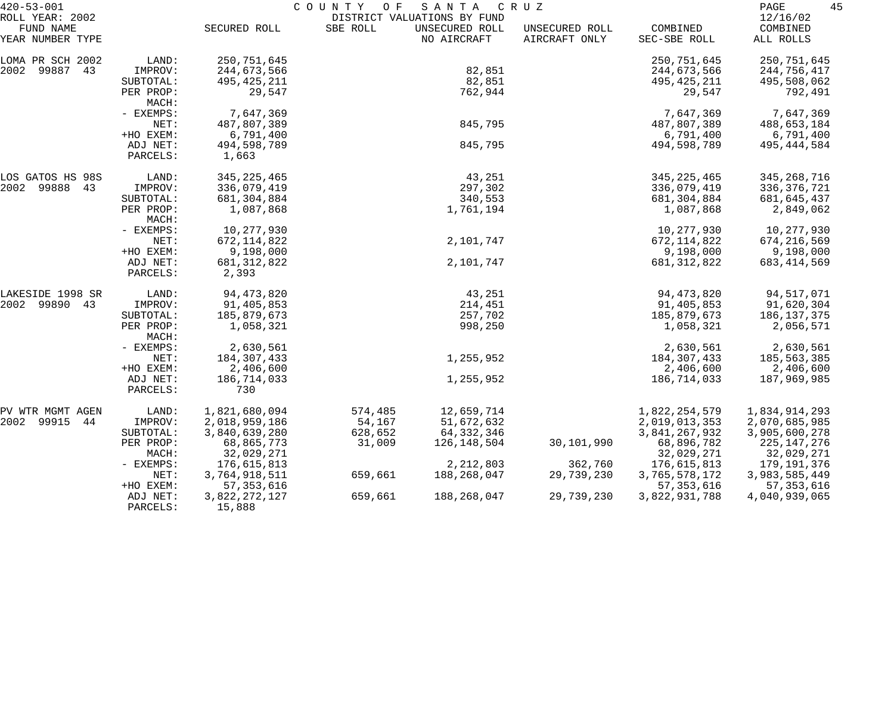| $420 - 53 - 001$                                 |                      |                         | COUNTY OF | SANTA                                                        | C R U Z                         |                          | 45<br>PAGE                        |
|--------------------------------------------------|----------------------|-------------------------|-----------|--------------------------------------------------------------|---------------------------------|--------------------------|-----------------------------------|
| ROLL YEAR: 2002<br>FUND NAME<br>YEAR NUMBER TYPE |                      | SECURED ROLL            | SBE ROLL  | DISTRICT VALUATIONS BY FUND<br>UNSECURED ROLL<br>NO AIRCRAFT | UNSECURED ROLL<br>AIRCRAFT ONLY | COMBINED<br>SEC-SBE ROLL | 12/16/02<br>COMBINED<br>ALL ROLLS |
| LOMA PR SCH 2002                                 | LAND:                | 250,751,645             |           |                                                              |                                 | 250, 751, 645            | 250,751,645                       |
| 2002 99887 43                                    | IMPROV:              | 244,673,566             |           | 82,851                                                       |                                 | 244,673,566              | 244,756,417                       |
|                                                  | SUBTOTAL:            | 495, 425, 211           |           | 82,851                                                       |                                 | 495, 425, 211            | 495,508,062                       |
|                                                  | PER PROP:<br>MACH:   | 29,547                  |           | 762,944                                                      |                                 | 29,547                   | 792,491                           |
|                                                  | - EXEMPS:            | 7,647,369               |           |                                                              |                                 | 7,647,369                | 7,647,369                         |
|                                                  | NET:                 | 487,807,389             |           | 845,795                                                      |                                 | 487,807,389              | 488,653,184                       |
|                                                  | +HO EXEM:            | 6,791,400               |           |                                                              |                                 | 6,791,400                | 6,791,400                         |
|                                                  | ADJ NET:<br>PARCELS: | 494,598,789<br>1,663    |           | 845,795                                                      |                                 | 494,598,789              | 495, 444, 584                     |
| LOS GATOS HS 98S                                 | LAND:                | 345, 225, 465           |           | 43,251                                                       |                                 | 345, 225, 465            | 345,268,716                       |
| 2002 99888 43                                    | IMPROV:              | 336,079,419             |           | 297,302                                                      |                                 | 336,079,419              | 336, 376, 721                     |
|                                                  | SUBTOTAL:            | 681,304,884             |           | 340,553                                                      |                                 | 681,304,884              | 681,645,437                       |
|                                                  | PER PROP:<br>MACH:   | 1,087,868               |           | 1,761,194                                                    |                                 | 1,087,868                | 2,849,062                         |
|                                                  | - EXEMPS:            | 10,277,930              |           |                                                              |                                 | 10,277,930               | 10,277,930                        |
|                                                  | NET:                 | 672, 114, 822           |           | 2,101,747                                                    |                                 | 672, 114, 822            | 674,216,569                       |
|                                                  | +HO EXEM:            | 9,198,000               |           |                                                              |                                 | 9,198,000                | 9,198,000                         |
|                                                  | ADJ NET:<br>PARCELS: | 681, 312, 822<br>2,393  |           | 2,101,747                                                    |                                 | 681, 312, 822            | 683, 414, 569                     |
| LAKESIDE 1998 SR                                 | LAND:                | 94, 473, 820            |           | 43,251                                                       |                                 | 94, 473, 820             | 94,517,071                        |
| 2002 99890 43                                    | IMPROV:              | 91,405,853              |           | 214,451                                                      |                                 | 91,405,853               | 91,620,304                        |
|                                                  | SUBTOTAL:            | 185,879,673             |           | 257,702                                                      |                                 | 185,879,673              | 186, 137, 375                     |
|                                                  | PER PROP:<br>MACH:   | 1,058,321               |           | 998,250                                                      |                                 | 1,058,321                | 2,056,571                         |
|                                                  | - EXEMPS:            | 2,630,561               |           |                                                              |                                 | 2,630,561                | 2,630,561                         |
|                                                  | NET:                 | 184,307,433             |           | 1,255,952                                                    |                                 | 184,307,433              | 185,563,385                       |
|                                                  | +HO EXEM:            | 2,406,600               |           |                                                              |                                 | 2,406,600                | 2,406,600                         |
|                                                  | ADJ NET:<br>PARCELS: | 186,714,033<br>730      |           | 1,255,952                                                    |                                 | 186,714,033              | 187,969,985                       |
| PV WTR MGMT AGEN                                 | LAND:                | 1,821,680,094           | 574,485   | 12,659,714                                                   |                                 | 1,822,254,579            | 1,834,914,293                     |
| 99915<br>2002<br>44                              | IMPROV:              | 2,018,959,186           | 54,167    | 51,672,632                                                   |                                 | 2,019,013,353            | 2,070,685,985                     |
|                                                  | SUBTOTAL:            | 3,840,639,280           | 628,652   | 64, 332, 346                                                 |                                 | 3,841,267,932            | 3,905,600,278                     |
|                                                  | PER PROP:            | 68,865,773              | 31,009    | 126,148,504                                                  | 30,101,990                      | 68,896,782               | 225, 147, 276                     |
|                                                  | MACH:                | 32,029,271              |           |                                                              |                                 | 32,029,271               | 32,029,271                        |
|                                                  | $-$ EXEMPS:          | 176,615,813             |           | 2,212,803                                                    | 362,760                         | 176,615,813              | 179,191,376                       |
|                                                  | NET:                 | 3,764,918,511           | 659,661   | 188,268,047                                                  | 29,739,230                      | 3,765,578,172            | 3,983,585,449                     |
|                                                  | +HO EXEM:            | 57, 353, 616            |           |                                                              |                                 | 57, 353, 616             | 57, 353, 616                      |
|                                                  | ADJ NET:<br>PARCELS: | 3,822,272,127<br>15,888 | 659,661   | 188,268,047                                                  | 29,739,230                      | 3,822,931,788            | 4,040,939,065                     |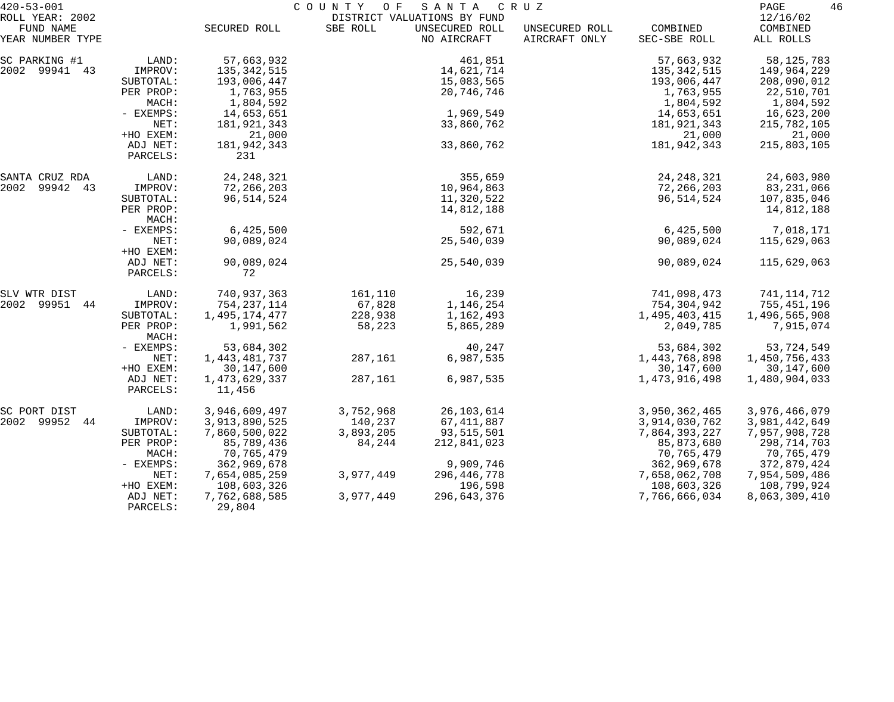| $420 - 53 - 001$             |                    | COUNTY<br>SANTA<br>C R U Z<br>O F<br>DISTRICT VALUATIONS BY FUND |           |                |                |               |                      |  |
|------------------------------|--------------------|------------------------------------------------------------------|-----------|----------------|----------------|---------------|----------------------|--|
| ROLL YEAR: 2002<br>FUND NAME |                    | SECURED ROLL                                                     | SBE ROLL  | UNSECURED ROLL | UNSECURED ROLL | COMBINED      | 12/16/02<br>COMBINED |  |
| YEAR NUMBER TYPE             |                    |                                                                  |           | NO AIRCRAFT    | AIRCRAFT ONLY  | SEC-SBE ROLL  | ALL ROLLS            |  |
| SC PARKING #1                | LAND:              | 57,663,932                                                       |           | 461,851        |                | 57,663,932    | 58, 125, 783         |  |
| 2002 99941 43                | IMPROV:            | 135, 342, 515                                                    |           | 14,621,714     |                | 135,342,515   | 149,964,229          |  |
|                              | SUBTOTAL:          | 193,006,447                                                      |           | 15,083,565     |                | 193,006,447   | 208,090,012          |  |
|                              | PER PROP:          | 1,763,955                                                        |           | 20,746,746     |                | 1,763,955     | 22,510,701           |  |
|                              | MACH:              | 1,804,592                                                        |           |                |                | 1,804,592     | 1,804,592            |  |
|                              | - EXEMPS:          | 14,653,651                                                       |           | 1,969,549      |                | 14,653,651    | 16,623,200           |  |
|                              | NET:               | 181,921,343                                                      |           | 33,860,762     |                | 181,921,343   | 215,782,105          |  |
|                              | +HO EXEM:          | 21,000                                                           |           |                |                | 21,000        | 21,000               |  |
|                              | ADJ NET:           | 181,942,343                                                      |           | 33,860,762     |                | 181, 942, 343 | 215,803,105          |  |
|                              | PARCELS:           | 231                                                              |           |                |                |               |                      |  |
| SANTA CRUZ RDA               | LAND:              | 24, 248, 321                                                     |           | 355,659        |                | 24, 248, 321  | 24,603,980           |  |
| 2002<br>99942 43             | IMPROV:            | 72,266,203                                                       |           | 10,964,863     |                | 72,266,203    | 83,231,066           |  |
|                              | SUBTOTAL:          | 96, 514, 524                                                     |           | 11,320,522     |                | 96,514,524    | 107,835,046          |  |
|                              | PER PROP:<br>MACH: |                                                                  |           | 14,812,188     |                |               | 14,812,188           |  |
|                              | - EXEMPS:          | 6,425,500                                                        |           | 592,671        |                | 6,425,500     | 7,018,171            |  |
|                              | NET:               | 90,089,024                                                       |           | 25,540,039     |                | 90,089,024    | 115,629,063          |  |
|                              | +HO EXEM:          |                                                                  |           |                |                |               |                      |  |
|                              | ADJ NET:           | 90,089,024                                                       |           | 25,540,039     |                | 90,089,024    | 115,629,063          |  |
|                              | PARCELS:           | 72                                                               |           |                |                |               |                      |  |
| SLV WTR DIST                 | LAND:              | 740,937,363                                                      | 161,110   | 16,239         |                | 741,098,473   | 741, 114, 712        |  |
| 2002 99951 44                | IMPROV:            | 754, 237, 114                                                    | 67,828    | 1,146,254      |                | 754,304,942   | 755,451,196          |  |
|                              | SUBTOTAL:          | 1,495,174,477                                                    | 228,938   | 1,162,493      |                | 1,495,403,415 | 1,496,565,908        |  |
|                              | PER PROP:<br>MACH: | 1,991,562                                                        | 58,223    | 5,865,289      |                | 2,049,785     | 7,915,074            |  |
|                              | - EXEMPS:          | 53,684,302                                                       |           | 40,247         |                | 53,684,302    | 53,724,549           |  |
|                              | NET:               | 1,443,481,737                                                    | 287,161   | 6,987,535      |                | 1,443,768,898 | 1,450,756,433        |  |
|                              | +HO EXEM:          | 30, 147, 600                                                     |           |                |                | 30, 147, 600  | 30, 147, 600         |  |
|                              | ADJ NET:           | 1, 473, 629, 337                                                 | 287,161   | 6,987,535      |                | 1,473,916,498 | 1,480,904,033        |  |
|                              | PARCELS:           | 11,456                                                           |           |                |                |               |                      |  |
| SC PORT DIST                 | LAND:              | 3,946,609,497                                                    | 3,752,968 | 26, 103, 614   |                | 3,950,362,465 | 3,976,466,079        |  |
| 2002 99952<br>44             | IMPROV:            | 3,913,890,525                                                    | 140,237   | 67, 411, 887   |                | 3,914,030,762 | 3,981,442,649        |  |
|                              | SUBTOTAL:          | 7,860,500,022                                                    | 3,893,205 | 93, 515, 501   |                | 7,864,393,227 | 7,957,908,728        |  |
|                              | PER PROP:          | 85,789,436                                                       | 84,244    | 212,841,023    |                | 85,873,680    | 298,714,703          |  |
|                              | MACH:              | 70,765,479                                                       |           |                |                | 70,765,479    | 70,765,479           |  |
|                              | - EXEMPS:          | 362,969,678                                                      |           | 9,909,746      |                | 362,969,678   | 372,879,424          |  |
|                              | NET:               | 7,654,085,259                                                    | 3,977,449 | 296, 446, 778  |                | 7,658,062,708 | 7,954,509,486        |  |
|                              | +HO EXEM:          | 108,603,326                                                      |           | 196,598        |                | 108,603,326   | 108,799,924          |  |
|                              | ADJ NET:           | 7,762,688,585                                                    | 3,977,449 | 296,643,376    |                | 7,766,666,034 | 8,063,309,410        |  |
|                              | PARCELS:           | 29,804                                                           |           |                |                |               |                      |  |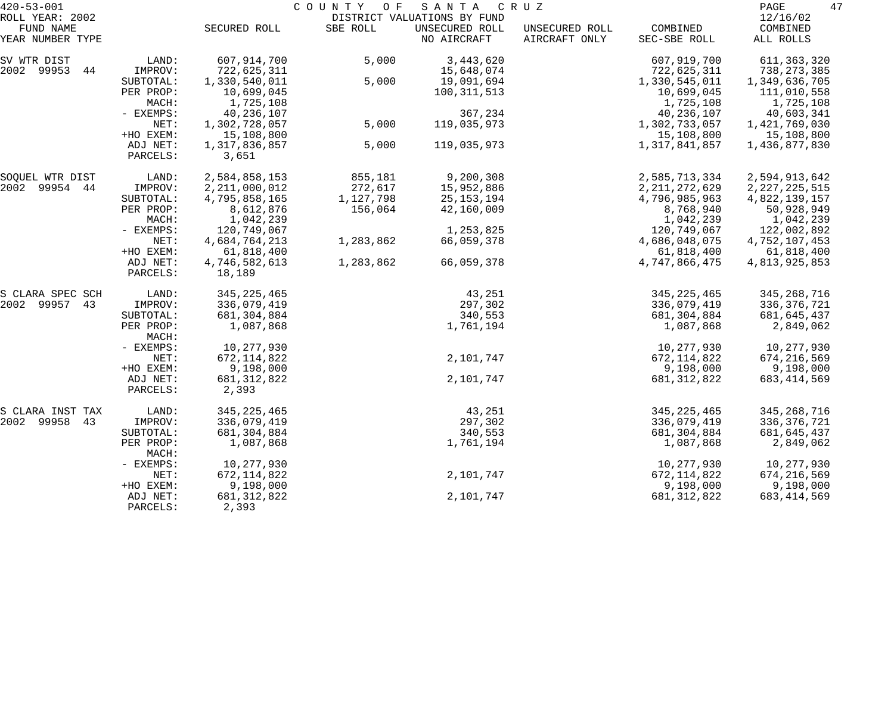| $420 - 53 - 001$              |                      | COUNTY<br>SANTA<br>O F<br>C R U Z |           |                               |                                 |                             |                             |
|-------------------------------|----------------------|-----------------------------------|-----------|-------------------------------|---------------------------------|-----------------------------|-----------------------------|
| ROLL YEAR: 2002               |                      |                                   |           | DISTRICT VALUATIONS BY FUND   |                                 |                             | 12/16/02                    |
| FUND NAME<br>YEAR NUMBER TYPE |                      | SECURED ROLL                      | SBE ROLL  | UNSECURED ROLL<br>NO AIRCRAFT | UNSECURED ROLL<br>AIRCRAFT ONLY | COMBINED<br>SEC-SBE ROLL    | COMBINED<br>ALL ROLLS       |
| SV WTR DIST                   | LAND:                | 607,914,700                       | 5,000     | 3,443,620                     |                                 | 607,919,700                 | 611,363,320                 |
| 2002 99953 44                 | IMPROV:              | 722,625,311                       |           | 15,648,074                    |                                 | 722,625,311                 | 738, 273, 385               |
|                               | SUBTOTAL:            | 1,330,540,011                     | 5,000     | 19,091,694                    |                                 | 1,330,545,011               | 1,349,636,705               |
|                               | PER PROP:            | 10,699,045                        |           | 100, 311, 513                 |                                 | 10,699,045                  | 111,010,558                 |
|                               | MACH:                | 1,725,108                         |           |                               |                                 | 1,725,108                   | 1,725,108                   |
|                               | - EXEMPS:<br>NET:    | 40,236,107<br>1,302,728,057       | 5,000     | 367,234<br>119,035,973        |                                 | 40,236,107<br>1,302,733,057 | 40,603,341<br>1,421,769,030 |
|                               | +HO EXEM:            | 15,108,800                        |           |                               |                                 | 15,108,800                  | 15,108,800                  |
|                               | ADJ NET:             | 1,317,836,857                     | 5,000     | 119,035,973                   |                                 | 1,317,841,857               | 1,436,877,830               |
|                               | PARCELS:             | 3,651                             |           |                               |                                 |                             |                             |
| SOQUEL WTR DIST               | LAND:                | 2,584,858,153                     | 855,181   | 9,200,308                     |                                 | 2,585,713,334               | 2,594,913,642               |
| 2002 99954 44                 | IMPROV:              | 2, 211, 000, 012                  | 272,617   | 15,952,886                    |                                 | 2, 211, 272, 629            | 2, 227, 225, 515            |
|                               | SUBTOTAL:            | 4,795,858,165                     | 1,127,798 | 25, 153, 194                  |                                 | 4,796,985,963               | 4,822,139,157               |
|                               | PER PROP:            | 8,612,876                         | 156,064   | 42,160,009                    |                                 | 8,768,940                   | 50,928,949                  |
|                               | MACH:                | 1,042,239                         |           |                               |                                 | 1,042,239                   | 1,042,239                   |
|                               | - EXEMPS:            | 120,749,067                       |           | 1,253,825                     |                                 | 120,749,067                 | 122,002,892                 |
|                               | NET:<br>+HO EXEM:    | 4,684,764,213                     | 1,283,862 | 66,059,378                    |                                 | 4,686,048,075               | 4,752,107,453               |
|                               | ADJ NET:             | 61,818,400<br>4,746,582,613       | 1,283,862 | 66,059,378                    |                                 | 61,818,400<br>4,747,866,475 | 61,818,400<br>4,813,925,853 |
|                               | PARCELS:             | 18,189                            |           |                               |                                 |                             |                             |
| S CLARA SPEC SCH              | LAND:                | 345, 225, 465                     |           | 43,251                        |                                 | 345, 225, 465               | 345,268,716                 |
| 2002 99957 43                 | IMPROV:              | 336,079,419                       |           | 297,302                       |                                 | 336,079,419                 | 336,376,721                 |
|                               | SUBTOTAL:            | 681,304,884                       |           | 340,553                       |                                 | 681,304,884                 | 681,645,437                 |
|                               | PER PROP:<br>MACH:   | 1,087,868                         |           | 1,761,194                     |                                 | 1,087,868                   | 2,849,062                   |
|                               | - EXEMPS:            | 10,277,930                        |           |                               |                                 | 10,277,930                  | 10,277,930                  |
|                               | NET:                 | 672, 114, 822                     |           | 2,101,747                     |                                 | 672, 114, 822               | 674, 216, 569               |
|                               | +HO EXEM:            | 9,198,000                         |           |                               |                                 | 9,198,000                   | 9,198,000                   |
|                               | ADJ NET:             | 681, 312, 822                     |           | 2,101,747                     |                                 | 681, 312, 822               | 683, 414, 569               |
|                               | PARCELS:             | 2,393                             |           |                               |                                 |                             |                             |
| S CLARA INST TAX              | LAND:                | 345, 225, 465                     |           | 43,251                        |                                 | 345, 225, 465               | 345,268,716                 |
| 2002 99958 43                 | IMPROV:              | 336,079,419                       |           | 297,302                       |                                 | 336,079,419                 | 336,376,721                 |
|                               | SUBTOTAL:            | 681,304,884                       |           | 340,553                       |                                 | 681, 304, 884               | 681, 645, 437               |
|                               | PER PROP:<br>MACH:   | 1,087,868                         |           | 1,761,194                     |                                 | 1,087,868                   | 2,849,062                   |
|                               | - EXEMPS:            | 10,277,930                        |           |                               |                                 | 10,277,930                  | 10,277,930                  |
|                               | NET:                 | 672, 114, 822                     |           | 2,101,747                     |                                 | 672, 114, 822               | 674, 216, 569               |
|                               | +HO EXEM:            | 9,198,000                         |           |                               |                                 | 9,198,000                   | 9,198,000                   |
|                               | ADJ NET:<br>PARCELS: | 681, 312, 822<br>2,393            |           | 2,101,747                     |                                 | 681, 312, 822               | 683, 414, 569               |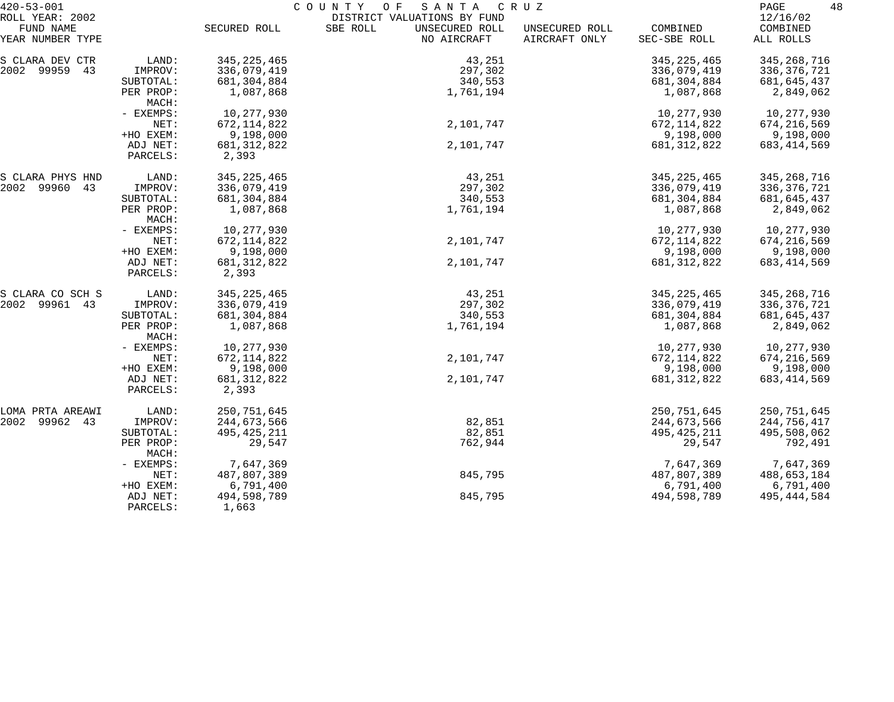| $420 - 53 - 001$             | COUNTY<br>SANTA<br>C R U Z<br>O F |                        |                                                           |                |               |                      |  |
|------------------------------|-----------------------------------|------------------------|-----------------------------------------------------------|----------------|---------------|----------------------|--|
| ROLL YEAR: 2002<br>FUND NAME |                                   | SECURED ROLL           | DISTRICT VALUATIONS BY FUND<br>SBE ROLL<br>UNSECURED ROLL | UNSECURED ROLL | COMBINED      | 12/16/02<br>COMBINED |  |
| YEAR NUMBER TYPE             |                                   |                        | NO AIRCRAFT                                               | AIRCRAFT ONLY  | SEC-SBE ROLL  | ALL ROLLS            |  |
| S CLARA DEV CTR              | LAND:                             | 345, 225, 465          | 43,251                                                    |                | 345, 225, 465 | 345, 268, 716        |  |
| 2002 99959 43                | IMPROV:                           | 336,079,419            | 297,302                                                   |                | 336,079,419   | 336,376,721          |  |
|                              | SUBTOTAL:                         | 681,304,884            | 340,553                                                   |                | 681,304,884   | 681,645,437          |  |
|                              | PER PROP:<br>MACH:                | 1,087,868              | 1,761,194                                                 |                | 1,087,868     | 2,849,062            |  |
|                              | - EXEMPS:                         | 10,277,930             |                                                           |                | 10,277,930    | 10,277,930           |  |
|                              | NET:                              | 672, 114, 822          | 2,101,747                                                 |                | 672, 114, 822 | 674,216,569          |  |
|                              | +HO EXEM:                         | 9,198,000              |                                                           |                | 9,198,000     | 9,198,000            |  |
|                              | ADJ NET:<br>PARCELS:              | 681, 312, 822<br>2,393 | 2,101,747                                                 |                | 681, 312, 822 | 683, 414, 569        |  |
| S CLARA PHYS HND             | LAND:                             | 345, 225, 465          | 43,251                                                    |                | 345, 225, 465 | 345,268,716          |  |
| 2002 99960 43                | IMPROV:                           | 336,079,419            | 297,302                                                   |                | 336,079,419   | 336,376,721          |  |
|                              | SUBTOTAL:                         | 681,304,884            | 340,553                                                   |                | 681,304,884   | 681,645,437          |  |
|                              | PER PROP:<br>MACH:                | 1,087,868              | 1,761,194                                                 |                | 1,087,868     | 2,849,062            |  |
|                              | - EXEMPS:                         | 10,277,930             |                                                           |                | 10,277,930    | 10,277,930           |  |
|                              | NET:                              | 672, 114, 822          | 2,101,747                                                 |                | 672, 114, 822 | 674,216,569          |  |
|                              | +HO EXEM:                         | 9,198,000              |                                                           |                | 9,198,000     | 9,198,000            |  |
|                              | ADJ NET:<br>PARCELS:              | 681, 312, 822<br>2,393 | 2,101,747                                                 |                | 681, 312, 822 | 683, 414, 569        |  |
| S CLARA CO SCH S             | LAND:                             | 345, 225, 465          | 43,251                                                    |                | 345, 225, 465 | 345, 268, 716        |  |
| 2002 99961 43                | IMPROV:                           | 336,079,419            | 297,302                                                   |                | 336,079,419   | 336, 376, 721        |  |
|                              | SUBTOTAL:                         | 681,304,884            | 340,553                                                   |                | 681,304,884   | 681,645,437          |  |
|                              | PER PROP:<br>MACH:                | 1,087,868              | 1,761,194                                                 |                | 1,087,868     | 2,849,062            |  |
|                              | - EXEMPS:                         | 10,277,930             |                                                           |                | 10,277,930    | 10,277,930           |  |
|                              | NET:                              | 672, 114, 822          | 2,101,747                                                 |                | 672, 114, 822 | 674,216,569          |  |
|                              | +HO EXEM:                         | 9,198,000              |                                                           |                | 9,198,000     | 9,198,000            |  |
|                              | ADJ NET:<br>PARCELS:              | 681, 312, 822<br>2,393 | 2,101,747                                                 |                | 681, 312, 822 | 683, 414, 569        |  |
| LOMA PRTA AREAWI             | LAND:                             | 250,751,645            |                                                           |                | 250, 751, 645 | 250,751,645          |  |
| 2002<br>99962 43             | IMPROV:                           | 244,673,566            | 82,851                                                    |                | 244,673,566   | 244,756,417          |  |
|                              | SUBTOTAL:                         | 495, 425, 211          | 82,851                                                    |                | 495, 425, 211 | 495,508,062          |  |
|                              | PER PROP:<br>MACH:                | 29,547                 | 762,944                                                   |                | 29,547        | 792,491              |  |
|                              | - EXEMPS:                         | 7,647,369              |                                                           |                | 7,647,369     | 7,647,369            |  |
|                              | NET:                              | 487,807,389            | 845,795                                                   |                | 487,807,389   | 488,653,184          |  |
|                              | +HO EXEM:                         | 6,791,400              |                                                           |                | 6,791,400     | 6,791,400            |  |
|                              | ADJ NET:<br>PARCELS:              | 494,598,789<br>1,663   | 845,795                                                   |                | 494,598,789   | 495, 444, 584        |  |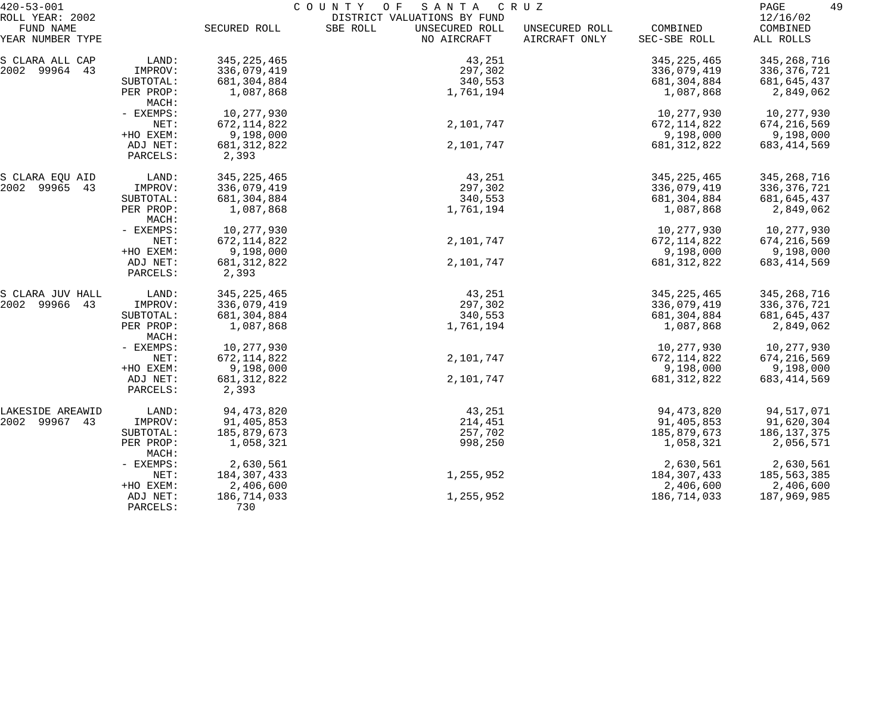| $420 - 53 - 001$              |                      | COUNTY<br>SANTA<br>O F<br>C R U Z |                                           |                                 |                          | 49<br>PAGE            |
|-------------------------------|----------------------|-----------------------------------|-------------------------------------------|---------------------------------|--------------------------|-----------------------|
| ROLL YEAR: 2002               |                      |                                   | DISTRICT VALUATIONS BY FUND               |                                 |                          | 12/16/02              |
| FUND NAME<br>YEAR NUMBER TYPE |                      | SECURED ROLL                      | SBE ROLL<br>UNSECURED ROLL<br>NO AIRCRAFT | UNSECURED ROLL<br>AIRCRAFT ONLY | COMBINED<br>SEC-SBE ROLL | COMBINED<br>ALL ROLLS |
| S CLARA ALL CAP               | LAND:                | 345, 225, 465                     | 43,251                                    |                                 | 345, 225, 465            | 345, 268, 716         |
| 2002 99964 43                 | IMPROV:              | 336,079,419                       | 297,302                                   |                                 | 336,079,419              | 336, 376, 721         |
|                               | SUBTOTAL:            | 681,304,884                       | 340,553                                   |                                 | 681,304,884              | 681,645,437           |
|                               | PER PROP:<br>MACH:   | 1,087,868                         | 1,761,194                                 |                                 | 1,087,868                | 2,849,062             |
|                               | - EXEMPS:            | 10,277,930                        |                                           |                                 | 10,277,930               | 10,277,930            |
|                               | NET:                 | 672, 114, 822                     | 2,101,747                                 |                                 | 672, 114, 822            | 674,216,569           |
|                               | +HO EXEM:            | 9,198,000                         |                                           |                                 | 9,198,000                | 9,198,000             |
|                               | ADJ NET:             | 681, 312, 822                     | 2,101,747                                 |                                 | 681, 312, 822            | 683, 414, 569         |
|                               | PARCELS:             | 2,393                             |                                           |                                 |                          |                       |
| S CLARA EQU AID               | LAND:                | 345, 225, 465                     | 43,251                                    |                                 | 345, 225, 465            | 345,268,716           |
| 2002 99965 43                 | IMPROV:              | 336,079,419                       | 297,302                                   |                                 | 336,079,419              | 336, 376, 721         |
|                               | SUBTOTAL:            | 681,304,884                       | 340,553                                   |                                 | 681,304,884              | 681,645,437           |
|                               | PER PROP:<br>MACH:   | 1,087,868                         | 1,761,194                                 |                                 | 1,087,868                | 2,849,062             |
|                               | - EXEMPS:            | 10,277,930                        |                                           |                                 | 10,277,930               | 10,277,930            |
|                               | NET:                 | 672, 114, 822                     | 2,101,747                                 |                                 | 672, 114, 822            | 674, 216, 569         |
|                               | +HO EXEM:            | 9,198,000                         |                                           |                                 | 9,198,000                | 9,198,000             |
|                               | ADJ NET:<br>PARCELS: | 681, 312, 822<br>2,393            | 2,101,747                                 |                                 | 681, 312, 822            | 683, 414, 569         |
| S CLARA JUV HALL              | LAND:                | 345, 225, 465                     | 43,251                                    |                                 | 345, 225, 465            | 345, 268, 716         |
| 2002 99966 43                 | IMPROV:              | 336,079,419                       | 297,302                                   |                                 | 336,079,419              | 336, 376, 721         |
|                               | SUBTOTAL:            | 681, 304, 884                     | 340,553                                   |                                 | 681,304,884              | 681,645,437           |
|                               | PER PROP:<br>MACH:   | 1,087,868                         | 1,761,194                                 |                                 | 1,087,868                | 2,849,062             |
|                               | - EXEMPS:            | 10,277,930                        |                                           |                                 | 10,277,930               | 10,277,930            |
|                               | NET:                 | 672, 114, 822                     | 2,101,747                                 |                                 | 672, 114, 822            | 674,216,569           |
|                               | +HO EXEM:            | 9,198,000                         |                                           |                                 | 9,198,000                | 9,198,000             |
|                               | ADJ NET:             | 681, 312, 822                     | 2,101,747                                 |                                 | 681, 312, 822            | 683, 414, 569         |
|                               | PARCELS:             | 2,393                             |                                           |                                 |                          |                       |
| LAKESIDE AREAWID              | LAND:                | 94, 473, 820                      | 43,251                                    |                                 | 94, 473, 820             | 94,517,071            |
| 2002 99967 43                 | IMPROV:              | 91,405,853                        | 214,451                                   |                                 | 91,405,853               | 91,620,304            |
|                               | SUBTOTAL:            | 185,879,673                       | 257,702                                   |                                 | 185,879,673              | 186,137,375           |
|                               | PER PROP:<br>MACH:   | 1,058,321                         | 998,250                                   |                                 | 1,058,321                | 2,056,571             |
|                               | - EXEMPS:            | 2,630,561                         |                                           |                                 | 2,630,561                | 2,630,561             |
|                               | NET:                 | 184,307,433                       | 1,255,952                                 |                                 | 184,307,433              | 185,563,385           |
|                               | +HO EXEM:            | 2,406,600                         |                                           |                                 | 2,406,600                | 2,406,600             |
|                               | ADJ NET:<br>PARCELS: | 186,714,033<br>730                | 1,255,952                                 |                                 | 186,714,033              | 187,969,985           |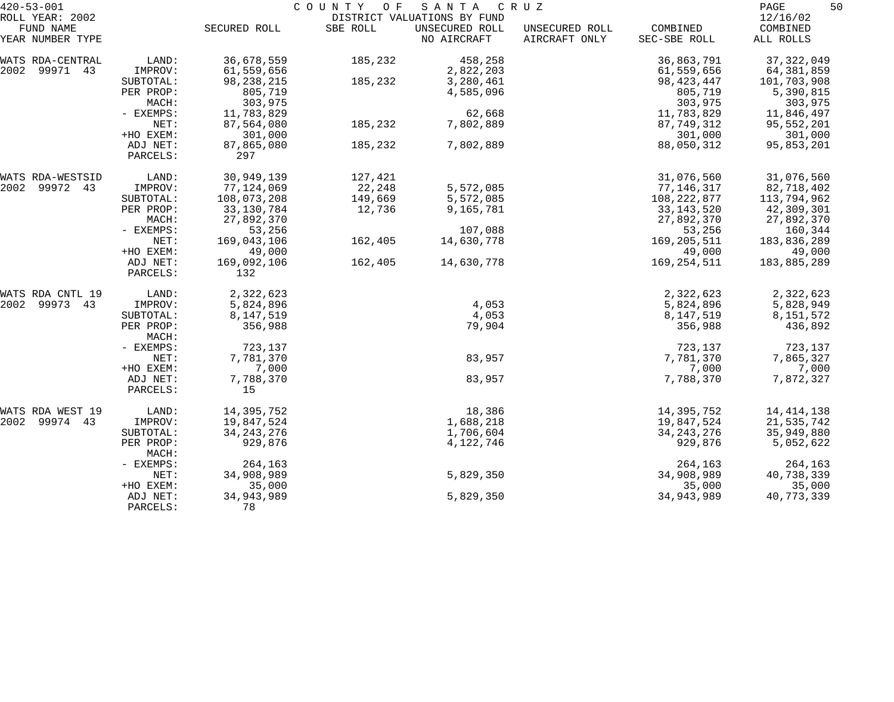| $420 - 53 - 001$              | COUNTY<br>O F<br>SANTA<br>C R U Z |                    |          |                               |                                 | 50<br>PAGE               |                       |
|-------------------------------|-----------------------------------|--------------------|----------|-------------------------------|---------------------------------|--------------------------|-----------------------|
| ROLL YEAR: 2002               |                                   |                    |          | DISTRICT VALUATIONS BY FUND   |                                 |                          | 12/16/02              |
| FUND NAME<br>YEAR NUMBER TYPE |                                   | SECURED ROLL       | SBE ROLL | UNSECURED ROLL<br>NO AIRCRAFT | UNSECURED ROLL<br>AIRCRAFT ONLY | COMBINED<br>SEC-SBE ROLL | COMBINED<br>ALL ROLLS |
| WATS RDA-CENTRAL              | LAND:                             | 36,678,559         | 185,232  | 458,258                       |                                 | 36,863,791               | 37, 322, 049          |
| 2002<br>99971 43              | IMPROV:                           | 61,559,656         |          | 2,822,203                     |                                 | 61,559,656               | 64,381,859            |
|                               | SUBTOTAL:                         | 98, 238, 215       | 185,232  | 3,280,461                     |                                 | 98, 423, 447             | 101,703,908           |
|                               | PER PROP:                         | 805,719            |          | 4,585,096                     |                                 | 805,719                  | 5,390,815             |
|                               | MACH:                             | 303,975            |          |                               |                                 | 303,975                  | 303,975               |
|                               | - EXEMPS:                         | 11,783,829         |          | 62,668                        |                                 | 11,783,829               | 11,846,497            |
|                               | NET:                              | 87,564,080         | 185,232  | 7,802,889                     |                                 | 87,749,312               | 95,552,201            |
|                               | +HO EXEM:                         | 301,000            |          |                               |                                 | 301,000                  | 301,000               |
|                               | ADJ NET:                          | 87,865,080<br>297  | 185,232  | 7,802,889                     |                                 | 88,050,312               | 95,853,201            |
|                               | PARCELS:                          |                    |          |                               |                                 |                          |                       |
| WATS RDA-WESTSID              | LAND:                             | 30,949,139         | 127,421  |                               |                                 | 31,076,560               | 31,076,560            |
| 2002<br>99972 43              | IMPROV:                           | 77,124,069         | 22,248   | 5,572,085                     |                                 | 77,146,317               | 82,718,402            |
|                               | SUBTOTAL:                         | 108,073,208        | 149,669  | 5,572,085                     |                                 | 108, 222, 877            | 113,794,962           |
|                               | PER PROP:                         | 33, 130, 784       | 12,736   | 9,165,781                     |                                 | 33, 143, 520             | 42,309,301            |
|                               | MACH:                             | 27,892,370         |          |                               |                                 | 27,892,370               | 27,892,370            |
|                               | - EXEMPS:                         | 53,256             |          | 107,088                       |                                 | 53,256                   | 160,344               |
|                               | NET:                              | 169,043,106        | 162,405  | 14,630,778                    |                                 | 169,205,511              | 183,836,289           |
|                               | +HO EXEM:                         | 49,000             |          |                               |                                 | 49,000                   | 49,000                |
|                               | ADJ NET:<br>PARCELS:              | 169,092,106<br>132 | 162,405  | 14,630,778                    |                                 | 169,254,511              | 183,885,289           |
|                               |                                   |                    |          |                               |                                 |                          |                       |
| WATS RDA CNTL 19              | LAND:                             | 2,322,623          |          |                               |                                 | 2,322,623                | 2,322,623             |
| 2002<br>99973 43              | IMPROV:                           | 5,824,896          |          | 4,053                         |                                 | 5,824,896                | 5,828,949             |
|                               | SUBTOTAL:                         | 8,147,519          |          | 4,053                         |                                 | 8,147,519                | 8,151,572             |
|                               | PER PROP:<br>MACH:                | 356,988            |          | 79,904                        |                                 | 356,988                  | 436,892               |
|                               | - EXEMPS:                         | 723,137            |          |                               |                                 | 723,137                  | 723,137               |
|                               | NET:                              | 7,781,370          |          | 83,957                        |                                 | 7,781,370                | 7,865,327             |
|                               | +HO EXEM:                         | 7,000              |          |                               |                                 | 7,000                    | 7,000                 |
|                               | ADJ NET:                          | 7,788,370          |          | 83,957                        |                                 | 7,788,370                | 7,872,327             |
|                               | PARCELS:                          | 15                 |          |                               |                                 |                          |                       |
| WATS RDA WEST 19              | LAND:                             | 14,395,752         |          | 18,386                        |                                 | 14,395,752               | 14, 414, 138          |
| 2002 99974 43                 | IMPROV:                           | 19,847,524         |          | 1,688,218                     |                                 | 19,847,524               | 21,535,742            |
|                               | SUBTOTAL:                         | 34, 243, 276       |          | 1,706,604                     |                                 | 34, 243, 276             | 35,949,880            |
|                               | PER PROP:<br>MACH:                | 929,876            |          | 4, 122, 746                   |                                 | 929,876                  | 5,052,622             |
|                               | - EXEMPS:                         | 264,163            |          |                               |                                 | 264,163                  | 264,163               |
|                               | NET:                              | 34,908,989         |          | 5,829,350                     |                                 | 34,908,989               | 40,738,339            |
|                               | +HO EXEM:                         | 35,000             |          |                               |                                 | 35,000                   | 35,000                |
|                               | ADJ NET:                          | 34, 943, 989       |          | 5,829,350                     |                                 | 34,943,989               | 40,773,339            |
|                               | PARCELS:                          | 78                 |          |                               |                                 |                          |                       |